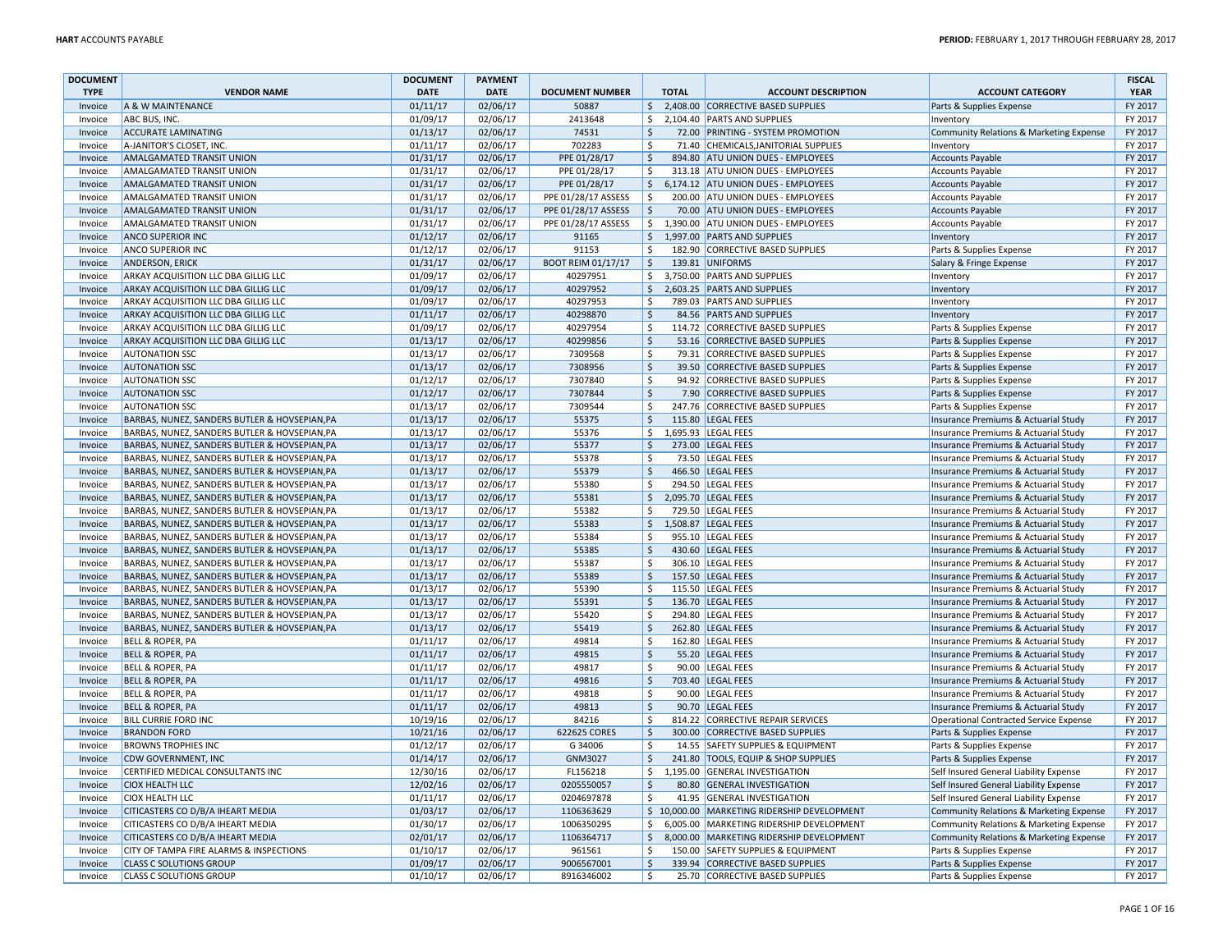| <b>DOCUMENT</b> |                                               | <b>DOCUMENT</b> | <b>PAYMENT</b> |                           |                    |              |                                              |                                         | <b>FISCAL</b> |
|-----------------|-----------------------------------------------|-----------------|----------------|---------------------------|--------------------|--------------|----------------------------------------------|-----------------------------------------|---------------|
| <b>TYPE</b>     | <b>VENDOR NAME</b>                            | <b>DATE</b>     | <b>DATE</b>    | <b>DOCUMENT NUMBER</b>    |                    | <b>TOTAL</b> | <b>ACCOUNT DESCRIPTION</b>                   | <b>ACCOUNT CATEGORY</b>                 | <b>YEAR</b>   |
| Invoice         | A & W MAINTENANCE                             | 01/11/17        | 02/06/17       | 50887                     | \$                 |              | 2,408.00 CORRECTIVE BASED SUPPLIES           | Parts & Supplies Expense                | FY 2017       |
| Invoice         | ABC BUS, INC.                                 | 01/09/17        | 02/06/17       | 2413648                   | \$                 |              | 2,104.40 PARTS AND SUPPLIES                  | Inventory                               | FY 2017       |
| Invoice         | <b>ACCURATE LAMINATING</b>                    | 01/13/17        | 02/06/17       | 74531                     | $\mathsf{\hat{S}}$ |              | 72.00 PRINTING - SYSTEM PROMOTION            | Community Relations & Marketing Expense | FY 2017       |
| Invoice         | A-JANITOR'S CLOSET, INC                       | 01/11/17        | 02/06/17       | 702283                    | -Ś                 |              | 71.40 CHEMICALS, JANITORIAL SUPPLIES         | Inventory                               | FY 2017       |
| Invoice         | <b>AMALGAMATED TRANSIT UNION</b>              | 01/31/17        | 02/06/17       | PPE 01/28/17              | $\ddot{\varsigma}$ |              | 894.80 ATU UNION DUES - EMPLOYEES            | <b>Accounts Payable</b>                 | FY 2017       |
| Invoice         | AMALGAMATED TRANSIT UNION                     | 01/31/17        | 02/06/17       | PPE 01/28/17              | $\mathsf{\hat{S}}$ |              | 313.18 ATU UNION DUES - EMPLOYEES            | <b>Accounts Payable</b>                 | FY 2017       |
| Invoice         | <b>AMALGAMATED TRANSIT UNION</b>              | 01/31/17        | 02/06/17       | PPE 01/28/17              | \$                 |              | 6,174.12 ATU UNION DUES - EMPLOYEES          | <b>Accounts Payable</b>                 | FY 2017       |
| Invoice         | <b>AMALGAMATED TRANSIT UNION</b>              | 01/31/17        | 02/06/17       | PPE 01/28/17 ASSESS       | $\mathsf{\hat{S}}$ |              | 200.00 ATU UNION DUES - EMPLOYEES            | <b>Accounts Payable</b>                 | FY 2017       |
| Invoice         | AMALGAMATED TRANSIT UNION                     | 01/31/17        | 02/06/17       | PPE 01/28/17 ASSESS       | \$                 |              | 70.00 ATU UNION DUES - EMPLOYEES             | <b>Accounts Payable</b>                 | FY 2017       |
| Invoice         | AMALGAMATED TRANSIT UNION                     | 01/31/17        | 02/06/17       | PPE 01/28/17 ASSESS       | $\mathsf{S}$       |              | 1,390.00 ATU UNION DUES - EMPLOYEES          | <b>Accounts Payable</b>                 | FY 2017       |
| Invoice         | <b>ANCO SUPERIOR INC</b>                      | 01/12/17        | 02/06/17       | 91165                     | \$                 |              | 1,997.00 PARTS AND SUPPLIES                  | Inventory                               | FY 2017       |
| Invoice         | <b>ANCO SUPERIOR INC</b>                      | 01/12/17        | 02/06/17       | 91153                     | \$                 |              | 182.90 CORRECTIVE BASED SUPPLIES             | Parts & Supplies Expense                | FY 2017       |
| Invoice         | <b>ANDERSON, ERICK</b>                        | 01/31/17        | 02/06/17       | <b>BOOT REIM 01/17/17</b> | \$                 |              | 139.81 UNIFORMS                              | Salary & Fringe Expense                 | FY 2017       |
| Invoice         | ARKAY ACQUISITION LLC DBA GILLIG LLC          | 01/09/17        | 02/06/17       | 40297951                  | \$                 |              | 3,750.00 PARTS AND SUPPLIES                  | Inventory                               | FY 2017       |
| Invoice         | ARKAY ACQUISITION LLC DBA GILLIG LLC          | 01/09/17        | 02/06/17       | 40297952                  | \$                 |              | 2,603.25 PARTS AND SUPPLIES                  | Inventory                               | FY 2017       |
| Invoice         | ARKAY ACQUISITION LLC DBA GILLIG LLC          | 01/09/17        | 02/06/17       | 40297953                  | Ś.                 |              | 789.03 PARTS AND SUPPLIES                    | Inventory                               | FY 2017       |
| Invoice         | ARKAY ACQUISITION LLC DBA GILLIG LLC          | 01/11/17        | 02/06/17       | 40298870                  | $\zeta$            |              | 84.56 PARTS AND SUPPLIES                     | Inventory                               | FY 2017       |
| Invoice         | ARKAY ACQUISITION LLC DBA GILLIG LLC          | 01/09/17        | 02/06/17       | 40297954                  | Ś.                 |              | 114.72 CORRECTIVE BASED SUPPLIES             | Parts & Supplies Expense                | FY 2017       |
| Invoice         | ARKAY ACQUISITION LLC DBA GILLIG LLC          | 01/13/17        | 02/06/17       | 40299856                  | $\zeta$            |              | 53.16 CORRECTIVE BASED SUPPLIES              | Parts & Supplies Expense                | FY 2017       |
| Invoice         | <b>AUTONATION SSC</b>                         | 01/13/17        | 02/06/17       | 7309568                   | -Ś                 |              | 79.31 CORRECTIVE BASED SUPPLIES              | Parts & Supplies Expense                | FY 2017       |
| Invoice         | <b>AUTONATION SSC</b>                         | 01/13/17        | 02/06/17       | 7308956                   | $\zeta$            |              | 39.50 CORRECTIVE BASED SUPPLIES              | Parts & Supplies Expense                | FY 2017       |
| Invoice         | <b>AUTONATION SSC</b>                         | 01/12/17        | 02/06/17       | 7307840                   | \$                 |              | 94.92 CORRECTIVE BASED SUPPLIES              | Parts & Supplies Expense                | FY 2017       |
| Invoice         | <b>AUTONATION SSC</b>                         | 01/12/17        | 02/06/17       | 7307844                   | Ŝ.                 |              | 7.90 CORRECTIVE BASED SUPPLIES               | Parts & Supplies Expense                | FY 2017       |
| Invoice         | <b>AUTONATION SSC</b>                         | 01/13/17        | 02/06/17       | 7309544                   | $\mathsf{\hat{S}}$ |              | 247.76 CORRECTIVE BASED SUPPLIES             | Parts & Supplies Expense                | FY 2017       |
| Invoice         | BARBAS, NUNEZ, SANDERS BUTLER & HOVSEPIAN, PA | 01/13/17        | 02/06/17       | 55375                     | $\zeta$            |              | 115.80 LEGAL FEES                            | Insurance Premiums & Actuarial Study    | FY 2017       |
| Invoice         | BARBAS, NUNEZ, SANDERS BUTLER & HOVSEPIAN, PA | 01/13/17        | 02/06/17       | 55376                     | \$                 |              | 1,695.93 LEGAL FEES                          | Insurance Premiums & Actuarial Study    | FY 2017       |
| Invoice         | BARBAS, NUNEZ, SANDERS BUTLER & HOVSEPIAN, PA | 01/13/17        | 02/06/17       | 55377                     | Ŝ.                 |              | 273.00 LEGAL FEES                            | Insurance Premiums & Actuarial Study    | FY 2017       |
| Invoice         | BARBAS, NUNEZ, SANDERS BUTLER & HOVSEPIAN, PA | 01/13/17        | 02/06/17       | 55378                     | -Ś                 |              | 73.50 LEGAL FEES                             | Insurance Premiums & Actuarial Study    | FY 2017       |
| Invoice         | BARBAS, NUNEZ, SANDERS BUTLER & HOVSEPIAN, PA | 01/13/17        | 02/06/17       | 55379                     | $\zeta$            |              | 466.50 LEGAL FEES                            | Insurance Premiums & Actuarial Study    | FY 2017       |
| Invoice         | BARBAS, NUNEZ, SANDERS BUTLER & HOVSEPIAN, PA | 01/13/17        | 02/06/17       | 55380                     | \$                 |              | 294.50 LEGAL FEES                            | Insurance Premiums & Actuarial Study    | FY 2017       |
| Invoice         | BARBAS, NUNEZ, SANDERS BUTLER & HOVSEPIAN, PA | 01/13/17        | 02/06/17       | 55381                     | \$                 |              | 2,095.70 LEGAL FEES                          | Insurance Premiums & Actuarial Study    | FY 2017       |
| Invoice         | BARBAS, NUNEZ, SANDERS BUTLER & HOVSEPIAN, PA | 01/13/17        | 02/06/17       | 55382                     | Ŝ.                 |              | 729.50 LEGAL FEES                            | Insurance Premiums & Actuarial Study    | FY 2017       |
| Invoice         | BARBAS, NUNEZ, SANDERS BUTLER & HOVSEPIAN, PA | 01/13/17        | 02/06/17       | 55383                     | \$                 |              | 1,508.87 LEGAL FEES                          | Insurance Premiums & Actuarial Study    | FY 2017       |
| Invoice         | BARBAS, NUNEZ, SANDERS BUTLER & HOVSEPIAN, PA | 01/13/17        | 02/06/17       | 55384                     | Ŝ.                 |              | 955.10 LEGAL FEES                            | Insurance Premiums & Actuarial Study    | FY 2017       |
| Invoice         | BARBAS, NUNEZ, SANDERS BUTLER & HOVSEPIAN, PA | 01/13/17        | 02/06/17       | 55385                     | $\zeta$            |              | 430.60 LEGAL FEES                            | Insurance Premiums & Actuarial Study    | FY 2017       |
| Invoice         | BARBAS, NUNEZ, SANDERS BUTLER & HOVSEPIAN, PA | 01/13/17        | 02/06/17       | 55387                     | Ś.                 |              | 306.10 LEGAL FEES                            | Insurance Premiums & Actuarial Study    | FY 2017       |
| Invoice         | BARBAS, NUNEZ, SANDERS BUTLER & HOVSEPIAN, PA | 01/13/17        | 02/06/17       | 55389                     | $\mathsf{\hat{S}}$ |              | 157.50 LEGAL FEES                            | Insurance Premiums & Actuarial Study    | FY 2017       |
| Invoice         | BARBAS, NUNEZ, SANDERS BUTLER & HOVSEPIAN, PA | 01/13/17        | 02/06/17       | 55390                     | <sup>\$</sup>      |              | 115.50 LEGAL FEES                            | Insurance Premiums & Actuarial Study    | FY 2017       |
| Invoice         | BARBAS, NUNEZ, SANDERS BUTLER & HOVSEPIAN, PA | 01/13/17        | 02/06/17       | 55391                     | $\zeta$            |              | 136.70 LEGAL FEES                            | Insurance Premiums & Actuarial Study    | FY 2017       |
| Invoice         | BARBAS, NUNEZ, SANDERS BUTLER & HOVSEPIAN, PA | 01/13/17        | 02/06/17       | 55420                     | $\mathsf{\hat{S}}$ |              | 294.80 LEGAL FEES                            | Insurance Premiums & Actuarial Study    | FY 2017       |
| Invoice         | BARBAS, NUNEZ, SANDERS BUTLER & HOVSEPIAN, PA | 01/13/17        | 02/06/17       | 55419                     | $\zeta$            |              | 262.80 LEGAL FEES                            | Insurance Premiums & Actuarial Study    | FY 2017       |
| Invoice         | <b>BELL &amp; ROPER, PA</b>                   | 01/11/17        | 02/06/17       | 49814                     | Ŝ.                 |              | 162.80 LEGAL FEES                            | Insurance Premiums & Actuarial Study    | FY 2017       |
| Invoice         | <b>BELL &amp; ROPER, PA</b>                   | 01/11/17        | 02/06/17       | 49815                     | Ŝ.                 |              | 55.20 LEGAL FEES                             | Insurance Premiums & Actuarial Study    | FY 2017       |
| Invoice         | BELL & ROPER, PA                              | 01/11/17        | 02/06/17       | 49817                     | Ŝ.                 |              | 90.00 LEGAL FEES                             | Insurance Premiums & Actuarial Study    | FY 2017       |
| Invoice         | <b>BELL &amp; ROPER, PA</b>                   | 01/11/17        | 02/06/17       | 49816                     | $\zeta$            |              | 703.40   LEGAL FEES                          | Insurance Premiums & Actuarial Study    | FY 2017       |
| Invoice         | <b>BELL &amp; ROPER, PA</b>                   | 01/11/17        | 02/06/17       | 49818                     | $\dot{\mathsf{s}}$ |              | 90.00 LEGAL FEES                             | Insurance Premiums & Actuarial Study    | FY 2017       |
| Invoice         | <b>BELL &amp; ROPER, PA</b>                   | 01/11/17        | 02/06/17       | 49813                     | $\zeta$            |              | 90.70 LEGAL FEES                             | Insurance Premiums & Actuarial Study    | FY 2017       |
| Invoice         | <b>BILL CURRIE FORD INC</b>                   | 10/19/16        | 02/06/17       | 84216                     | \$                 |              | 814.22 CORRECTIVE REPAIR SERVICES            | Operational Contracted Service Expense  | FY 2017       |
| Invoice         | <b>BRANDON FORD</b>                           | 10/21/16        | 02/06/17       | 622625 CORES              | $\mathsf{\hat{S}}$ |              | 300.00 CORRECTIVE BASED SUPPLIES             | Parts & Supplies Expense                | FY 2017       |
| Invoice         | <b>BROWNS TROPHIES INC</b>                    | 01/12/17        | 02/06/17       | G 34006                   | \$                 |              | 14.55 SAFETY SUPPLIES & EQUIPMENT            | Parts & Supplies Expense                | FY 2017       |
| Invoice         | <b>CDW GOVERNMENT, INC</b>                    | 01/14/17        | 02/06/17       | GNM3027                   | $\zeta$            |              | 241.80 TOOLS, EQUIP & SHOP SUPPLIES          | Parts & Supplies Expense                | FY 2017       |
| Invoice         | CERTIFIED MEDICAL CONSULTANTS INC             | 12/30/16        | 02/06/17       | FL156218                  | \$                 |              | 1,195.00 GENERAL INVESTIGATION               | Self Insured General Liability Expense  | FY 2017       |
| Invoice         | <b>CIOX HEALTH LLC</b>                        | 12/02/16        | 02/06/17       | 0205550057                | $\zeta$            |              | 80.80 GENERAL INVESTIGATION                  | Self Insured General Liability Expense  | FY 2017       |
| Invoice         | <b>CIOX HEALTH LLC</b>                        | 01/11/17        | 02/06/17       | 0204697878                | -Ś                 |              | 41.95 GENERAL INVESTIGATION                  | Self Insured General Liability Expense  | FY 2017       |
| Invoice         | CITICASTERS CO D/B/A IHEART MEDIA             | 01/03/17        | 02/06/17       | 1106363629                |                    |              | \$ 10,000.00 MARKETING RIDERSHIP DEVELOPMENT | Community Relations & Marketing Expense | FY 2017       |
| Invoice         | CITICASTERS CO D/B/A IHEART MEDIA             | 01/30/17        | 02/06/17       | 1006350295                | \$                 |              | 6,005.00 MARKETING RIDERSHIP DEVELOPMENT     | Community Relations & Marketing Expense | FY 2017       |
| Invoice         | CITICASTERS CO D/B/A IHEART MEDIA             | 02/01/17        | 02/06/17       | 1106364717                | Ŝ.                 |              | 8,000.00 MARKETING RIDERSHIP DEVELOPMENT     | Community Relations & Marketing Expense | FY 2017       |
| Invoice         | CITY OF TAMPA FIRE ALARMS & INSPECTIONS       | 01/10/17        | 02/06/17       | 961561                    | \$                 |              | 150.00 SAFETY SUPPLIES & EQUIPMENT           | Parts & Supplies Expense                | FY 2017       |
| Invoice         | <b>CLASS C SOLUTIONS GROUP</b>                | 01/09/17        | 02/06/17       | 9006567001                | \$                 |              | 339.94 CORRECTIVE BASED SUPPLIES             | Parts & Supplies Expense                | FY 2017       |
| Invoice         | <b>CLASS C SOLUTIONS GROUP</b>                | 01/10/17        | 02/06/17       | 8916346002                | \$                 |              | 25.70 CORRECTIVE BASED SUPPLIES              | Parts & Supplies Expense                | FY 2017       |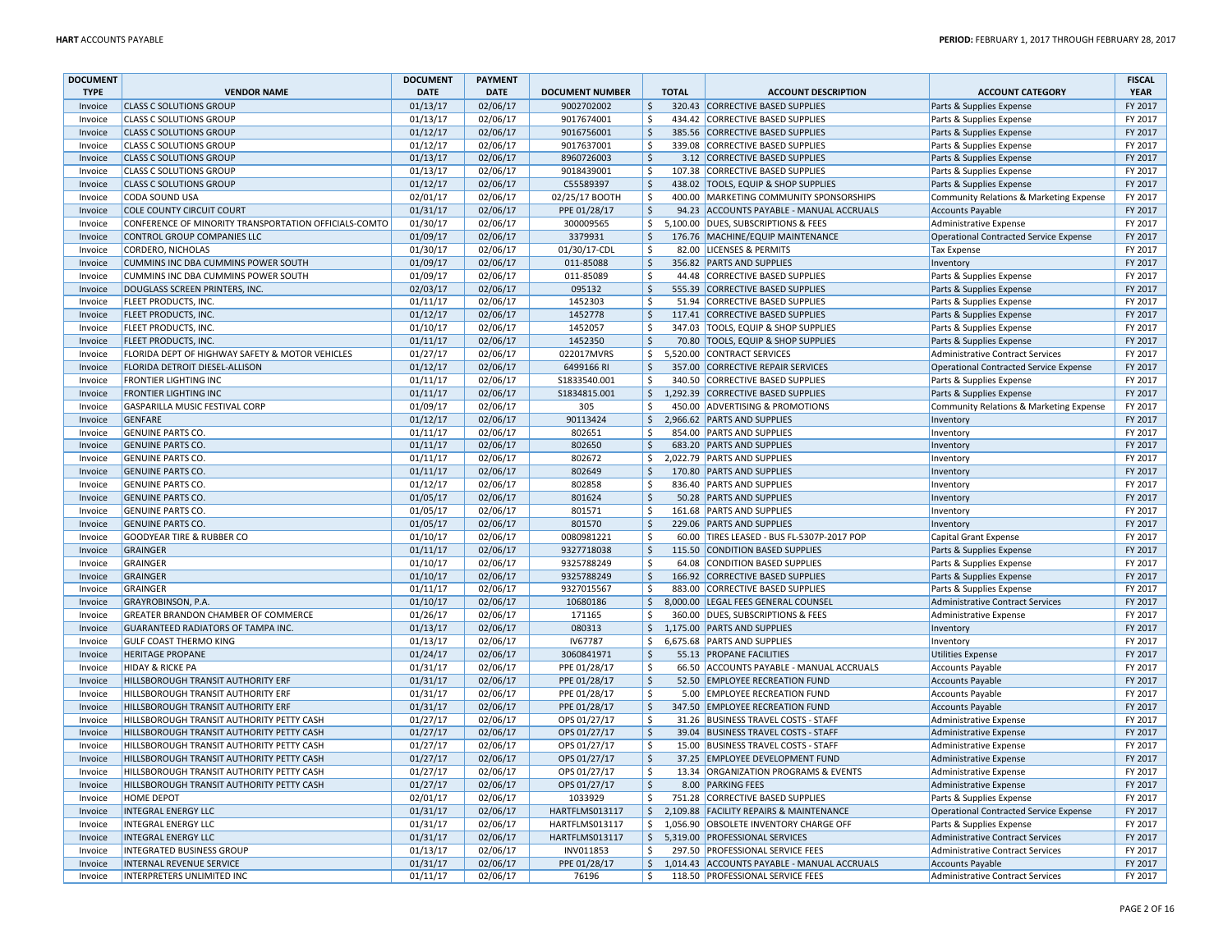| <b>DOCUMENT</b>    |                                                                     | <b>DOCUMENT</b>      | <b>PAYMENT</b>       |                        |                        |              |                                                            |                                                     | <b>FISCAL</b>      |
|--------------------|---------------------------------------------------------------------|----------------------|----------------------|------------------------|------------------------|--------------|------------------------------------------------------------|-----------------------------------------------------|--------------------|
| <b>TYPE</b>        | <b>VENDOR NAME</b>                                                  | <b>DATE</b>          | <b>DATE</b>          | <b>DOCUMENT NUMBER</b> |                        | <b>TOTAL</b> | <b>ACCOUNT DESCRIPTION</b>                                 | <b>ACCOUNT CATEGORY</b>                             | <b>YEAR</b>        |
| Invoice            | <b>CLASS C SOLUTIONS GROUP</b>                                      | 01/13/17             | 02/06/17             | 9002702002             | $\frac{1}{2}$          |              | 320.43 CORRECTIVE BASED SUPPLIES                           | Parts & Supplies Expense                            | FY 2017            |
| Invoice            | <b>CLASS C SOLUTIONS GROUP</b>                                      | 01/13/17             | 02/06/17             | 9017674001             | \$                     |              | 434.42 CORRECTIVE BASED SUPPLIES                           | Parts & Supplies Expense                            | FY 2017            |
| Invoice            | <b>CLASS C SOLUTIONS GROUP</b>                                      | 01/12/17             | 02/06/17             | 9016756001             | $\zeta$                |              | 385.56 CORRECTIVE BASED SUPPLIES                           | Parts & Supplies Expense                            | FY 2017            |
| Invoice            | <b>CLASS C SOLUTIONS GROUP</b>                                      | 01/12/17             | 02/06/17             | 9017637001             | \$                     |              | 339.08 CORRECTIVE BASED SUPPLIES                           | Parts & Supplies Expense                            | FY 2017            |
| Invoice            | <b>CLASS C SOLUTIONS GROUP</b>                                      | 01/13/17             | 02/06/17             | 8960726003             | $\zeta$                |              | 3.12 CORRECTIVE BASED SUPPLIES                             | Parts & Supplies Expense                            | FY 2017            |
| Invoice            | <b>CLASS C SOLUTIONS GROUP</b>                                      | 01/13/17             | 02/06/17             | 9018439001             | $\zeta$                |              | 107.38 CORRECTIVE BASED SUPPLIES                           | Parts & Supplies Expense                            | FY 2017            |
| Invoice            | <b>CLASS C SOLUTIONS GROUP</b>                                      | 01/12/17             | 02/06/17             | C55589397              | \$                     |              | 438.02 TOOLS, EQUIP & SHOP SUPPLIES                        | Parts & Supplies Expense                            | FY 2017            |
| Invoice            | CODA SOUND USA                                                      | 02/01/17             | 02/06/17             | 02/25/17 BOOTH         | Ŝ.                     |              | 400.00 MARKETING COMMUNITY SPONSORSHIPS                    | Community Relations & Marketing Expense             | FY 2017            |
| Invoice            | <b>COLE COUNTY CIRCUIT COURT</b>                                    | 01/31/17             | 02/06/17             | PPE 01/28/17           | $\ddot{\mathsf{S}}$    |              | 94.23 ACCOUNTS PAYABLE - MANUAL ACCRUALS                   | <b>Accounts Payable</b>                             | FY 2017            |
| Invoice            | CONFERENCE OF MINORITY TRANSPORTATION OFFICIALS-COMTO               | 01/30/17             | 02/06/17             | 300009565              | \$                     |              | 5,100.00 DUES, SUBSCRIPTIONS & FEES                        | Administrative Expense                              | FY 2017            |
| Invoice            | <b>CONTROL GROUP COMPANIES LLC</b>                                  | 01/09/17             | 02/06/17             | 3379931                | <sup>\$</sup>          |              | 176.76 MACHINE/EQUIP MAINTENANCE                           | Operational Contracted Service Expense              | FY 2017            |
| Invoice            | <b>CORDERO, NICHOLAS</b>                                            | 01/30/17             | 02/06/17             | 01/30/17-CDL           | $\zeta$                |              | 82.00 LICENSES & PERMITS                                   | Tax Expense                                         | FY 2017            |
| Invoice            | CUMMINS INC DBA CUMMINS POWER SOUTH                                 | 01/09/17             | 02/06/17             | 011-85088              | \$                     |              | 356.82 PARTS AND SUPPLIES                                  | Inventory                                           | FY 2017            |
| Invoice            | <b>CUMMINS INC DBA CUMMINS POWER SOUTH</b>                          | 01/09/17             | 02/06/17             | 011-85089              | -Ś                     |              | 44.48 CORRECTIVE BASED SUPPLIES                            | Parts & Supplies Expense                            | FY 2017            |
| Invoice            | DOUGLASS SCREEN PRINTERS, INC.                                      | 02/03/17             | 02/06/17             | 095132                 | $\zeta$                |              | 555.39 CORRECTIVE BASED SUPPLIES                           | Parts & Supplies Expense                            | FY 2017            |
| Invoice            | FLEET PRODUCTS, INC                                                 | 01/11/17             | 02/06/17             | 1452303                | $\zeta$                |              | 51.94 CORRECTIVE BASED SUPPLIES                            | Parts & Supplies Expense                            | FY 2017            |
| Invoice            | <b>FLEET PRODUCTS, INC.</b>                                         | 01/12/17             | 02/06/17             | 1452778                | $\zeta$                |              | 117.41 CORRECTIVE BASED SUPPLIES                           | Parts & Supplies Expense                            | FY 2017            |
| Invoice            | FLEET PRODUCTS, INC.                                                | 01/10/17             | 02/06/17             | 1452057                | $\zeta$                |              | 347.03 TOOLS, EQUIP & SHOP SUPPLIES                        | Parts & Supplies Expense                            | FY 2017            |
| Invoice            | <b>FLEET PRODUCTS, INC.</b>                                         | 01/11/17             | 02/06/17             | 1452350                | $\ddot{\mathsf{S}}$    |              | 70.80 TOOLS, EQUIP & SHOP SUPPLIES                         | Parts & Supplies Expense                            | FY 2017            |
| Invoice            | FLORIDA DEPT OF HIGHWAY SAFETY & MOTOR VEHICLES                     | 01/27/17             | 02/06/17             | 022017MVRS             | \$                     |              | 5,520.00 CONTRACT SERVICES                                 | <b>Administrative Contract Services</b>             | FY 2017            |
| Invoice            | FLORIDA DETROIT DIESEL-ALLISON                                      | 01/12/17             | 02/06/17             | 6499166 RI             | $\zeta$                |              | 357.00 CORRECTIVE REPAIR SERVICES                          | Operational Contracted Service Expense              | FY 2017            |
| Invoice            | <b>FRONTIER LIGHTING INC</b>                                        | 01/11/17             | 02/06/17             | S1833540.001           | \$                     |              | 340.50 CORRECTIVE BASED SUPPLIES                           | Parts & Supplies Expense                            | FY 2017            |
| Invoice            | <b>FRONTIER LIGHTING INC</b>                                        | 01/11/17             | 02/06/17             | \$1834815.001          | $\ddot{\mathsf{S}}$    |              | 1,292.39 CORRECTIVE BASED SUPPLIES                         | Parts & Supplies Expense                            | FY 2017            |
| Invoice            | <b>GASPARILLA MUSIC FESTIVAL CORP</b>                               | 01/09/17             | 02/06/17             | 305                    | $\zeta$                |              | 450.00 ADVERTISING & PROMOTIONS                            | Community Relations & Marketing Expense             | FY 2017            |
| Invoice            | <b>GENFARE</b>                                                      | 01/12/17             | 02/06/17             | 90113424               | $\ddot{\mathsf{S}}$    |              | 2.966.62 PARTS AND SUPPLIES                                | Inventory                                           | FY 2017            |
| Invoice            | <b>GENUINE PARTS CO.</b>                                            | 01/11/17             | 02/06/17             | 802651                 | \$                     |              | 854.00 PARTS AND SUPPLIES                                  | Inventory                                           | FY 2017            |
| Invoice            | <b>GENUINE PARTS CO</b>                                             | 01/11/17             | 02/06/17             | 802650                 | $\zeta$                |              | 683.20 PARTS AND SUPPLIES                                  | Inventory                                           | FY 2017            |
| Invoice            | <b>GENUINE PARTS CO</b>                                             | 01/11/17             | 02/06/17             | 802672                 | Ŝ.                     |              | 2,022.79 PARTS AND SUPPLIES                                | Inventory                                           | FY 2017            |
| Invoice            | <b>GENUINE PARTS CO.</b>                                            | 01/11/17             | 02/06/17             | 802649                 | $\ddot{\mathsf{S}}$    |              | 170.80 PARTS AND SUPPLIES                                  | Inventory                                           | FY 2017            |
| Invoice            | <b>GENUINE PARTS CO</b>                                             | 01/12/17             | 02/06/17             | 802858                 | \$                     |              | 836.40 PARTS AND SUPPLIES                                  | Inventory                                           | FY 2017            |
| Invoice            | <b>GENUINE PARTS CO.</b>                                            | 01/05/17             | 02/06/17             | 801624                 | $\zeta$                |              | 50.28 PARTS AND SUPPLIES                                   | Inventory                                           | FY 2017            |
| Invoice            | <b>GENUINE PARTS CO</b>                                             | 01/05/17             | 02/06/17             | 801571                 | Ŝ.                     |              | 161.68 PARTS AND SUPPLIES                                  | Inventory                                           | FY 2017            |
| Invoice            | <b>GENUINE PARTS CO.</b>                                            | 01/05/17             | 02/06/17             | 801570                 | $\zeta$                |              | 229.06 PARTS AND SUPPLIES                                  | Inventory                                           | FY 2017            |
| Invoice            | <b>GOODYEAR TIRE &amp; RUBBER CO</b>                                | 01/10/17             | 02/06/17             | 0080981221             | \$                     |              | 60.00 TIRES LEASED - BUS FL-5307P-2017 POP                 | <b>Capital Grant Expense</b>                        | FY 2017            |
| Invoice            | <b>GRAINGER</b>                                                     | 01/11/17             | 02/06/17             | 9327718038             | \$                     |              | 115.50 CONDITION BASED SUPPLIES                            | Parts & Supplies Expense                            | FY 2017            |
| Invoice            | <b>GRAINGER</b>                                                     | 01/10/17             | 02/06/17             | 9325788249             | $\zeta$                |              | 64.08 CONDITION BASED SUPPLIES                             | Parts & Supplies Expense                            | FY 2017            |
| Invoice            | <b>GRAINGER</b>                                                     | 01/10/17             | 02/06/17             | 9325788249             | $\ddot{\mathsf{S}}$    |              | 166.92 CORRECTIVE BASED SUPPLIES                           | Parts & Supplies Expense                            | FY 2017            |
| Invoice            | <b>GRAINGER</b>                                                     | 01/11/17             | 02/06/17             | 9327015567             | Ŝ.                     |              | 883.00 CORRECTIVE BASED SUPPLIES                           | Parts & Supplies Expense                            | FY 2017            |
| Invoice            | GRAYROBINSON, P.A.                                                  | 01/10/17             | 02/06/17             | 10680186               | $\frac{1}{2}$          |              | 8,000.00 LEGAL FEES GENERAL COUNSEL                        | Administrative Contract Services                    | FY 2017            |
| Invoice            | GREATER BRANDON CHAMBER OF COMMERCE                                 | 01/26/17             | 02/06/17             | 171165                 | $\zeta$                |              | 360.00 DUES, SUBSCRIPTIONS & FEES                          | Administrative Expense                              | FY 2017            |
| Invoice<br>Invoice | GUARANTEED RADIATORS OF TAMPA INC.<br><b>GULF COAST THERMO KING</b> | 01/13/17             | 02/06/17             | 080313<br>IV67787      | $\zeta$<br>\$          |              | 1,175.00 PARTS AND SUPPLIES<br>6,675.68 PARTS AND SUPPLIES | Inventory                                           | FY 2017<br>FY 2017 |
| Invoice            | <b>HERITAGE PROPANE</b>                                             | 01/13/17<br>01/24/17 | 02/06/17<br>02/06/17 | 3060841971             |                        |              | 55.13 PROPANE FACILITIES                                   | Inventory                                           | FY 2017            |
| Invoice            | <b>HIDAY &amp; RICKE PA</b>                                         | 01/31/17             | 02/06/17             | PPE 01/28/17           | \$<br>\$               |              | 66.50 ACCOUNTS PAYABLE - MANUAL ACCRUALS                   | <b>Utilities Expense</b><br><b>Accounts Payable</b> | FY 2017            |
| Invoice            | HILLSBOROUGH TRANSIT AUTHORITY ERF                                  | 01/31/17             | 02/06/17             | PPE 01/28/17           | $\overline{\varsigma}$ |              | 52.50 EMPLOYEE RECREATION FUND                             | Accounts Payable                                    | FY 2017            |
|                    | HILLSBOROUGH TRANSIT AUTHORITY ERF                                  | 01/31/17             | 02/06/17             | PPE 01/28/17           | $\zeta$                |              | 5.00 EMPLOYEE RECREATION FUND                              | Accounts Payable                                    | FY 2017            |
| Invoice<br>Invoice | HILLSBOROUGH TRANSIT AUTHORITY ERF                                  | 01/31/17             | 02/06/17             | PPE 01/28/17           | $\ddot{\mathsf{S}}$    |              | 347.50 EMPLOYEE RECREATION FUND                            | Accounts Payable                                    | FY 2017            |
| Invoice            | HILLSBOROUGH TRANSIT AUTHORITY PETTY CASH                           | 01/27/17             | 02/06/17             | OPS 01/27/17           | \$                     |              | 31.26 BUSINESS TRAVEL COSTS - STAFF                        | Administrative Expense                              | FY 2017            |
| Invoice            | HILLSBOROUGH TRANSIT AUTHORITY PETTY CASH                           | 01/27/17             | 02/06/17             | OPS 01/27/17           | $\ddot{\mathsf{S}}$    |              | 39.04 BUSINESS TRAVEL COSTS - STAFF                        | Administrative Expense                              | FY 2017            |
| Invoice            | HILLSBOROUGH TRANSIT AUTHORITY PETTY CASH                           | 01/27/17             | 02/06/17             | OPS 01/27/17           | $\zeta$                |              | 15.00 BUSINESS TRAVEL COSTS - STAFF                        | Administrative Expense                              | FY 2017            |
| Invoice            | HILLSBOROUGH TRANSIT AUTHORITY PETTY CASH                           | 01/27/17             | 02/06/17             | OPS 01/27/17           | $\zeta$                |              | 37.25 EMPLOYEE DEVELOPMENT FUND                            | Administrative Expense                              | FY 2017            |
| Invoice            | HILLSBOROUGH TRANSIT AUTHORITY PETTY CASH                           | 01/27/17             | 02/06/17             | OPS 01/27/17           | \$                     |              | 13.34 ORGANIZATION PROGRAMS & EVENTS                       | Administrative Expense                              | FY 2017            |
| Invoice            | HILLSBOROUGH TRANSIT AUTHORITY PETTY CASH                           | 01/27/17             | 02/06/17             | OPS 01/27/17           | \$                     |              | 8.00 PARKING FEES                                          | Administrative Expense                              | FY 2017            |
| Invoice            | HOME DEPOT                                                          | 02/01/17             | 02/06/17             | 1033929                | Ŝ.                     |              | 751.28 CORRECTIVE BASED SUPPLIES                           | Parts & Supplies Expense                            | FY 2017            |
| Invoice            | <b>INTEGRAL ENERGY LLC</b>                                          | 01/31/17             | 02/06/17             | HARTFLMS013117         | \$                     |              | 2,109.88 FACILITY REPAIRS & MAINTENANCE                    | <b>Operational Contracted Service Expense</b>       | FY 2017            |
| Invoice            | <b>INTEGRAL ENERGY LLC</b>                                          | 01/31/17             | 02/06/17             | HARTFLMS013117         | \$                     |              | 1,056.90 OBSOLETE INVENTORY CHARGE OFF                     | Parts & Supplies Expense                            | FY 2017            |
| Invoice            | <b>INTEGRAL ENERGY LLC</b>                                          | 01/31/17             | 02/06/17             | HARTFLMS013117         | \$                     |              | 5,319.00 PROFESSIONAL SERVICES                             | Administrative Contract Services                    | FY 2017            |
| Invoice            | <b>INTEGRATED BUSINESS GROUP</b>                                    | 01/13/17             | 02/06/17             | INV011853              | Ŝ.                     |              | 297.50 PROFESSIONAL SERVICE FEES                           | <b>Administrative Contract Services</b>             | FY 2017            |
| Invoice            | <b>INTERNAL REVENUE SERVICE</b>                                     | 01/31/17             | 02/06/17             | PPE 01/28/17           | $\ddot{\mathsf{S}}$    |              | 1,014.43 ACCOUNTS PAYABLE - MANUAL ACCRUALS                | Accounts Payable                                    | FY 2017            |
| Invoice            | INTERPRETERS UNLIMITED INC                                          | 01/11/17             | 02/06/17             | 76196                  | Ŝ.                     |              | 118.50 PROFESSIONAL SERVICE FEES                           | Administrative Contract Services                    | FY 2017            |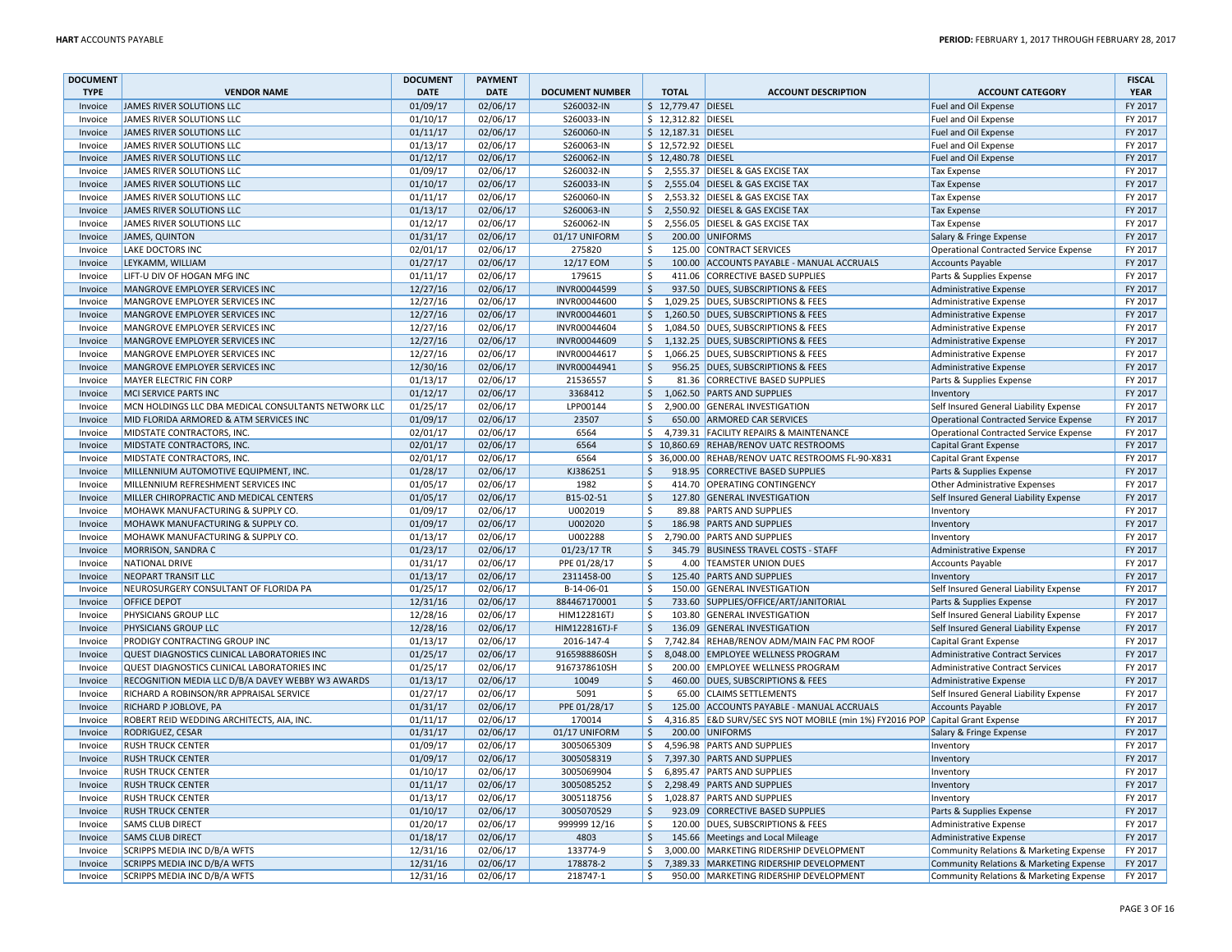| <b>DOCUMENT</b> |                                                      | <b>DOCUMENT</b> | <b>PAYMENT</b> |                        |                     |                     |                                                          |                                         | <b>FISCAL</b> |
|-----------------|------------------------------------------------------|-----------------|----------------|------------------------|---------------------|---------------------|----------------------------------------------------------|-----------------------------------------|---------------|
| <b>TYPE</b>     | <b>VENDOR NAME</b>                                   | <b>DATE</b>     | <b>DATE</b>    | <b>DOCUMENT NUMBER</b> |                     | <b>TOTAL</b>        | <b>ACCOUNT DESCRIPTION</b>                               | <b>ACCOUNT CATEGORY</b>                 | <b>YEAR</b>   |
| Invoice         | JAMES RIVER SOLUTIONS LLC                            | 01/09/17        | 02/06/17       | S260032-IN             |                     | \$ 12,779.47 DIESEL |                                                          | Fuel and Oil Expense                    | FY 2017       |
| Invoice         | JAMES RIVER SOLUTIONS LLC                            | 01/10/17        | 02/06/17       | S260033-IN             |                     | \$ 12,312.82 DIESEL |                                                          | Fuel and Oil Expense                    | FY 2017       |
| Invoice         | JAMES RIVER SOLUTIONS LLC                            | 01/11/17        | 02/06/17       | S260060-IN             |                     | \$ 12,187.31 DIESEL |                                                          | Fuel and Oil Expense                    | FY 2017       |
| Invoice         | JAMES RIVER SOLUTIONS LLC                            | 01/13/17        | 02/06/17       | S260063-IN             |                     | \$ 12,572.92 DIESEL |                                                          | Fuel and Oil Expense                    | FY 2017       |
| Invoice         | JAMES RIVER SOLUTIONS LLC                            | 01/12/17        | 02/06/17       | S260062-IN             |                     | \$12,480.78 DIESEL  |                                                          | Fuel and Oil Expense                    | FY 2017       |
| Invoice         | JAMES RIVER SOLUTIONS LLC                            | 01/09/17        | 02/06/17       | S260032-IN             | $\mathsf{S}$        |                     | 2,555.37 DIESEL & GAS EXCISE TAX                         | <b>Tax Expense</b>                      | FY 2017       |
| Invoice         | JAMES RIVER SOLUTIONS LLC                            | 01/10/17        | 02/06/17       | S260033-IN             | \$                  |                     | 2,555.04 DIESEL & GAS EXCISE TAX                         | <b>Tax Expense</b>                      | FY 2017       |
| Invoice         | JAMES RIVER SOLUTIONS LLC                            | 01/11/17        | 02/06/17       | S260060-IN             | Ŝ.                  |                     | 2,553.32 DIESEL & GAS EXCISE TAX                         | <b>Tax Expense</b>                      | FY 2017       |
| Invoice         | JAMES RIVER SOLUTIONS LLC                            | 01/13/17        | 02/06/17       | S260063-IN             | Ŝ.                  |                     | 2,550.92 DIESEL & GAS EXCISE TAX                         | <b>Tax Expense</b>                      | FY 2017       |
| Invoice         | JAMES RIVER SOLUTIONS LLC                            | 01/12/17        | 02/06/17       | S260062-IN             | \$                  |                     | 2,556.05 DIESEL & GAS EXCISE TAX                         | <b>Tax Expense</b>                      | FY 2017       |
| Invoice         | <b>JAMES, QUINTON</b>                                | 01/31/17        | 02/06/17       | 01/17 UNIFORM          | $\zeta$             |                     | 200.00 UNIFORMS                                          | Salary & Fringe Expense                 | FY 2017       |
| Invoice         | LAKE DOCTORS INC                                     | 02/01/17        | 02/06/17       | 275820                 | \$                  |                     | 125.00 CONTRACT SERVICES                                 | Operational Contracted Service Expense  | FY 2017       |
| Invoice         | LEYKAMM, WILLIAM                                     | 01/27/17        | 02/06/17       | 12/17 EOM              | \$                  |                     | 100.00 ACCOUNTS PAYABLE - MANUAL ACCRUALS                | <b>Accounts Payable</b>                 | FY 2017       |
| Invoice         | LIFT-U DIV OF HOGAN MFG INC                          | 01/11/17        | 02/06/17       | 179615                 | Ŝ.                  |                     | 411.06 CORRECTIVE BASED SUPPLIES                         | Parts & Supplies Expense                | FY 2017       |
| Invoice         | MANGROVE EMPLOYER SERVICES INC                       | 12/27/16        | 02/06/17       | INVR00044599           | $\ddot{\mathsf{S}}$ |                     | 937.50 DUES, SUBSCRIPTIONS & FEES                        | Administrative Expense                  | FY 2017       |
|                 |                                                      |                 | 02/06/17       |                        | $\mathsf{\$}$       |                     |                                                          |                                         | FY 2017       |
| Invoice         | MANGROVE EMPLOYER SERVICES INC                       | 12/27/16        |                | INVR00044600           |                     |                     | 1,029.25 DUES, SUBSCRIPTIONS & FEES                      | Administrative Expense                  |               |
| Invoice         | MANGROVE EMPLOYER SERVICES INC                       | 12/27/16        | 02/06/17       | INVR00044601           | \$                  |                     | 1,260.50 DUES, SUBSCRIPTIONS & FEES                      | Administrative Expense                  | FY 2017       |
| Invoice         | MANGROVE EMPLOYER SERVICES INC                       | 12/27/16        | 02/06/17       | INVR00044604           | \$                  |                     | 1,084.50 DUES, SUBSCRIPTIONS & FEES                      | Administrative Expense                  | FY 2017       |
| Invoice         | MANGROVE EMPLOYER SERVICES INC                       | 12/27/16        | 02/06/17       | INVR00044609           | \$                  |                     | 1,132.25 DUES, SUBSCRIPTIONS & FEES                      | Administrative Expense                  | FY 2017       |
| Invoice         | MANGROVE EMPLOYER SERVICES INC                       | 12/27/16        | 02/06/17       | INVR00044617           | \$                  |                     | 1,066.25 DUES, SUBSCRIPTIONS & FEES                      | Administrative Expense                  | FY 2017       |
| Invoice         | MANGROVE EMPLOYER SERVICES INC                       | 12/30/16        | 02/06/17       | INVR00044941           | $\ddot{\mathsf{S}}$ |                     | 956.25 DUES, SUBSCRIPTIONS & FEES                        | Administrative Expense                  | FY 2017       |
| Invoice         | <b>MAYER ELECTRIC FIN CORP</b>                       | 01/13/17        | 02/06/17       | 21536557               | $\zeta$             |                     | 81.36 CORRECTIVE BASED SUPPLIES                          | Parts & Supplies Expense                | FY 2017       |
| Invoice         | MCI SERVICE PARTS INC                                | 01/12/17        | 02/06/17       | 3368412                | $\frac{1}{2}$       |                     | 1,062.50 PARTS AND SUPPLIES                              | Inventory                               | FY 2017       |
| Invoice         | MCN HOLDINGS LLC DBA MEDICAL CONSULTANTS NETWORK LLC | 01/25/17        | 02/06/17       | LPP00144               | Ŝ.                  |                     | 2,900.00 GENERAL INVESTIGATION                           | Self Insured General Liability Expense  | FY 2017       |
| Invoice         | MID FLORIDA ARMORED & ATM SERVICES INC               | 01/09/17        | 02/06/17       | 23507                  | \$                  |                     | 650.00 ARMORED CAR SERVICES                              | Operational Contracted Service Expense  | FY 2017       |
| Invoice         | MIDSTATE CONTRACTORS, INC.                           | 02/01/17        | 02/06/17       | 6564                   | Ŝ.                  |                     | 4,739.31 FACILITY REPAIRS & MAINTENANCE                  | Operational Contracted Service Expense  | FY 2017       |
| Invoice         | MIDSTATE CONTRACTORS, INC.                           | 02/01/17        | 02/06/17       | 6564                   |                     |                     | \$10,860.69 REHAB/RENOV UATC RESTROOMS                   | Capital Grant Expense                   | FY 2017       |
| Invoice         | MIDSTATE CONTRACTORS, INC                            | 02/01/17        | 02/06/17       | 6564                   |                     |                     | \$ 36,000.00 REHAB/RENOV UATC RESTROOMS FL-90-X831       | Capital Grant Expense                   | FY 2017       |
| Invoice         | MILLENNIUM AUTOMOTIVE EQUIPMENT, INC.                | 01/28/17        | 02/06/17       | KJ386251               | \$                  |                     | 918.95 CORRECTIVE BASED SUPPLIES                         | Parts & Supplies Expense                | FY 2017       |
| Invoice         | MILLENNIUM REFRESHMENT SERVICES INC                  | 01/05/17        | 02/06/17       | 1982                   | \$                  |                     | 414.70 OPERATING CONTINGENCY                             | Other Administrative Expenses           | FY 2017       |
| Invoice         | MILLER CHIROPRACTIC AND MEDICAL CENTERS              | 01/05/17        | 02/06/17       | B15-02-51              | $\ddot{\mathsf{S}}$ |                     | 127.80 GENERAL INVESTIGATION                             | Self Insured General Liability Expense  | FY 2017       |
| Invoice         | MOHAWK MANUFACTURING & SUPPLY CO.                    | 01/09/17        | 02/06/17       | U002019                | \$                  |                     | 89.88 PARTS AND SUPPLIES                                 | Inventory                               | FY 2017       |
| Invoice         | MOHAWK MANUFACTURING & SUPPLY CO.                    | 01/09/17        | 02/06/17       | U002020                | Ś.                  |                     | 186.98 PARTS AND SUPPLIES                                | Inventory                               | FY 2017       |
| Invoice         | MOHAWK MANUFACTURING & SUPPLY CO.                    | 01/13/17        | 02/06/17       | U002288                | \$                  |                     | 2,790.00 PARTS AND SUPPLIES                              | Inventory                               | FY 2017       |
| Invoice         | MORRISON, SANDRA C                                   | 01/23/17        | 02/06/17       | 01/23/17 TR            | \$                  |                     | 345.79 BUSINESS TRAVEL COSTS - STAFF                     | Administrative Expense                  | FY 2017       |
| Invoice         | <b>NATIONAL DRIVE</b>                                | 01/31/17        | 02/06/17       | PPE 01/28/17           | $\zeta$             |                     | 4.00 TEAMSTER UNION DUES                                 | <b>Accounts Payable</b>                 | FY 2017       |
| Invoice         | NEOPART TRANSIT LLC                                  | 01/13/17        | 02/06/17       | 2311458-00             | \$                  |                     | 125.40 PARTS AND SUPPLIES                                | Inventory                               | FY 2017       |
| Invoice         | NEUROSURGERY CONSULTANT OF FLORIDA PA                | 01/25/17        | 02/06/17       | B-14-06-01             | Ŝ.                  |                     | 150.00 GENERAL INVESTIGATION                             | Self Insured General Liability Expense  | FY 2017       |
| Invoice         | <b>OFFICE DEPOT</b>                                  | 12/31/16        | 02/06/17       | 884467170001           | \$                  |                     | 733.60 SUPPLIES/OFFICE/ART/JANITORIAL                    | Parts & Supplies Expense                | FY 2017       |
| Invoice         | PHYSICIANS GROUP LLC                                 | 12/28/16        | 02/06/17       | HIM122816TJ            | \$                  |                     | 103.80 GENERAL INVESTIGATION                             | Self Insured General Liability Expense  | FY 2017       |
| Invoice         | PHYSICIANS GROUP LLC                                 | 12/28/16        | 02/06/17       | HIM122816TJ-F          | \$                  |                     | 136.09 GENERAL INVESTIGATION                             | Self Insured General Liability Expense  | FY 2017       |
| Invoice         | PRODIGY CONTRACTING GROUP INC                        | 01/13/17        | 02/06/17       | 2016-147-4             | Ŝ.                  |                     | 7,742.84 REHAB/RENOV ADM/MAIN FAC PM ROOF                | Capital Grant Expense                   | FY 2017       |
| Invoice         | QUEST DIAGNOSTICS CLINICAL LABORATORIES INC          | 01/25/17        | 02/06/17       | 9165988860SH           | \$                  |                     | 8,048.00 EMPLOYEE WELLNESS PROGRAM                       | <b>Administrative Contract Services</b> | FY 2017       |
| Invoice         | QUEST DIAGNOSTICS CLINICAL LABORATORIES INC          | 01/25/17        | 02/06/17       | 9167378610SH           | -\$                 |                     | 200.00 EMPLOYEE WELLNESS PROGRAM                         | Administrative Contract Services        | FY 2017       |
| Invoice         | RECOGNITION MEDIA LLC D/B/A DAVEY WEBBY W3 AWARDS    | 01/13/17        | 02/06/17       | 10049                  | $\zeta$             |                     | 460.00 DUES, SUBSCRIPTIONS & FEES                        | Administrative Expense                  | FY 2017       |
| Invoice         | RICHARD A ROBINSON/RR APPRAISAL SERVICE              | 01/27/17        | 02/06/17       | 5091                   | $\zeta$             |                     | 65.00 CLAIMS SETTLEMENTS                                 | Self Insured General Liability Expense  | FY 2017       |
| Invoice         | RICHARD P JOBLOVE, PA                                | 01/31/17        | 02/06/17       | PPE 01/28/17           | $\ddot{\mathsf{S}}$ |                     | 125.00 ACCOUNTS PAYABLE - MANUAL ACCRUALS                | Accounts Payable                        | FY 2017       |
| Invoice         | ROBERT REID WEDDING ARCHITECTS, AIA, INC.            | 01/11/17        | 02/06/17       | 170014                 | Ŝ.                  |                     | 4,316.85 E&D SURV/SEC SYS NOT MOBILE (min 1%) FY2016 POP | Capital Grant Expense                   | FY 2017       |
|                 | RODRIGUEZ, CESAR                                     |                 | 02/06/17       | 01/17 UNIFORM          | \$                  |                     | 200.00 UNIFORMS                                          |                                         | FY 2017       |
| Invoice         | <b>RUSH TRUCK CENTER</b>                             | 01/31/17        | 02/06/17       |                        | \$                  |                     | 4,596.98 PARTS AND SUPPLIES                              | Salary & Fringe Expense                 | FY 2017       |
| Invoice         |                                                      | 01/09/17        |                | 3005065309             |                     |                     |                                                          | Inventory                               |               |
| Invoice         | <b>RUSH TRUCK CENTER</b>                             | 01/09/17        | 02/06/17       | 3005058319             | $\frac{1}{2}$       |                     | 7,397.30 PARTS AND SUPPLIES                              | Inventory                               | FY 2017       |
| Invoice         | <b>RUSH TRUCK CENTER</b>                             | 01/10/17        | 02/06/17       | 3005069904             | \$                  |                     | 6,895.47 PARTS AND SUPPLIES                              | Inventory                               | FY 2017       |
| Invoice         | <b>RUSH TRUCK CENTER</b>                             | 01/11/17        | 02/06/17       | 3005085252             | \$                  |                     | 2,298.49 PARTS AND SUPPLIES                              | Inventory                               | FY 2017       |
| Invoice         | <b>RUSH TRUCK CENTER</b>                             | 01/13/17        | 02/06/17       | 3005118756             | \$                  |                     | 1,028.87 PARTS AND SUPPLIES                              | Inventory                               | FY 2017       |
| Invoice         | <b>RUSH TRUCK CENTER</b>                             | 01/10/17        | 02/06/17       | 3005070529             | $\ddot{\mathsf{S}}$ |                     | 923.09 CORRECTIVE BASED SUPPLIES                         | Parts & Supplies Expense                | FY 2017       |
| Invoice         | <b>SAMS CLUB DIRECT</b>                              | 01/20/17        | 02/06/17       | 999999 12/16           | $\zeta$             |                     | 120.00 DUES, SUBSCRIPTIONS & FEES                        | Administrative Expense                  | FY 2017       |
| Invoice         | <b>SAMS CLUB DIRECT</b>                              | 01/18/17        | 02/06/17       | 4803                   | \$                  |                     | 145.66 Meetings and Local Mileage                        | Administrative Expense                  | FY 2017       |
| Invoice         | <b>SCRIPPS MEDIA INC D/B/A WFTS</b>                  | 12/31/16        | 02/06/17       | 133774-9               | Ŝ.                  |                     | 3,000.00 MARKETING RIDERSHIP DEVELOPMENT                 | Community Relations & Marketing Expense | FY 2017       |
| Invoice         | SCRIPPS MEDIA INC D/B/A WFTS                         | 12/31/16        | 02/06/17       | 178878-2               | \$                  |                     | 7,389.33 MARKETING RIDERSHIP DEVELOPMENT                 | Community Relations & Marketing Expense | FY 2017       |
| Invoice         | SCRIPPS MEDIA INC D/B/A WFTS                         | 12/31/16        | 02/06/17       | 218747-1               | Ŝ.                  |                     | 950.00 MARKETING RIDERSHIP DEVELOPMENT                   | Community Relations & Marketing Expense | FY 2017       |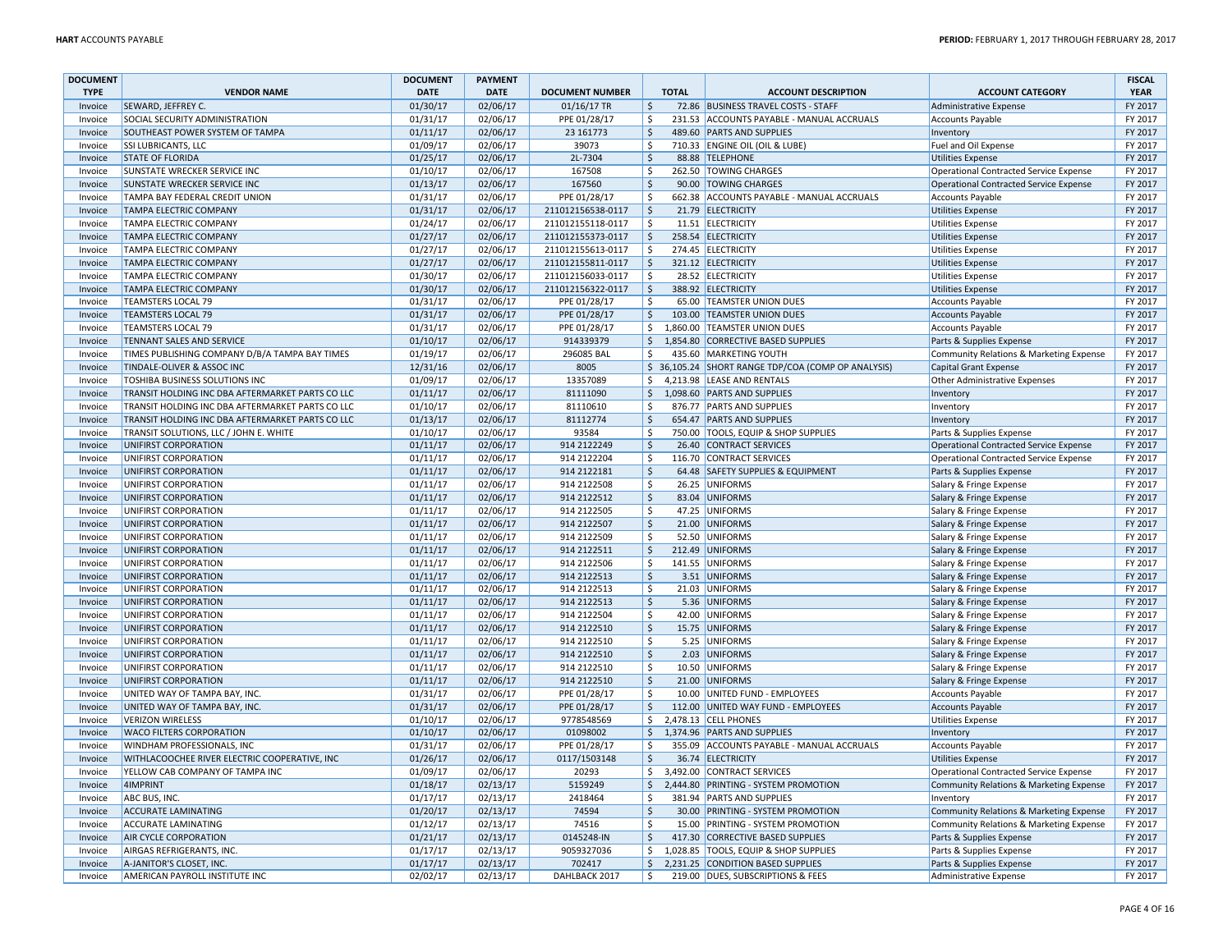| <b>DOCUMENT</b> |                                                  | <b>DOCUMENT</b>      | <b>PAYMENT</b> |                        |                         |              |                                                     |                                               | <b>FISCAL</b> |
|-----------------|--------------------------------------------------|----------------------|----------------|------------------------|-------------------------|--------------|-----------------------------------------------------|-----------------------------------------------|---------------|
| <b>TYPE</b>     | <b>VENDOR NAME</b>                               | <b>DATE</b>          | <b>DATE</b>    | <b>DOCUMENT NUMBER</b> |                         | <b>TOTAL</b> | <b>ACCOUNT DESCRIPTION</b>                          | <b>ACCOUNT CATEGORY</b>                       | <b>YEAR</b>   |
| Invoice         | SEWARD, JEFFREY C.                               | 01/30/17             | 02/06/17       | 01/16/17 TR            | $\frac{1}{2}$           |              | 72.86 BUSINESS TRAVEL COSTS - STAFF                 | Administrative Expense                        | FY 2017       |
| Invoice         | SOCIAL SECURITY ADMINISTRATION                   | 01/31/17             | 02/06/17       | PPE 01/28/17           | \$                      |              | 231.53 ACCOUNTS PAYABLE - MANUAL ACCRUALS           | Accounts Payable                              | FY 2017       |
| Invoice         | SOUTHEAST POWER SYSTEM OF TAMPA                  | 01/11/17             | 02/06/17       | 23 16 1773             | $\mathsf{\hat{S}}$      |              | 489.60 PARTS AND SUPPLIES                           | Inventory                                     | FY 2017       |
| Invoice         | <b>SSI LUBRICANTS, LLC</b>                       | 01/09/17             | 02/06/17       | 39073                  | Ŝ.                      |              | 710.33 ENGINE OIL (OIL & LUBE)                      | Fuel and Oil Expense                          | FY 2017       |
| Invoice         | <b>STATE OF FLORIDA</b>                          | 01/25/17             | 02/06/17       | 2L-7304                | <sup>\$</sup>           |              | 88.88 TELEPHONE                                     | Utilities Expense                             | FY 2017       |
| Invoice         | SUNSTATE WRECKER SERVICE INC                     | 01/10/17             | 02/06/17       | 167508                 | $\zeta$                 |              | 262.50 TOWING CHARGES                               | <b>Operational Contracted Service Expense</b> | FY 2017       |
| Invoice         | SUNSTATE WRECKER SERVICE INC                     | 01/13/17             | 02/06/17       | 167560                 | \$                      |              | 90.00 TOWING CHARGES                                | Operational Contracted Service Expense        | FY 2017       |
| Invoice         | TAMPA BAY FEDERAL CREDIT UNION                   | 01/31/17             | 02/06/17       | PPE 01/28/17           | Ŝ.                      |              | 662.38 ACCOUNTS PAYABLE - MANUAL ACCRUALS           | Accounts Payable                              | FY 2017       |
| Invoice         | <b>TAMPA ELECTRIC COMPANY</b>                    | 01/31/17             | 02/06/17       | 211012156538-0117      | \$                      |              | 21.79 ELECTRICITY                                   | <b>Utilities Expense</b>                      | FY 2017       |
| Invoice         | TAMPA ELECTRIC COMPANY                           | 01/24/17             | 02/06/17       | 211012155118-0117      | Ś.                      |              | 11.51 ELECTRICITY                                   | <b>Utilities Expense</b>                      | FY 2017       |
| Invoice         | <b>TAMPA ELECTRIC COMPANY</b>                    | 01/27/17             | 02/06/17       | 211012155373-0117      | <sup>\$</sup>           |              | 258.54 ELECTRICITY                                  | <b>Utilities Expense</b>                      | FY 2017       |
| Invoice         | TAMPA ELECTRIC COMPANY                           | 01/27/17             | 02/06/17       | 211012155613-0117      | \$                      |              | 274.45 ELECTRICITY                                  | <b>Utilities Expense</b>                      | FY 2017       |
| Invoice         | <b>TAMPA ELECTRIC COMPANY</b>                    | 01/27/17             | 02/06/17       | 211012155811-0117      | <sup>\$</sup>           |              | 321.12 ELECTRICITY                                  |                                               | FY 2017       |
| Invoice         | TAMPA ELECTRIC COMPANY                           |                      | 02/06/17       | 211012156033-0117      | -Ś                      |              | 28.52 ELECTRICITY                                   | Utilities Expense                             | FY 2017       |
|                 |                                                  | 01/30/17<br>01/30/17 | 02/06/17       |                        | ۱\$                     |              | 388.92 ELECTRICITY                                  | <b>Utilities Expense</b>                      | FY 2017       |
| Invoice         | <b>TAMPA ELECTRIC COMPANY</b>                    |                      |                | 211012156322-0117      |                         |              |                                                     | Utilities Expense                             |               |
| Invoice         | <b>TEAMSTERS LOCAL 79</b>                        | 01/31/17             | 02/06/17       | PPE 01/28/17           | $\zeta$                 |              | 65.00 TEAMSTER UNION DUES                           | <b>Accounts Payable</b>                       | FY 2017       |
| Invoice         | <b>TEAMSTERS LOCAL 79</b>                        | 01/31/17             | 02/06/17       | PPE 01/28/17           | $\zeta$                 |              | 103.00 TEAMSTER UNION DUES                          | Accounts Payable                              | FY 2017       |
| Invoice         | <b>TEAMSTERS LOCAL 79</b>                        | 01/31/17             | 02/06/17       | PPE 01/28/17           | \$                      |              | 1,860.00 TEAMSTER UNION DUES                        | Accounts Payable                              | FY 2017       |
| Invoice         | TENNANT SALES AND SERVICE                        | 01/10/17             | 02/06/17       | 914339379              | \$                      |              | 1,854.80 CORRECTIVE BASED SUPPLIES                  | Parts & Supplies Expense                      | FY 2017       |
| Invoice         | TIMES PUBLISHING COMPANY D/B/A TAMPA BAY TIMES   | 01/19/17             | 02/06/17       | 296085 BAL             | \$                      |              | 435.60 MARKETING YOUTH                              | Community Relations & Marketing Expense       | FY 2017       |
| Invoice         | TINDALE-OLIVER & ASSOC INC                       | 12/31/16             | 02/06/17       | 8005                   |                         |              | \$ 36,105.24 SHORT RANGE TDP/COA (COMP OP ANALYSIS) | Capital Grant Expense                         | FY 2017       |
| Invoice         | <b>TOSHIBA BUSINESS SOLUTIONS INC</b>            | 01/09/17             | 02/06/17       | 13357089               | \$                      |              | 4,213.98 LEASE AND RENTALS                          | Other Administrative Expenses                 | FY 2017       |
| Invoice         | TRANSIT HOLDING INC DBA AFTERMARKET PARTS CO LLC | 01/11/17             | 02/06/17       | 81111090               | $\zeta$                 |              | 1,098.60 PARTS AND SUPPLIES                         | Inventory                                     | FY 2017       |
| Invoice         | TRANSIT HOLDING INC DBA AFTERMARKET PARTS CO LLC | 01/10/17             | 02/06/17       | 81110610               | $\zeta$                 |              | 876.77 PARTS AND SUPPLIES                           | Inventory                                     | FY 2017       |
| Invoice         | TRANSIT HOLDING INC DBA AFTERMARKET PARTS CO LLC | 01/13/17             | 02/06/17       | 81112774               | $\ddot{\mathsf{S}}$     |              | 654.47 PARTS AND SUPPLIES                           | Inventory                                     | FY 2017       |
| Invoice         | TRANSIT SOLUTIONS, LLC / JOHN E. WHITE           | 01/10/17             | 02/06/17       | 93584                  | \$                      |              | 750.00 TOOLS, EQUIP & SHOP SUPPLIES                 | Parts & Supplies Expense                      | FY 2017       |
| Invoice         | UNIFIRST CORPORATION                             | 01/11/17             | 02/06/17       | 914 2122249            | $\ddot{\mathsf{S}}$     |              | 26.40 CONTRACT SERVICES                             | Operational Contracted Service Expense        | FY 2017       |
| Invoice         | UNIFIRST CORPORATION                             | 01/11/17             | 02/06/17       | 914 2122204            | Ś.                      |              | 116.70 CONTRACT SERVICES                            | <b>Operational Contracted Service Expense</b> | FY 2017       |
| Invoice         | UNIFIRST CORPORATION                             | 01/11/17             | 02/06/17       | 914 2122181            | $\zeta$                 |              | 64.48 SAFETY SUPPLIES & EQUIPMENT                   | Parts & Supplies Expense                      | FY 2017       |
| Invoice         | UNIFIRST CORPORATION                             | 01/11/17             | 02/06/17       | 914 2122508            | \$                      |              | 26.25 UNIFORMS                                      | Salary & Fringe Expense                       | FY 2017       |
| Invoice         | UNIFIRST CORPORATION                             | 01/11/17             | 02/06/17       | 914 2122512            | $\zeta$                 |              | 83.04 UNIFORMS                                      | Salary & Fringe Expense                       | FY 2017       |
| Invoice         | UNIFIRST CORPORATION                             | 01/11/17             | 02/06/17       | 914 2122505            | Ŝ.                      |              | 47.25 UNIFORMS                                      | Salary & Fringe Expense                       | FY 2017       |
| Invoice         | UNIFIRST CORPORATION                             | 01/11/17             | 02/06/17       | 914 2122507            | -Ś                      |              | 21.00 UNIFORMS                                      | Salary & Fringe Expense                       | FY 2017       |
| Invoice         | UNIFIRST CORPORATION                             | 01/11/17             | 02/06/17       | 914 2122509            | Ś.                      |              | 52.50 UNIFORMS                                      | Salary & Fringe Expense                       | FY 2017       |
| Invoice         | UNIFIRST CORPORATION                             | 01/11/17             | 02/06/17       | 914 2122511            | \$                      |              | 212.49 UNIFORMS                                     | Salary & Fringe Expense                       | FY 2017       |
| Invoice         | UNIFIRST CORPORATION                             | 01/11/17             | 02/06/17       | 914 2122506            | $\zeta$                 |              | 141.55 UNIFORMS                                     | Salary & Fringe Expense                       | FY 2017       |
| Invoice         | UNIFIRST CORPORATION                             | 01/11/17             | 02/06/17       | 914 2122513            | \$                      |              | 3.51 UNIFORMS                                       | Salary & Fringe Expense                       | FY 2017       |
| Invoice         | UNIFIRST CORPORATION                             | 01/11/17             | 02/06/17       | 914 2122513            | Ŝ.                      |              | 21.03 UNIFORMS                                      | Salary & Fringe Expense                       | FY 2017       |
| Invoice         | UNIFIRST CORPORATION                             | 01/11/17             | 02/06/17       | 914 2122513            | $\zeta$                 |              | 5.36 UNIFORMS                                       | Salary & Fringe Expense                       | FY 2017       |
| Invoice         | UNIFIRST CORPORATION                             | 01/11/17             | 02/06/17       | 914 2122504            | \$                      |              | 42.00 UNIFORMS                                      | Salary & Fringe Expense                       | FY 2017       |
| Invoice         | UNIFIRST CORPORATION                             | 01/11/17             | 02/06/17       | 914 2122510            | $\zeta$                 |              | 15.75 UNIFORMS                                      | Salary & Fringe Expense                       | FY 2017       |
| Invoice         | UNIFIRST CORPORATION                             | 01/11/17             | 02/06/17       | 914 2122510            | Ŝ.                      |              | 5.25 UNIFORMS                                       | Salary & Fringe Expense                       | FY 2017       |
| Invoice         | UNIFIRST CORPORATION                             | 01/11/17             | 02/06/17       | 914 2122510            | -Ś                      |              | 2.03 UNIFORMS                                       | Salary & Fringe Expense                       | FY 2017       |
| Invoice         | UNIFIRST CORPORATION                             | 01/11/17             | 02/06/17       | 914 2122510            | Ś.                      |              | 10.50 UNIFORMS                                      | Salary & Fringe Expense                       | FY 2017       |
| Invoice         | UNIFIRST CORPORATION                             | 01/11/17             | 02/06/17       | 914 2122510            | $\overline{\mathsf{s}}$ |              | 21.00 UNIFORMS                                      | Salary & Fringe Expense                       | FY 2017       |
| Invoice         | UNITED WAY OF TAMPA BAY, INC.                    | 01/31/17             | 02/06/17       | PPE 01/28/17           | $\zeta$                 |              | 10.00 UNITED FUND - EMPLOYEES                       | Accounts Payable                              | FY 2017       |
| Invoice         | UNITED WAY OF TAMPA BAY, INC.                    | 01/31/17             | 02/06/17       | PPE 01/28/17           | $\ddot{\mathsf{S}}$     |              | 112.00 UNITED WAY FUND - EMPLOYEES                  | Accounts Payable                              | FY 2017       |
|                 | <b>VERIZON WIRELESS</b>                          |                      | 02/06/17       |                        |                         |              | 2,478.13 CELL PHONES                                |                                               | FY 2017       |
| Invoice         | WACO FILTERS CORPORATION                         | 01/10/17<br>01/10/17 | 02/06/17       | 9778548569<br>01098002 | Ŝ.<br>\$                |              | 1,374.96 PARTS AND SUPPLIES                         | <b>Utilities Expense</b>                      | FY 2017       |
| Invoice         |                                                  |                      |                |                        |                         |              |                                                     | Inventory                                     |               |
| Invoice         | WINDHAM PROFESSIONALS, INC                       | 01/31/17             | 02/06/17       | PPE 01/28/17           | $\zeta$                 |              | 355.09 ACCOUNTS PAYABLE - MANUAL ACCRUALS           | <b>Accounts Payable</b>                       | FY 2017       |
| Invoice         | WITHLACOOCHEE RIVER ELECTRIC COOPERATIVE, INC    | 01/26/17             | 02/06/17       | 0117/1503148           | $\zeta$                 |              | 36.74 ELECTRICITY                                   | Utilities Expense                             | FY 2017       |
| Invoice         | YELLOW CAB COMPANY OF TAMPA INC                  | 01/09/17             | 02/06/17       | 20293                  | \$                      |              | 3,492.00 CONTRACT SERVICES                          | Operational Contracted Service Expense        | FY 2017       |
| Invoice         | 4IMPRINT                                         | 01/18/17             | 02/13/17       | 5159249                | \$                      |              | 2,444.80 PRINTING - SYSTEM PROMOTION                | Community Relations & Marketing Expense       | FY 2017       |
| Invoice         | ABC BUS, INC.                                    | 01/17/17             | 02/13/17       | 2418464                | Ŝ.                      |              | 381.94 PARTS AND SUPPLIES                           | Inventory                                     | FY 2017       |
| Invoice         | <b>ACCURATE LAMINATING</b>                       | 01/20/17             | 02/13/17       | 74594                  | $\ddot{\mathsf{S}}$     |              | 30.00 PRINTING - SYSTEM PROMOTION                   | Community Relations & Marketing Expense       | FY 2017       |
| Invoice         | <b>ACCURATE LAMINATING</b>                       | 01/12/17             | 02/13/17       | 74516                  | Ŝ.                      |              | 15.00 PRINTING - SYSTEM PROMOTION                   | Community Relations & Marketing Expense       | FY 2017       |
| Invoice         | AIR CYCLE CORPORATION                            | 01/21/17             | 02/13/17       | 0145248-IN             | \$                      |              | 417.30 CORRECTIVE BASED SUPPLIES                    | Parts & Supplies Expense                      | FY 2017       |
| Invoice         | AIRGAS REFRIGERANTS, INC.                        | 01/17/17             | 02/13/17       | 9059327036             | \$                      |              | 1,028.85 TOOLS, EQUIP & SHOP SUPPLIES               | Parts & Supplies Expense                      | FY 2017       |
| Invoice         | A-JANITOR'S CLOSET, INC.                         | 01/17/17             | 02/13/17       | 702417                 | \$                      |              | 2,231.25 CONDITION BASED SUPPLIES                   | Parts & Supplies Expense                      | FY 2017       |
| Invoice         | AMERICAN PAYROLL INSTITUTE INC                   | 02/02/17             | 02/13/17       | DAHLBACK 2017          | Ŝ.                      |              | 219.00 DUES, SUBSCRIPTIONS & FEES                   | Administrative Expense                        | FY 2017       |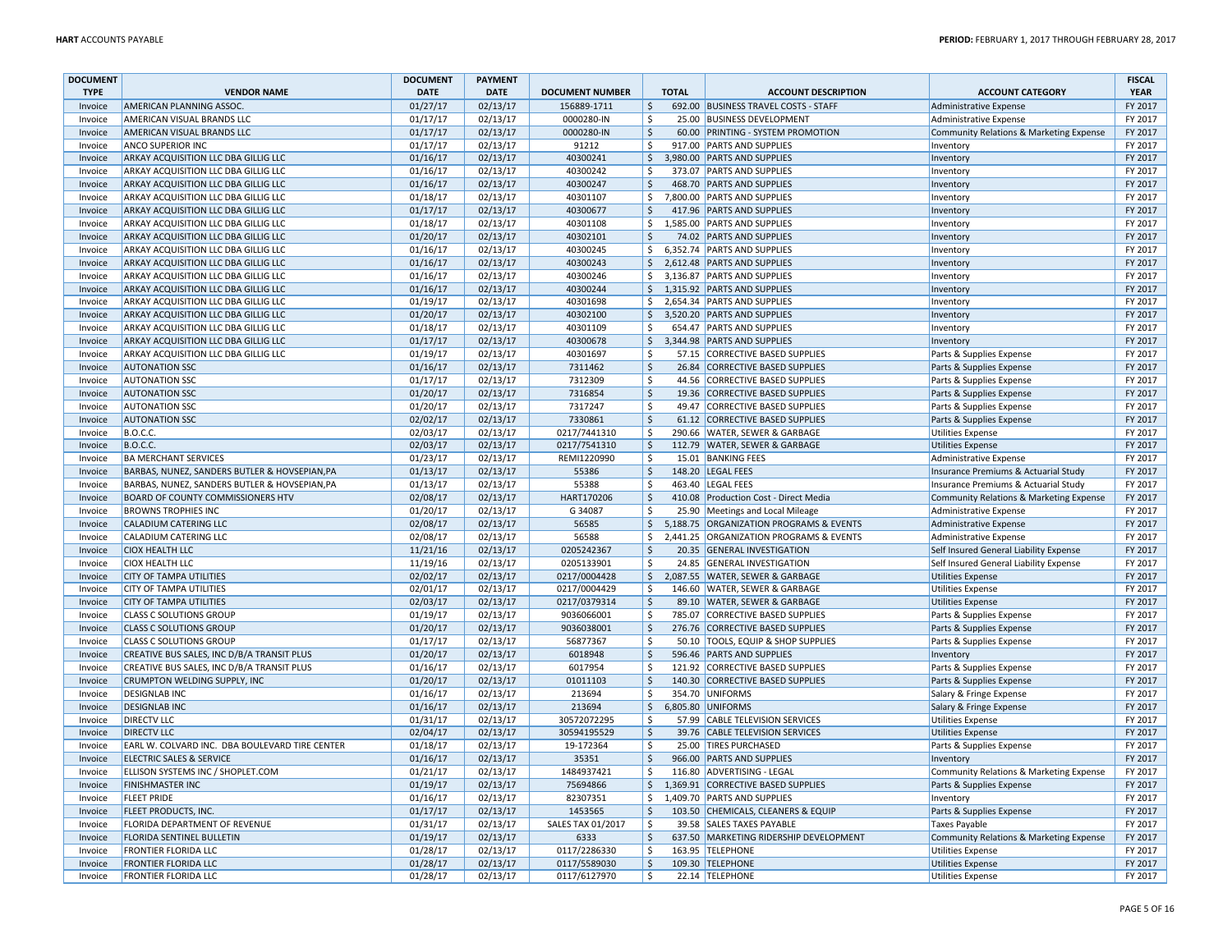| <b>DOCUMENT</b> |                                                | <b>DOCUMENT</b> | <b>PAYMENT</b> |                        |                         |              |                                         |                                         | <b>FISCAL</b> |
|-----------------|------------------------------------------------|-----------------|----------------|------------------------|-------------------------|--------------|-----------------------------------------|-----------------------------------------|---------------|
| <b>TYPE</b>     | <b>VENDOR NAME</b>                             | <b>DATE</b>     | <b>DATE</b>    | <b>DOCUMENT NUMBER</b> |                         | <b>TOTAL</b> | <b>ACCOUNT DESCRIPTION</b>              | <b>ACCOUNT CATEGORY</b>                 | <b>YEAR</b>   |
| Invoice         | AMERICAN PLANNING ASSOC.                       | 01/27/17        | 02/13/17       | 156889-1711            | \$                      |              | 692.00 BUSINESS TRAVEL COSTS - STAFF    | Administrative Expense                  | FY 2017       |
| Invoice         | AMERICAN VISUAL BRANDS LLC                     | 01/17/17        | 02/13/17       | 0000280-IN             | \$                      |              | 25.00 BUSINESS DEVELOPMENT              | Administrative Expense                  | FY 2017       |
| Invoice         | AMERICAN VISUAL BRANDS LLC                     | 01/17/17        | 02/13/17       | 0000280-IN             | $\zeta$                 |              | 60.00 PRINTING - SYSTEM PROMOTION       | Community Relations & Marketing Expense | FY 2017       |
| Invoice         | <b>ANCO SUPERIOR INC</b>                       | 01/17/17        | 02/13/17       | 91212                  | -Ś                      |              | 917.00 PARTS AND SUPPLIES               | Inventory                               | FY 2017       |
| Invoice         | ARKAY ACQUISITION LLC DBA GILLIG LLC           | 01/16/17        | 02/13/17       | 40300241               | \$                      |              | 3,980.00 PARTS AND SUPPLIES             | Inventory                               | FY 2017       |
| Invoice         | ARKAY ACQUISITION LLC DBA GILLIG LLC           | 01/16/17        | 02/13/17       | 40300242               | $\dot{\mathsf{s}}$      |              | 373.07 PARTS AND SUPPLIES               | Inventory                               | FY 2017       |
| Invoice         | ARKAY ACQUISITION LLC DBA GILLIG LLC           | 01/16/17        | 02/13/17       | 40300247               | \$                      |              | 468.70 PARTS AND SUPPLIES               | Inventory                               | FY 2017       |
| Invoice         | ARKAY ACQUISITION LLC DBA GILLIG LLC           | 01/18/17        | 02/13/17       | 40301107               | \$                      |              | 7,800.00 PARTS AND SUPPLIES             | Inventory                               | FY 2017       |
| Invoice         | ARKAY ACQUISITION LLC DBA GILLIG LLC           | 01/17/17        | 02/13/17       | 40300677               | Ŝ.                      |              | 417.96 PARTS AND SUPPLIES               | Inventory                               | FY 2017       |
| Invoice         | ARKAY ACQUISITION LLC DBA GILLIG LLC           | 01/18/17        | 02/13/17       | 40301108               | \$                      |              | 1,585.00 PARTS AND SUPPLIES             | Inventory                               | FY 2017       |
| Invoice         | ARKAY ACQUISITION LLC DBA GILLIG LLC           | 01/20/17        | 02/13/17       | 40302101               | $\zeta$                 |              | 74.02 PARTS AND SUPPLIES                | Inventory                               | FY 2017       |
| Invoice         | ARKAY ACQUISITION LLC DBA GILLIG LLC           | 01/16/17        | 02/13/17       | 40300245               | \$                      |              | 6,352.74 PARTS AND SUPPLIES             | Inventory                               | FY 2017       |
| Invoice         | ARKAY ACQUISITION LLC DBA GILLIG LLC           | 01/16/17        | 02/13/17       | 40300243               | $\zeta$                 |              | 2,612.48 PARTS AND SUPPLIES             | Inventory                               | FY 2017       |
| Invoice         | ARKAY ACQUISITION LLC DBA GILLIG LLC           | 01/16/17        | 02/13/17       | 40300246               | Ŝ.                      |              | 3.136.87 PARTS AND SUPPLIES             | Inventory                               | FY 2017       |
| Invoice         | ARKAY ACQUISITION LLC DBA GILLIG LLC           | 01/16/17        | 02/13/17       | 40300244               | \$                      |              | 1,315.92 PARTS AND SUPPLIES             | Inventory                               | FY 2017       |
| Invoice         | ARKAY ACQUISITION LLC DBA GILLIG LLC           | 01/19/17        | 02/13/17       | 40301698               | \$                      |              | 2,654.34 PARTS AND SUPPLIES             | Inventory                               | FY 2017       |
| Invoice         | ARKAY ACQUISITION LLC DBA GILLIG LLC           | 01/20/17        | 02/13/17       | 40302100               | \$                      |              | 3,520.20 PARTS AND SUPPLIES             | Inventory                               | FY 2017       |
| Invoice         | ARKAY ACQUISITION LLC DBA GILLIG LLC           | 01/18/17        | 02/13/17       | 40301109               | Ś.                      |              | 654.47 PARTS AND SUPPLIES               | Inventory                               | FY 2017       |
| Invoice         | ARKAY ACQUISITION LLC DBA GILLIG LLC           | 01/17/17        | 02/13/17       | 40300678               | \$                      |              | 3,344.98 PARTS AND SUPPLIES             | Inventory                               | FY 2017       |
| Invoice         | ARKAY ACQUISITION LLC DBA GILLIG LLC           | 01/19/17        | 02/13/17       | 40301697               | \$                      |              | 57.15 CORRECTIVE BASED SUPPLIES         | Parts & Supplies Expense                | FY 2017       |
| Invoice         | <b>AUTONATION SSC</b>                          | 01/16/17        | 02/13/17       | 7311462                | $\zeta$                 |              | 26.84 CORRECTIVE BASED SUPPLIES         | Parts & Supplies Expense                | FY 2017       |
| Invoice         | <b>AUTONATION SSC</b>                          | 01/17/17        | 02/13/17       | 7312309                | Ś.                      |              | 44.56 CORRECTIVE BASED SUPPLIES         | Parts & Supplies Expense                | FY 2017       |
| Invoice         | <b>AUTONATION SSC</b>                          | 01/20/17        | 02/13/17       | 7316854                | $\zeta$                 |              | 19.36 CORRECTIVE BASED SUPPLIES         | Parts & Supplies Expense                | FY 2017       |
| Invoice         | <b>AUTONATION SSC</b>                          | 01/20/17        | 02/13/17       | 7317247                | $\zeta$                 |              | 49.47 CORRECTIVE BASED SUPPLIES         | Parts & Supplies Expense                | FY 2017       |
| Invoice         | <b>AUTONATION SSC</b>                          | 02/02/17        | 02/13/17       | 7330861                | $\ddot{\varsigma}$      |              | 61.12 CORRECTIVE BASED SUPPLIES         | Parts & Supplies Expense                | FY 2017       |
| Invoice         | <b>B.O.C.C.</b>                                | 02/03/17        | 02/13/17       | 0217/7441310           | \$                      |              | 290.66 WATER, SEWER & GARBAGE           | <b>Utilities Expense</b>                | FY 2017       |
| Invoice         | <b>B.O.C.C.</b>                                | 02/03/17        | 02/13/17       | 0217/7541310           | \$                      |              | 112.79 WATER, SEWER & GARBAGE           | <b>Utilities Expense</b>                | FY 2017       |
| Invoice         | <b>BA MERCHANT SERVICES</b>                    | 01/23/17        | 02/13/17       | REMI1220990            | Ŝ.                      |              | 15.01 BANKING FEES                      | Administrative Expense                  | FY 2017       |
| Invoice         | BARBAS, NUNEZ, SANDERS BUTLER & HOVSEPIAN, PA  | 01/13/17        | 02/13/17       | 55386                  | $\zeta$                 |              | 148.20 LEGAL FEES                       | Insurance Premiums & Actuarial Study    | FY 2017       |
| Invoice         | BARBAS, NUNEZ, SANDERS BUTLER & HOVSEPIAN, PA  | 01/13/17        | 02/13/17       | 55388                  | \$                      |              | 463.40 LEGAL FEES                       | Insurance Premiums & Actuarial Study    | FY 2017       |
| Invoice         | BOARD OF COUNTY COMMISSIONERS HTV              | 02/08/17        | 02/13/17       | HART170206             | $\zeta$                 |              | 410.08 Production Cost - Direct Media   | Community Relations & Marketing Expense | FY 2017       |
| Invoice         | <b>BROWNS TROPHIES INC</b>                     | 01/20/17        | 02/13/17       | G 34087                | \$                      |              | 25.90 Meetings and Local Mileage        | Administrative Expense                  | FY 2017       |
| Invoice         | CALADIUM CATERING LLC                          | 02/08/17        | 02/13/17       | 56585                  | Ŝ.                      |              | 5,188.75 ORGANIZATION PROGRAMS & EVENTS | Administrative Expense                  | FY 2017       |
| Invoice         | CALADIUM CATERING LLC                          | 02/08/17        | 02/13/17       | 56588                  | \$                      |              | 2,441.25 ORGANIZATION PROGRAMS & EVENTS | Administrative Expense                  | FY 2017       |
| Invoice         | <b>CIOX HEALTH LLC</b>                         | 11/21/16        | 02/13/17       | 0205242367             | \$                      |              | 20.35 GENERAL INVESTIGATION             | Self Insured General Liability Expense  | FY 2017       |
| Invoice         | <b>CIOX HEALTH LLC</b>                         | 11/19/16        | 02/13/17       | 0205133901             | \$                      |              | 24.85 GENERAL INVESTIGATION             | Self Insured General Liability Expense  | FY 2017       |
| Invoice         | <b>CITY OF TAMPA UTILITIES</b>                 | 02/02/17        | 02/13/17       | 0217/0004428           | \$                      |              | 2,087.55 WATER, SEWER & GARBAGE         | <b>Utilities Expense</b>                | FY 2017       |
| Invoice         | CITY OF TAMPA UTILITIES                        | 02/01/17        | 02/13/17       | 0217/0004429           | Ŝ.                      |              | 146.60 WATER, SEWER & GARBAGE           | <b>Utilities Expense</b>                | FY 2017       |
| Invoice         | <b>CITY OF TAMPA UTILITIES</b>                 | 02/03/17        | 02/13/17       | 0217/0379314           | $\zeta$                 |              | 89.10 WATER, SEWER & GARBAGE            | <b>Utilities Expense</b>                | FY 2017       |
| Invoice         | <b>CLASS C SOLUTIONS GROUF</b>                 | 01/19/17        | 02/13/17       | 9036066001             | $\mathsf{\hat{S}}$      |              | 785.07 CORRECTIVE BASED SUPPLIES        | Parts & Supplies Expense                | FY 2017       |
| Invoice         | <b>CLASS C SOLUTIONS GROUP</b>                 | 01/20/17        | 02/13/17       | 9036038001             | \$                      |              | 276.76 CORRECTIVE BASED SUPPLIES        | Parts & Supplies Expense                | FY 2017       |
| Invoice         | <b>CLASS C SOLUTIONS GROUP</b>                 | 01/17/17        | 02/13/17       | 56877367               | Ŝ.                      |              | 50.10 TOOLS, EQUIP & SHOP SUPPLIES      | Parts & Supplies Expense                | FY 2017       |
| Invoice         | CREATIVE BUS SALES, INC D/B/A TRANSIT PLUS     | 01/20/17        | 02/13/17       | 6018948                | $\zeta$                 |              | 596.46 PARTS AND SUPPLIES               | Inventory                               | FY 2017       |
| Invoice         | CREATIVE BUS SALES, INC D/B/A TRANSIT PLUS     | 01/16/17        | 02/13/17       | 6017954                | -Ś                      |              | 121.92 CORRECTIVE BASED SUPPLIES        | Parts & Supplies Expense                | FY 2017       |
| Invoice         | CRUMPTON WELDING SUPPLY, INC                   | 01/20/17        | 02/13/17       | 01011103               | $\overline{\mathsf{S}}$ |              | 140.30 CORRECTIVE BASED SUPPLIES        | Parts & Supplies Expense                | FY 2017       |
| Invoice         | <b>DESIGNLAB INC</b>                           | 01/16/17        | 02/13/17       | 213694                 | \$                      |              | 354.70 UNIFORMS                         | Salary & Fringe Expense                 | FY 2017       |
| Invoice         | <b>DESIGNLAB INC</b>                           | 01/16/17        | 02/13/17       | 213694                 | \$                      |              | 6,805.80 UNIFORMS                       | Salary & Fringe Expense                 | FY 2017       |
| Invoice         | <b>DIRECTV LLC</b>                             | 01/31/17        | 02/13/17       | 30572072295            | Ŝ.                      |              | 57.99 CABLE TELEVISION SERVICES         | <b>Utilities Expense</b>                | FY 2017       |
| Invoice         | <b>DIRECTV LLC</b>                             | 02/04/17        | 02/13/17       | 30594195529            | $\mathsf{\hat{S}}$      |              | 39.76 CABLE TELEVISION SERVICES         | <b>Utilities Expense</b>                | FY 2017       |
| Invoice         | EARL W. COLVARD INC. DBA BOULEVARD TIRE CENTER | 01/18/17        | 02/13/17       | 19-172364              | $\mathsf{\hat{S}}$      |              | 25.00 TIRES PURCHASED                   | Parts & Supplies Expense                | FY 2017       |
| Invoice         | <b>ELECTRIC SALES &amp; SERVICE</b>            | 01/16/17        | 02/13/17       | 35351                  | $\mathsf{\hat{S}}$      |              | 966.00 PARTS AND SUPPLIES               | Inventory                               | FY 2017       |
| Invoice         | ELLISON SYSTEMS INC / SHOPLET.COM              | 01/21/17        | 02/13/17       | 1484937421             | Ś.                      |              | 116.80 ADVERTISING - LEGAL              | Community Relations & Marketing Expense | FY 2017       |
| Invoice         | <b>FINISHMASTER INC</b>                        | 01/19/17        | 02/13/17       | 75694866               | \$                      |              | 1,369.91 CORRECTIVE BASED SUPPLIES      | Parts & Supplies Expense                | FY 2017       |
| Invoice         | <b>FLEET PRIDE</b>                             | 01/16/17        | 02/13/17       | 82307351               | \$                      |              | 1,409.70 PARTS AND SUPPLIES             | Inventory                               | FY 2017       |
| Invoice         | FLEET PRODUCTS, INC.                           | 01/17/17        | 02/13/17       | 1453565                | \$                      |              | 103.50 CHEMICALS, CLEANERS & EQUIP      | Parts & Supplies Expense                | FY 2017       |
| Invoice         | FLORIDA DEPARTMENT OF REVENUE                  | 01/31/17        | 02/13/17       | SALES TAX 01/2017      | $\mathsf{\hat{S}}$      |              | 39.58 SALES TAXES PAYABLE               | <b>Taxes Payable</b>                    | FY 2017       |
| Invoice         | FLORIDA SENTINEL BULLETIN                      | 01/19/17        | 02/13/17       | 6333                   | $\zeta$                 |              | 637.50 MARKETING RIDERSHIP DEVELOPMENT  | Community Relations & Marketing Expense | FY 2017       |
| Invoice         | FRONTIER FLORIDA LLC                           | 01/28/17        | 02/13/17       | 0117/2286330           | $\mathsf{\hat{S}}$      |              | 163.95 TELEPHONE                        | <b>Utilities Expense</b>                | FY 2017       |
| Invoice         | <b>FRONTIER FLORIDA LLC</b>                    | 01/28/17        | 02/13/17       | 0117/5589030           | $\zeta$                 |              | 109.30 TELEPHONE                        | <b>Utilities Expense</b>                | FY 2017       |
| Invoice         | <b>FRONTIER FLORIDA LLC</b>                    | 01/28/17        | 02/13/17       | 0117/6127970           | \$                      |              | 22.14 TELEPHONE                         | <b>Utilities Expense</b>                | FY 2017       |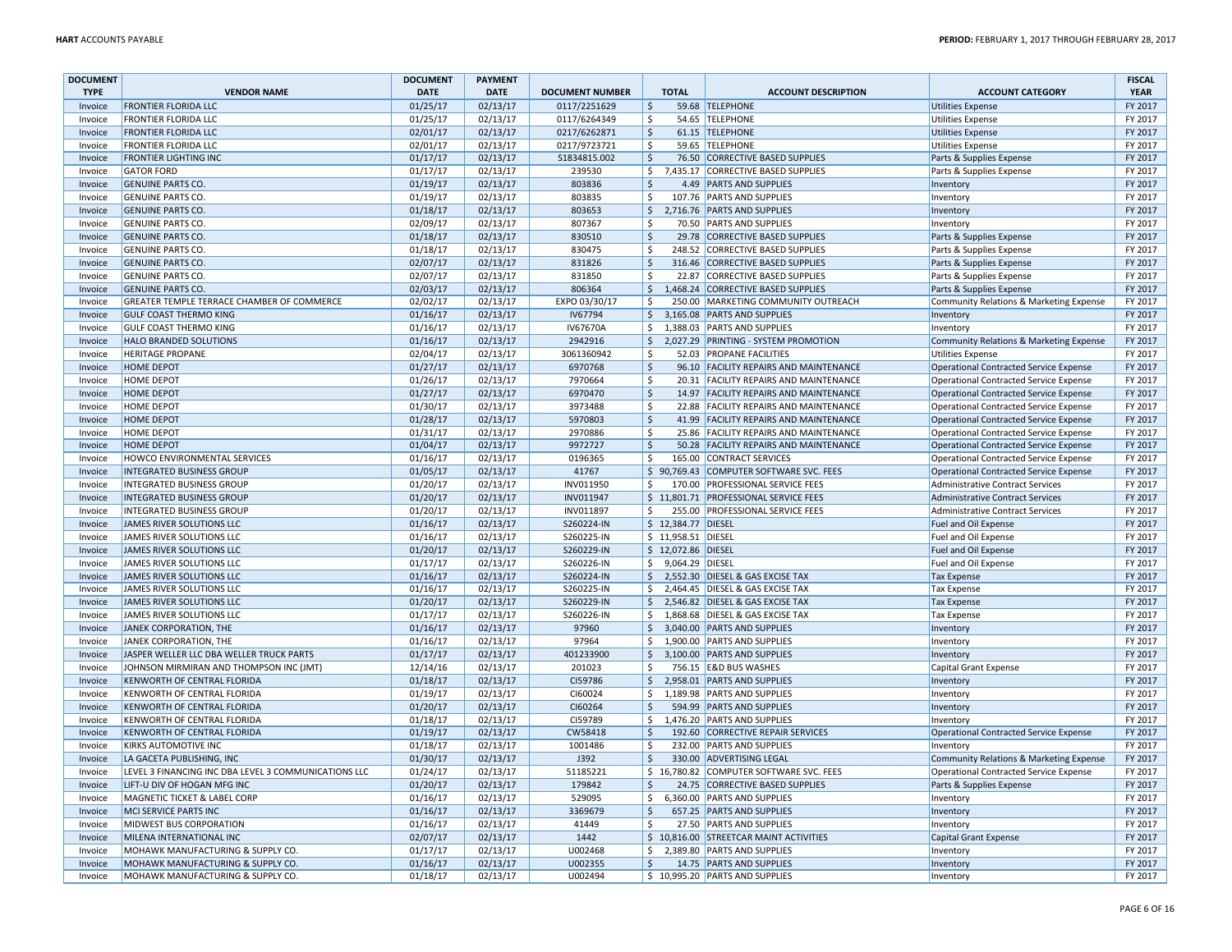| <b>DOCUMENT</b> |                                                      | <b>DOCUMENT</b> | <b>PAYMENT</b> |                        |                     |                     |                                         |                                               | <b>FISCAL</b> |
|-----------------|------------------------------------------------------|-----------------|----------------|------------------------|---------------------|---------------------|-----------------------------------------|-----------------------------------------------|---------------|
| <b>TYPE</b>     | <b>VENDOR NAME</b>                                   | <b>DATE</b>     | <b>DATE</b>    | <b>DOCUMENT NUMBER</b> |                     | <b>TOTAL</b>        | <b>ACCOUNT DESCRIPTION</b>              | <b>ACCOUNT CATEGORY</b>                       | <b>YEAR</b>   |
| Invoice         | <b>FRONTIER FLORIDA LLC</b>                          | 01/25/17        | 02/13/17       | 0117/2251629           | $\ddot{\mathsf{S}}$ |                     | 59.68 TELEPHONE                         | <b>Utilities Expense</b>                      | FY 2017       |
| Invoice         | <b>FRONTIER FLORIDA LLC</b>                          | 01/25/17        | 02/13/17       | 0117/6264349           | \$                  |                     | 54.65 TELEPHONE                         | <b>Utilities Expense</b>                      | FY 2017       |
| Invoice         | <b>FRONTIER FLORIDA LLC</b>                          | 02/01/17        | 02/13/17       | 0217/6262871           | $\zeta$             |                     | 61.15 TELEPHONE                         | <b>Utilities Expense</b>                      | FY 2017       |
| Invoice         | <b>FRONTIER FLORIDA LLC</b>                          | 02/01/17        | 02/13/17       | 0217/9723721           | S.                  |                     | 59.65 TELEPHONE                         | Utilities Expense                             | FY 2017       |
| Invoice         | <b>FRONTIER LIGHTING INC</b>                         | 01/17/17        | 02/13/17       | S1834815.002           | $\zeta$             |                     | 76.50 CORRECTIVE BASED SUPPLIES         | Parts & Supplies Expense                      | FY 2017       |
| Invoice         | <b>GATOR FORD</b>                                    | 01/17/17        | 02/13/17       | 239530                 | \$                  |                     | 7,435.17 CORRECTIVE BASED SUPPLIES      | Parts & Supplies Expense                      | FY 2017       |
| Invoice         | <b>GENUINE PARTS CO.</b>                             | 01/19/17        | 02/13/17       | 803836                 | \$                  |                     | 4.49 PARTS AND SUPPLIES                 | Inventory                                     | FY 2017       |
| Invoice         | <b>GENUINE PARTS CO</b>                              | 01/19/17        | 02/13/17       | 803835                 | -\$                 |                     | 107.76 PARTS AND SUPPLIES               | Inventory                                     | FY 2017       |
| Invoice         | <b>GENUINE PARTS CO.</b>                             | 01/18/17        | 02/13/17       | 803653                 | $\ddot{\varsigma}$  |                     | 2,716.76 PARTS AND SUPPLIES             | Inventory                                     | FY 2017       |
| Invoice         | <b>GENUINE PARTS CO.</b>                             | 02/09/17        | 02/13/17       | 807367                 | -\$                 |                     | 70.50 PARTS AND SUPPLIES                | Inventory                                     | FY 2017       |
| Invoice         | <b>GENUINE PARTS CO.</b>                             | 01/18/17        | 02/13/17       | 830510                 | $\mathsf{\hat{S}}$  |                     | 29.78 CORRECTIVE BASED SUPPLIES         | Parts & Supplies Expense                      | FY 2017       |
| Invoice         | <b>GENUINE PARTS CO.</b>                             | 01/18/17        | 02/13/17       | 830475                 | $\ddot{\mathsf{S}}$ |                     | 248.52 CORRECTIVE BASED SUPPLIES        | Parts & Supplies Expense                      | FY 2017       |
| Invoice         | <b>GENUINE PARTS CO</b>                              | 02/07/17        | 02/13/17       | 831826                 | $\mathsf{\hat{S}}$  |                     | 316.46 CORRECTIVE BASED SUPPLIES        | Parts & Supplies Expense                      | FY 2017       |
| Invoice         | <b>GENUINE PARTS CO.</b>                             | 02/07/17        | 02/13/17       | 831850                 | -\$                 |                     | 22.87 CORRECTIVE BASED SUPPLIES         | Parts & Supplies Expense                      | FY 2017       |
| Invoice         | <b>GENUINE PARTS CO.</b>                             | 02/03/17        | 02/13/17       | 806364                 | $\zeta$             |                     | 1,468.24 CORRECTIVE BASED SUPPLIES      | Parts & Supplies Expense                      | FY 2017       |
| Invoice         | GREATER TEMPLE TERRACE CHAMBER OF COMMERCE           | 02/02/17        | 02/13/17       | EXPO 03/30/17          | $\mathsf{\hat{S}}$  |                     | 250.00 MARKETING COMMUNITY OUTREACH     | Community Relations & Marketing Expense       | FY 2017       |
| Invoice         | <b>GULF COAST THERMO KING</b>                        | 01/16/17        | 02/13/17       | IV67794                | $\zeta$             |                     | 3,165.08 PARTS AND SUPPLIES             | Inventory                                     | FY 2017       |
| Invoice         | <b>GULF COAST THERMO KING</b>                        | 01/16/17        | 02/13/17       | IV67670A               | \$                  |                     | 1,388.03 PARTS AND SUPPLIES             | Inventory                                     | FY 2017       |
| Invoice         | HALO BRANDED SOLUTIONS                               | 01/16/17        | 02/13/17       | 2942916                | $\ddot{\varsigma}$  |                     | 2,027.29 PRINTING - SYSTEM PROMOTION    | Community Relations & Marketing Expense       | FY 2017       |
| Invoice         | <b>HERITAGE PROPANE</b>                              | 02/04/17        | 02/13/17       | 3061360942             | Ŝ.                  |                     | 52.03 PROPANE FACILITIES                | <b>Utilities Expense</b>                      | FY 2017       |
| Invoice         | <b>HOME DEPOT</b>                                    | 01/27/17        | 02/13/17       | 6970768                | $\mathsf{\hat{S}}$  |                     | 96.10 FACILITY REPAIRS AND MAINTENANCE  | <b>Operational Contracted Service Expense</b> | FY 2017       |
| Invoice         | <b>HOME DEPOT</b>                                    | 01/26/17        | 02/13/17       | 7970664                | S.                  |                     | 20.31 FACILITY REPAIRS AND MAINTENANCE  | <b>Operational Contracted Service Expense</b> | FY 2017       |
| Invoice         | <b>HOME DEPOT</b>                                    | 01/27/17        | 02/13/17       | 6970470                | $\ddot{\varsigma}$  |                     | 14.97 FACILITY REPAIRS AND MAINTENANCE  | <b>Operational Contracted Service Expense</b> | FY 2017       |
| Invoice         | HOME DEPOT                                           | 01/30/17        | 02/13/17       | 3973488                | -\$                 |                     | 22.88 FACILITY REPAIRS AND MAINTENANCE  | <b>Operational Contracted Service Expense</b> | FY 2017       |
| Invoice         | <b>HOME DEPOT</b>                                    | 01/28/17        | 02/13/17       | 5970803                | \$                  |                     | 41.99 FACILITY REPAIRS AND MAINTENANCE  | <b>Operational Contracted Service Expense</b> | FY 2017       |
| Invoice         | <b>HOME DEPOT</b>                                    | 01/31/17        | 02/13/17       | 2970886                | $\ddot{\mathsf{S}}$ |                     | 25.86 FACILITY REPAIRS AND MAINTENANCE  | <b>Operational Contracted Service Expense</b> | FY 2017       |
| Invoice         | <b>HOME DEPOT</b>                                    | 01/04/17        | 02/13/17       | 9972727                | $\ddot{\mathsf{S}}$ |                     | 50.28 FACILITY REPAIRS AND MAINTENANCE  | <b>Operational Contracted Service Expense</b> | FY 2017       |
| Invoice         | HOWCO ENVIRONMENTAL SERVICES                         | 01/16/17        | 02/13/17       | 0196365                | Ŝ.                  |                     | 165.00 CONTRACT SERVICES                | <b>Operational Contracted Service Expense</b> | FY 2017       |
| Invoice         | <b>INTEGRATED BUSINESS GROUP</b>                     | 01/05/17        | 02/13/17       | 41767                  |                     |                     | \$90,769.43 COMPUTER SOFTWARE SVC. FEES | <b>Operational Contracted Service Expense</b> | FY 2017       |
| Invoice         | <b>INTEGRATED BUSINESS GROUP</b>                     | 01/20/17        | 02/13/17       | INV011950              | Ŝ.                  |                     | 170.00 PROFESSIONAL SERVICE FEES        | Administrative Contract Services              | FY 2017       |
| Invoice         | <b>INTEGRATED BUSINESS GROUP</b>                     | 01/20/17        | 02/13/17       | INV011947              |                     |                     | \$11,801.71 PROFESSIONAL SERVICE FEES   | <b>Administrative Contract Services</b>       | FY 2017       |
| Invoice         | <b>INTEGRATED BUSINESS GROUP</b>                     | 01/20/17        | 02/13/17       | INV011897              | S.                  |                     | 255.00 PROFESSIONAL SERVICE FEES        | Administrative Contract Services              | FY 2017       |
| Invoice         | JAMES RIVER SOLUTIONS LLC                            | 01/16/17        | 02/13/17       | S260224-IN             |                     | \$ 12.384.77 DIESEL |                                         | Fuel and Oil Expense                          | FY 2017       |
| Invoice         | JAMES RIVER SOLUTIONS LLC                            | 01/16/17        | 02/13/17       | S260225-IN             |                     | \$ 11,958.51 DIESEL |                                         | Fuel and Oil Expense                          | FY 2017       |
| Invoice         | JAMES RIVER SOLUTIONS LLC                            | 01/20/17        | 02/13/17       | S260229-IN             |                     | \$12,072.86 DIESEL  |                                         | Fuel and Oil Expense                          | FY 2017       |
| Invoice         | JAMES RIVER SOLUTIONS LLC                            | 01/17/17        | 02/13/17       | S260226-IN             | \$                  | 9,064.29 DIESEL     |                                         | Fuel and Oil Expense                          | FY 2017       |
| Invoice         | <b>JAMES RIVER SOLUTIONS LLC</b>                     | 01/16/17        | 02/13/17       | S260224-IN             | $\mathsf{S}$        |                     | 2,552.30 DIESEL & GAS EXCISE TAX        | <b>Tax Expense</b>                            | FY 2017       |
| Invoice         | JAMES RIVER SOLUTIONS LLC                            | 01/16/17        | 02/13/17       | S260225-IN             | \$                  |                     | 2,464.45 DIESEL & GAS EXCISE TAX        | <b>Tax Expense</b>                            | FY 2017       |
| Invoice         | <b>JAMES RIVER SOLUTIONS LLC</b>                     | 01/20/17        | 02/13/17       | S260229-IN             | $\mathsf{S}$        |                     | 2,546.82 DIESEL & GAS EXCISE TAX        | <b>Tax Expense</b>                            | FY 2017       |
| Invoice         | JAMES RIVER SOLUTIONS LLC                            | 01/17/17        | 02/13/17       | S260226-IN             | \$                  |                     | 1,868.68 DIESEL & GAS EXCISE TAX        | <b>Tax Expense</b>                            | FY 2017       |
| Invoice         | JANEK CORPORATION, THE                               | 01/16/17        | 02/13/17       | 97960                  | $\zeta$             |                     | 3,040.00 PARTS AND SUPPLIES             | Inventory                                     | FY 2017       |
| Invoice         | JANEK CORPORATION, THE                               | 01/16/17        | 02/13/17       | 97964                  | S.                  |                     | 1,900.00 PARTS AND SUPPLIES             | Inventory                                     | FY 2017       |
| Invoice         | JASPER WELLER LLC DBA WELLER TRUCK PARTS             | 01/17/17        | 02/13/17       | 401233900              | \$                  |                     | 3.100.00 PARTS AND SUPPLIES             | Inventory                                     | FY 2017       |
| Invoice         | JOHNSON MIRMIRAN AND THOMPSON INC (JMT)              | 12/14/16        | 02/13/17       | 201023                 | -\$                 |                     | 756.15 E&D BUS WASHES                   | Capital Grant Expense                         | FY 2017       |
| Invoice         | KENWORTH OF CENTRAL FLORIDA                          | 01/18/17        | 02/13/17       | CI59786                | $\ddot{\phi}$       |                     | 2,958.01 PARTS AND SUPPLIES             | Inventory                                     | FY 2017       |
| Invoice         | KENWORTH OF CENTRAL FLORIDA                          | 01/19/17        | 02/13/17       | CI60024                | \$                  |                     | 1,189.98 PARTS AND SUPPLIES             | Inventory                                     | FY 2017       |
| Invoice         | KENWORTH OF CENTRAL FLORIDA                          | 01/20/17        | 02/13/17       | CI60264                | $\ddot{\varsigma}$  |                     | 594.99 PARTS AND SUPPLIES               | Inventory                                     | FY 2017       |
| Invoice         | KENWORTH OF CENTRAL FLORIDA                          | 01/18/17        | 02/13/17       | CI59789                | \$                  |                     | 1,476.20 PARTS AND SUPPLIES             | Inventory                                     | FY 2017       |
| Invoice         | KENWORTH OF CENTRAL FLORIDA                          | 01/19/17        | 02/13/17       | CW58418                | -\$                 |                     | 192.60 CORRECTIVE REPAIR SERVICES       | <b>Operational Contracted Service Expense</b> | FY 2017       |
| Invoice         | KIRKS AUTOMOTIVE INC                                 | 01/18/17        | 02/13/17       | 1001486                | $\ddot{\mathsf{S}}$ |                     | 232.00 PARTS AND SUPPLIES               | Inventorv                                     | FY 2017       |
| Invoice         | LA GACETA PUBLISHING, INC                            | 01/30/17        | 02/13/17       | J392                   | $\zeta$             |                     | 330.00 ADVERTISING LEGAL                | Community Relations & Marketing Expense       | FY 2017       |
| Invoice         | LEVEL 3 FINANCING INC DBA LEVEL 3 COMMUNICATIONS LLC | 01/24/17        | 02/13/17       | 51185221               |                     |                     | \$16,780.82 COMPUTER SOFTWARE SVC. FEES | <b>Operational Contracted Service Expense</b> | FY 2017       |
| Invoice         | LIFT-U DIV OF HOGAN MFG INC                          | 01/20/17        | 02/13/17       | 179842                 | Ŝ.                  |                     | 24.75 CORRECTIVE BASED SUPPLIES         | Parts & Supplies Expense                      | FY 2017       |
| Invoice         | <b>MAGNETIC TICKET &amp; LABEL CORP</b>              | 01/16/17        | 02/13/17       | 529095                 | \$                  |                     | 6,360.00 PARTS AND SUPPLIES             | Inventory                                     | FY 2017       |
| Invoice         | MCI SERVICE PARTS INC                                | 01/16/17        | 02/13/17       | 3369679                | \$                  |                     | 657.25 PARTS AND SUPPLIES               | Inventory                                     | FY 2017       |
| Invoice         | <b>MIDWEST BUS CORPORATION</b>                       | 01/16/17        | 02/13/17       | 41449                  | Ŝ.                  |                     | 27.50 PARTS AND SUPPLIES                | Inventory                                     | FY 2017       |
| Invoice         | MILENA INTERNATIONAL INC                             | 02/07/17        | 02/13/17       | 1442                   |                     |                     | \$10,816.00 STREETCAR MAINT ACTIVITIES  | Capital Grant Expense                         | FY 2017       |
| Invoice         | MOHAWK MANUFACTURING & SUPPLY CO.                    | 01/17/17        | 02/13/17       | U002468                | \$                  |                     | 2,389.80 PARTS AND SUPPLIES             | Inventory                                     | FY 2017       |
| Invoice         | MOHAWK MANUFACTURING & SUPPLY CO.                    | 01/16/17        | 02/13/17       | U002355                | $\mathsf{S}$        |                     | 14.75 PARTS AND SUPPLIES                | Inventory                                     | FY 2017       |
| Invoice         | MOHAWK MANUFACTURING & SUPPLY CO.                    | 01/18/17        | 02/13/17       | U002494                |                     |                     | \$10,995.20 PARTS AND SUPPLIES          | Inventory                                     | FY 2017       |
|                 |                                                      |                 |                |                        |                     |                     |                                         |                                               |               |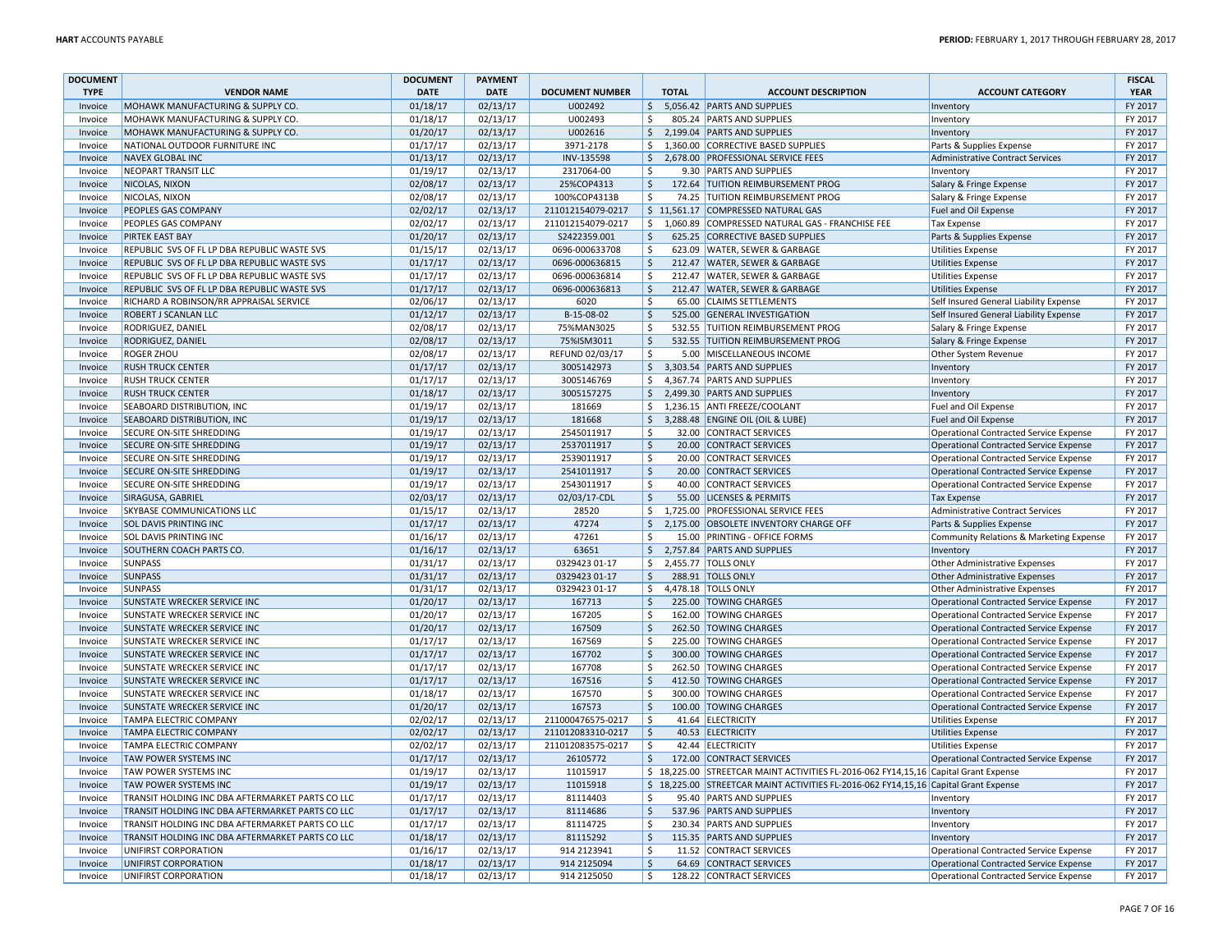| <b>DOCUMENT</b> |                                                  | <b>DOCUMENT</b> | <b>PAYMENT</b> |                        |                        |              |                                                                                     |                                               | <b>FISCAL</b> |
|-----------------|--------------------------------------------------|-----------------|----------------|------------------------|------------------------|--------------|-------------------------------------------------------------------------------------|-----------------------------------------------|---------------|
| <b>TYPE</b>     | <b>VENDOR NAME</b>                               | <b>DATE</b>     | <b>DATE</b>    | <b>DOCUMENT NUMBER</b> |                        | <b>TOTAL</b> | <b>ACCOUNT DESCRIPTION</b>                                                          | <b>ACCOUNT CATEGORY</b>                       | <b>YEAR</b>   |
| Invoice         | MOHAWK MANUFACTURING & SUPPLY CO.                | 01/18/17        | 02/13/17       | U002492                | $\zeta$                |              | 5,056.42 PARTS AND SUPPLIES                                                         | Inventory                                     | FY 2017       |
| Invoice         | MOHAWK MANUFACTURING & SUPPLY CO.                | 01/18/17        | 02/13/17       | U002493                | \$                     |              | 805.24 PARTS AND SUPPLIES                                                           | Inventory                                     | FY 2017       |
| Invoice         | MOHAWK MANUFACTURING & SUPPLY CO.                | 01/20/17        | 02/13/17       | U002616                | \$                     |              | 2,199.04 PARTS AND SUPPLIES                                                         | Inventory                                     | FY 2017       |
| Invoice         | NATIONAL OUTDOOR FURNITURE INC                   | 01/17/17        | 02/13/17       | 3971-2178              | \$                     |              | 1,360.00 CORRECTIVE BASED SUPPLIES                                                  | Parts & Supplies Expense                      | FY 2017       |
| Invoice         | <b>NAVEX GLOBAL INC</b>                          | 01/13/17        | 02/13/17       | INV-135598             | \$                     |              | 2,678.00 PROFESSIONAL SERVICE FEES                                                  | Administrative Contract Services              | FY 2017       |
| Invoice         | <b>NEOPART TRANSIT LLC</b>                       | 01/19/17        | 02/13/17       | 2317064-00             | $\zeta$                |              | 9.30 PARTS AND SUPPLIES                                                             | Inventory                                     | FY 2017       |
| Invoice         | NICOLAS, NIXON                                   | 02/08/17        | 02/13/17       | 25%COP4313             | $\frac{1}{2}$          |              | 172.64 TUITION REIMBURSEMENT PROG                                                   | Salary & Fringe Expense                       | FY 2017       |
| Invoice         | NICOLAS, NIXON                                   | 02/08/17        | 02/13/17       | 100%COP4313B           | $\zeta$                |              | 74.25 TUITION REIMBURSEMENT PROG                                                    | Salary & Fringe Expense                       | FY 2017       |
| Invoice         | PEOPLES GAS COMPANY                              | 02/02/17        | 02/13/17       | 211012154079-0217      |                        |              | \$11,561.17 COMPRESSED NATURAL GAS                                                  | Fuel and Oil Expense                          | FY 2017       |
| Invoice         | PEOPLES GAS COMPANY                              | 02/02/17        | 02/13/17       | 211012154079-0217      | \$                     |              | 1,060.89 COMPRESSED NATURAL GAS - FRANCHISE FEE                                     | Tax Expense                                   | FY 2017       |
| Invoice         | <b>PIRTEK EAST BAY</b>                           | 01/20/17        | 02/13/17       | S2422359.001           | $\zeta$                |              | 625.25 CORRECTIVE BASED SUPPLIES                                                    | Parts & Supplies Expense                      | FY 2017       |
| Invoice         | REPUBLIC SVS OF FL LP DBA REPUBLIC WASTE SVS     | 01/15/17        | 02/13/17       | 0696-000633708         | \$                     |              | 623.09 WATER, SEWER & GARBAGE                                                       | Utilities Expense                             | FY 2017       |
| Invoice         | REPUBLIC SVS OF FL LP DBA REPUBLIC WASTE SVS     | 01/17/17        | 02/13/17       | 0696-000636815         | $\zeta$                |              | 212.47 WATER, SEWER & GARBAGE                                                       | Utilities Expense                             | FY 2017       |
| Invoice         | REPUBLIC SVS OF FL LP DBA REPUBLIC WASTE SVS     | 01/17/17        | 02/13/17       | 0696-000636814         | \$                     |              | 212.47 WATER, SEWER & GARBAGE                                                       | <b>Utilities Expense</b>                      | FY 2017       |
| Invoice         | REPUBLIC SVS OF FL LP DBA REPUBLIC WASTE SVS     | 01/17/17        | 02/13/17       | 0696-000636813         | l\$                    |              | 212.47 WATER, SEWER & GARBAGE                                                       | Utilities Expense                             | FY 2017       |
| Invoice         | RICHARD A ROBINSON/RR APPRAISAL SERVICE          | 02/06/17        | 02/13/17       | 6020                   | $\dot{\mathsf{s}}$     |              | 65.00 CLAIMS SETTLEMENTS                                                            | Self Insured General Liability Expense        | FY 2017       |
| Invoice         | ROBERT J SCANLAN LLC                             | 01/12/17        | 02/13/17       | B-15-08-02             | $\zeta$                |              | 525.00 GENERAL INVESTIGATION                                                        | Self Insured General Liability Expense        | FY 2017       |
| Invoice         | RODRIGUEZ, DANIEL                                | 02/08/17        | 02/13/17       | 75%MAN3025             | \$                     |              | 532.55 TUITION REIMBURSEMENT PROG                                                   | Salary & Fringe Expense                       | FY 2017       |
| Invoice         | <b>RODRIGUEZ, DANIEL</b>                         | 02/08/17        | 02/13/17       | 75%ISM3011             | \$                     |              | 532.55 TUITION REIMBURSEMENT PROG                                                   | Salary & Fringe Expense                       | FY 2017       |
| Invoice         | <b>ROGER ZHOU</b>                                | 02/08/17        | 02/13/17       | REFUND 02/03/17        | $\zeta$                |              | 5.00 MISCELLANEOUS INCOME                                                           | Other System Revenue                          | FY 2017       |
| Invoice         | <b>RUSH TRUCK CENTER</b>                         | 01/17/17        | 02/13/17       | 3005142973             | $\zeta$                |              | 3,303.54 PARTS AND SUPPLIES                                                         | Inventory                                     | FY 2017       |
| Invoice         | <b>RUSH TRUCK CENTER</b>                         | 01/17/17        | 02/13/17       | 3005146769             | \$                     |              | 4,367.74 PARTS AND SUPPLIES                                                         | Inventory                                     | FY 2017       |
| Invoice         | <b>RUSH TRUCK CENTER</b>                         | 01/18/17        | 02/13/17       | 3005157275             | \$                     |              | 2,499.30 PARTS AND SUPPLIES                                                         | Inventory                                     | FY 2017       |
| Invoice         | <b>SEABOARD DISTRIBUTION, INC</b>                | 01/19/17        | 02/13/17       | 181669                 | \$                     |              | 1,236.15 ANTI FREEZE/COOLANT                                                        | Fuel and Oil Expense                          | FY 2017       |
| Invoice         | <b>SEABOARD DISTRIBUTION, INC</b>                | 01/19/17        | 02/13/17       | 181668                 | \$                     |              | 3,288.48 ENGINE OIL (OIL & LUBE                                                     | Fuel and Oil Expense                          | FY 2017       |
| Invoice         | SECURE ON-SITE SHREDDING                         | 01/19/17        | 02/13/17       | 2545011917             | \$                     |              | 32.00 CONTRACT SERVICES                                                             | Operational Contracted Service Expense        | FY 2017       |
| Invoice         | <b>SECURE ON-SITE SHREDDING</b>                  | 01/19/17        | 02/13/17       | 2537011917             | $\mathsf{\hat{S}}$     |              | 20.00 CONTRACT SERVICES                                                             | Operational Contracted Service Expense        | FY 2017       |
| Invoice         | SECURE ON-SITE SHREDDING                         | 01/19/17        | 02/13/17       | 2539011917             | $\zeta$                |              | 20.00 CONTRACT SERVICES                                                             | <b>Operational Contracted Service Expense</b> | FY 2017       |
| Invoice         | <b>SECURE ON-SITE SHREDDING</b>                  | 01/19/17        | 02/13/17       | 2541011917             | $\zeta$                |              | 20.00 CONTRACT SERVICES                                                             | Operational Contracted Service Expense        | FY 2017       |
| Invoice         | SECURE ON-SITE SHREDDING                         | 01/19/17        | 02/13/17       | 2543011917             | \$                     |              | 40.00 CONTRACT SERVICES                                                             | Operational Contracted Service Expense        | FY 2017       |
| Invoice         | SIRAGUSA, GABRIEL                                | 02/03/17        | 02/13/17       | 02/03/17-CDL           | \$                     |              | 55.00 LICENSES & PERMITS                                                            | <b>Tax Expense</b>                            | FY 2017       |
| Invoice         | SKYBASE COMMUNICATIONS LLC                       | 01/15/17        | 02/13/17       | 28520                  | \$                     |              | 1,725.00 PROFESSIONAL SERVICE FEES                                                  | Administrative Contract Services              | FY 2017       |
| Invoice         | <b>SOL DAVIS PRINTING INC</b>                    | 01/17/17        | 02/13/17       | 47274                  | \$                     |              | 2,175.00 OBSOLETE INVENTORY CHARGE OFF                                              | Parts & Supplies Expense                      | FY 2017       |
| Invoice         | <b>SOL DAVIS PRINTING INC</b>                    | 01/16/17        | 02/13/17       | 47261                  | \$                     |              | 15.00 PRINTING - OFFICE FORMS                                                       | Community Relations & Marketing Expense       | FY 2017       |
| Invoice         | SOUTHERN COACH PARTS CO.                         | 01/16/17        | 02/13/17       | 63651                  | $\zeta$                |              | 2,757.84 PARTS AND SUPPLIES                                                         | Inventory                                     | FY 2017       |
| Invoice         | <b>SUNPASS</b>                                   | 01/31/17        | 02/13/17       | 0329423 01-17          | \$                     |              | 2,455.77 TOLLS ONLY                                                                 | Other Administrative Expenses                 | FY 2017       |
| Invoice         | <b>SUNPASS</b>                                   | 01/31/17        | 02/13/17       | 0329423 01-17          | $\frac{1}{2}$          |              | 288.91 TOLLS ONLY                                                                   | Other Administrative Expenses                 | FY 2017       |
| Invoice         | <b>SUNPASS</b>                                   | 01/31/17        | 02/13/17       | 0329423 01-17          | \$                     |              | 4,478.18 TOLLS ONLY                                                                 | <b>Other Administrative Expenses</b>          | FY 2017       |
| Invoice         | <b>SUNSTATE WRECKER SERVICE INC</b>              | 01/20/17        | 02/13/17       | 167713                 | \$                     |              | 225.00 TOWING CHARGES                                                               | Operational Contracted Service Expense        | FY 2017       |
| Invoice         | SUNSTATE WRECKER SERVICE INC                     | 01/20/17        | 02/13/17       | 167205                 | $\zeta$                |              | 162.00 TOWING CHARGES                                                               | <b>Operational Contracted Service Expense</b> | FY 2017       |
| Invoice         | <b>SUNSTATE WRECKER SERVICE INC</b>              | 01/20/17        | 02/13/17       | 167509                 | $\zeta$                |              | 262.50 TOWING CHARGES                                                               | Operational Contracted Service Expense        | FY 2017       |
| Invoice         | SUNSTATE WRECKER SERVICE INC                     | 01/17/17        | 02/13/17       | 167569                 | Ŝ.                     |              | 225.00 TOWING CHARGES                                                               | Operational Contracted Service Expense        | FY 2017       |
| Invoice         | <b>SUNSTATE WRECKER SERVICE INC</b>              | 01/17/17        | 02/13/17       | 167702                 | \$                     |              | 300.00 TOWING CHARGES                                                               | Operational Contracted Service Expense        | FY 2017       |
| Invoice         | SUNSTATE WRECKER SERVICE INC                     | 01/17/17        | 02/13/17       | 167708                 | Ŝ.                     |              | 262.50 TOWING CHARGES                                                               | Operational Contracted Service Expense        | FY 2017       |
| Invoice         | <b>SUNSTATE WRECKER SERVICE INC</b>              | 01/17/17        | 02/13/17       | 167516                 | $\mathsf{\hat{S}}$     |              | 412.50 TOWING CHARGES                                                               | Operational Contracted Service Expense        | FY 2017       |
| Invoice         | <b>SUNSTATE WRECKER SERVICE INC</b>              | 01/18/17        | 02/13/17       | 167570                 | $\zeta$                |              | 300.00 TOWING CHARGES                                                               | Operational Contracted Service Expense        | FY 2017       |
| Invoice         | <b>SUNSTATE WRECKER SERVICE INC</b>              | 01/20/17        | 02/13/17       | 167573                 | \$                     |              | 100.00 TOWING CHARGES                                                               | Operational Contracted Service Expense        | FY 2017       |
| Invoice         | <b>TAMPA ELECTRIC COMPANY</b>                    | 02/02/17        | 02/13/17       | 211000476575-0217      | Ŝ.                     |              | 41.64 ELECTRICITY                                                                   | <b>Utilities Expense</b>                      | FY 2017       |
| Invoice         | <b>TAMPA ELECTRIC COMPANY</b>                    | 02/02/17        | 02/13/17       | 211012083310-0217      | \$                     |              | 40.53 ELECTRICITY                                                                   | Utilities Expense                             | FY 2017       |
| Invoice         | <b>TAMPA ELECTRIC COMPANY</b>                    | 02/02/17        | 02/13/17       | 211012083575-0217      | \$                     |              | 42.44 ELECTRICITY                                                                   | <b>Utilities Expense</b>                      | FY 2017       |
| Invoice         | <b>TAW POWER SYSTEMS INC</b>                     | 01/17/17        | 02/13/17       | 26105772               | $\zeta$                |              | 172.00 CONTRACT SERVICES                                                            | Operational Contracted Service Expense        | FY 2017       |
| Invoice         | TAW POWER SYSTEMS INC                            | 01/19/17        | 02/13/17       | 11015917               |                        |              | \$18,225.00 STREETCAR MAINT ACTIVITIES FL-2016-062 FY14,15,16 Capital Grant Expense |                                               | FY 2017       |
| Invoice         | <b>TAW POWER SYSTEMS INC</b>                     | 01/19/17        | 02/13/17       | 11015918               |                        |              | \$18,225.00 STREETCAR MAINT ACTIVITIES FL-2016-062 FY14,15,16 Capital Grant Expense |                                               | FY 2017       |
| Invoice         | TRANSIT HOLDING INC DBA AFTERMARKET PARTS CO LLC | 01/17/17        | 02/13/17       | 81114403               | Ŝ.                     |              | 95.40 PARTS AND SUPPLIES                                                            | Inventory                                     | FY 2017       |
| Invoice         | TRANSIT HOLDING INC DBA AFTERMARKET PARTS CO LLC | 01/17/17        | 02/13/17       | 81114686               | $\overline{\varsigma}$ |              | 537.96 PARTS AND SUPPLIES                                                           | Inventory                                     | FY 2017       |
| Invoice         | TRANSIT HOLDING INC DBA AFTERMARKET PARTS CO LLC | 01/17/17        | 02/13/17       | 81114725               | $\zeta$                |              | 230.34 PARTS AND SUPPLIES                                                           | Inventory                                     | FY 2017       |
| Invoice         | TRANSIT HOLDING INC DBA AFTERMARKET PARTS CO LLC | 01/18/17        | 02/13/17       | 81115292               | \$                     |              | 115.35 PARTS AND SUPPLIES                                                           | Inventory                                     | FY 2017       |
| Invoice         | UNIFIRST CORPORATION                             | 01/16/17        | 02/13/17       | 914 2123941            | $\zeta$                |              | 11.52 CONTRACT SERVICES                                                             | <b>Operational Contracted Service Expense</b> | FY 2017       |
| Invoice         | <b>UNIFIRST CORPORATION</b>                      | 01/18/17        | 02/13/17       | 914 2125094            | $\zeta$                |              | 64.69 CONTRACT SERVICES                                                             | Operational Contracted Service Expense        | FY 2017       |
| Invoice         | UNIFIRST CORPORATION                             | 01/18/17        | 02/13/17       | 914 2125050            | Ŝ.                     |              | 128.22 CONTRACT SERVICES                                                            | Operational Contracted Service Expense        | FY 2017       |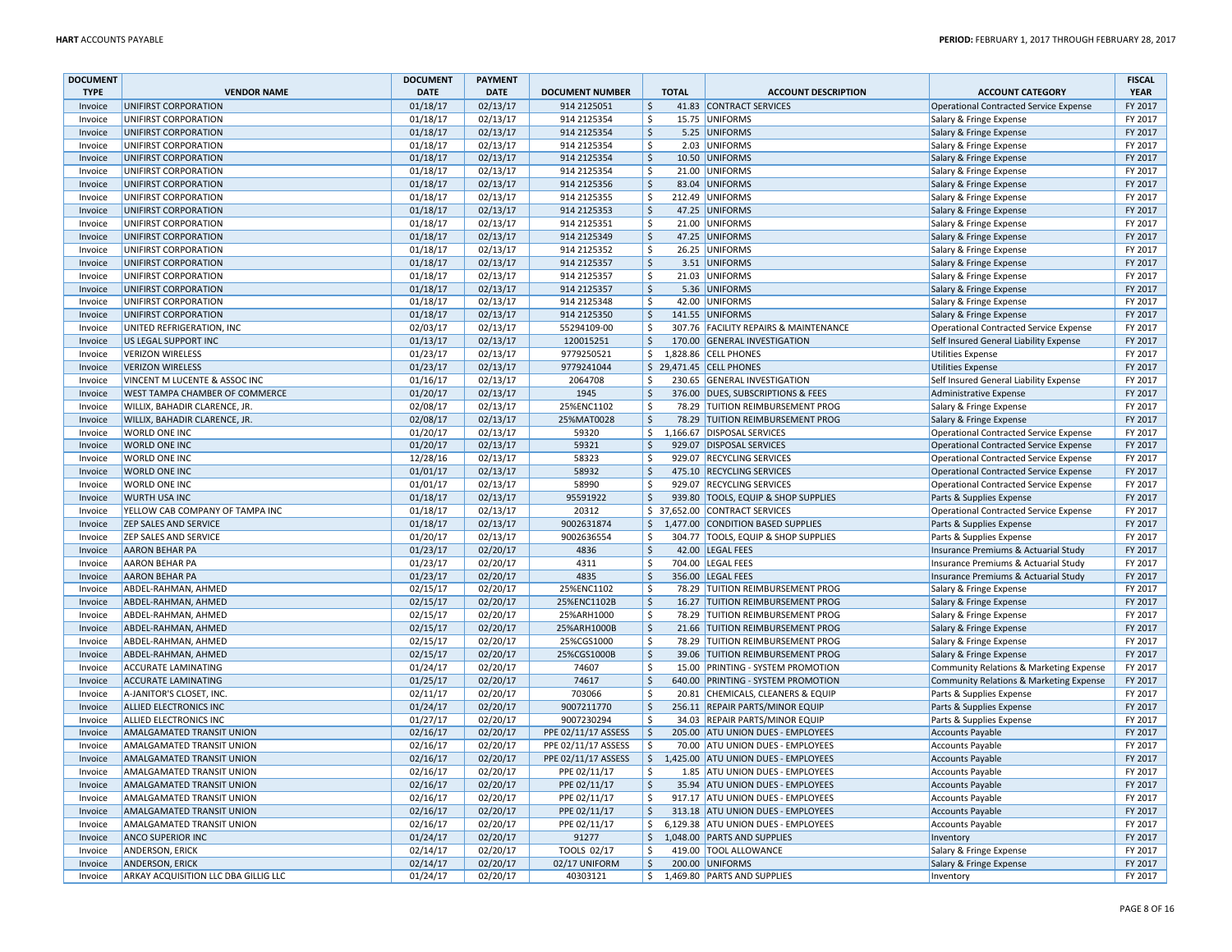| <b>DOCUMENT</b> |                                      | <b>DOCUMENT</b> | <b>PAYMENT</b> |                        |                         |              |                                       |                                               | <b>FISCAL</b> |
|-----------------|--------------------------------------|-----------------|----------------|------------------------|-------------------------|--------------|---------------------------------------|-----------------------------------------------|---------------|
| <b>TYPE</b>     | <b>VENDOR NAME</b>                   | <b>DATE</b>     | <b>DATE</b>    | <b>DOCUMENT NUMBER</b> |                         | <b>TOTAL</b> | <b>ACCOUNT DESCRIPTION</b>            | <b>ACCOUNT CATEGORY</b>                       | <b>YEAR</b>   |
| Invoice         | UNIFIRST CORPORATION                 | 01/18/17        | 02/13/17       | 914 2125051            | $\zeta$                 |              | 41.83 CONTRACT SERVICES               | Operational Contracted Service Expense        | FY 2017       |
| Invoice         | UNIFIRST CORPORATION                 | 01/18/17        | 02/13/17       | 914 2125354            | \$                      |              | 15.75 UNIFORMS                        | Salary & Fringe Expense                       | FY 2017       |
| Invoice         | UNIFIRST CORPORATION                 | 01/18/17        | 02/13/17       | 914 2125354            | $\mathsf{\hat{S}}$      |              | 5.25 UNIFORMS                         | Salary & Fringe Expense                       | FY 2017       |
| Invoice         | UNIFIRST CORPORATION                 | 01/18/17        | 02/13/17       | 914 2125354            | \$                      |              | 2.03 UNIFORMS                         | Salary & Fringe Expense                       | FY 2017       |
| Invoice         | UNIFIRST CORPORATION                 | 01/18/17        | 02/13/17       | 914 2125354            | $\zeta$                 |              | 10.50 UNIFORMS                        | Salary & Fringe Expense                       | FY 2017       |
| Invoice         | UNIFIRST CORPORATION                 | 01/18/17        | 02/13/17       | 914 2125354            | $\zeta$                 |              | 21.00 UNIFORMS                        | Salary & Fringe Expense                       | FY 2017       |
| Invoice         | UNIFIRST CORPORATION                 | 01/18/17        | 02/13/17       | 914 2125356            | \$                      |              | 83.04 UNIFORMS                        | Salary & Fringe Expense                       | FY 2017       |
| Invoice         | UNIFIRST CORPORATION                 | 01/18/17        | 02/13/17       | 914 2125355            | Ŝ.                      |              | 212.49 UNIFORMS                       | Salary & Fringe Expense                       | FY 2017       |
| Invoice         | UNIFIRST CORPORATION                 | 01/18/17        | 02/13/17       | 914 2125353            | $\ddot{\mathsf{S}}$     |              | 47.25 UNIFORMS                        | Salary & Fringe Expense                       | FY 2017       |
| Invoice         | UNIFIRST CORPORATION                 | 01/18/17        | 02/13/17       | 914 2125351            | \$                      |              | 21.00 UNIFORMS                        | Salary & Fringe Expense                       | FY 2017       |
| Invoice         | UNIFIRST CORPORATION                 | 01/18/17        | 02/13/17       | 914 2125349            | $\mathsf{\hat{S}}$      |              | 47.25 UNIFORMS                        | Salary & Fringe Expense                       | FY 2017       |
| Invoice         | UNIFIRST CORPORATION                 | 01/18/17        | 02/13/17       | 914 2125352            | $\zeta$                 |              | 26.25 UNIFORMS                        | Salary & Fringe Expense                       | FY 2017       |
| Invoice         | UNIFIRST CORPORATION                 | 01/18/17        | 02/13/17       | 914 2125357            | $\mathsf{\hat{S}}$      |              | 3.51 UNIFORMS                         | Salary & Fringe Expense                       | FY 2017       |
| Invoice         | UNIFIRST CORPORATION                 | 01/18/17        | 02/13/17       | 914 2125357            | \$                      |              | 21.03 UNIFORMS                        | Salary & Fringe Expense                       | FY 2017       |
| Invoice         | UNIFIRST CORPORATION                 | 01/18/17        | 02/13/17       | 914 2125357            | $\zeta$                 |              | 5.36 UNIFORMS                         | Salary & Fringe Expense                       | FY 2017       |
| Invoice         | UNIFIRST CORPORATION                 | 01/18/17        | 02/13/17       | 914 2125348            | $\zeta$                 |              | 42.00 UNIFORMS                        | Salary & Fringe Expense                       | FY 2017       |
| Invoice         | UNIFIRST CORPORATION                 | 01/18/17        | 02/13/17       | 914 2125350            | $\zeta$                 |              | 141.55 UNIFORMS                       | Salary & Fringe Expense                       | FY 2017       |
| Invoice         | UNITED REFRIGERATION, INC            | 02/03/17        | 02/13/17       | 55294109-00            | $\zeta$                 |              | 307.76 FACILITY REPAIRS & MAINTENANCE | <b>Operational Contracted Service Expense</b> | FY 2017       |
| Invoice         | <b>US LEGAL SUPPORT INC</b>          | 01/13/17        | 02/13/17       | 120015251              | $\ddot{\mathsf{S}}$     |              | 170.00 GENERAL INVESTIGATION          | Self Insured General Liability Expense        | FY 2017       |
| Invoice         | <b>VERIZON WIRELESS</b>              | 01/23/17        | 02/13/17       | 9779250521             | S.                      |              | 1,828.86 CELL PHONES                  | <b>Utilities Expense</b>                      | FY 2017       |
| Invoice         | <b>VERIZON WIRELESS</b>              | 01/23/17        | 02/13/17       | 9779241044             |                         |              | \$ 29,471.45 CELL PHONES              | <b>Utilities Expense</b>                      | FY 2017       |
| Invoice         | VINCENT M LUCENTE & ASSOC INC        | 01/16/17        | 02/13/17       | 2064708                | \$                      |              | 230.65 GENERAL INVESTIGATION          | Self Insured General Liability Expense        | FY 2017       |
| Invoice         | WEST TAMPA CHAMBER OF COMMERCE       | 01/20/17        | 02/13/17       | 1945                   | $\zeta$                 |              | 376.00 DUES, SUBSCRIPTIONS & FEES     | Administrative Expense                        | FY 2017       |
| Invoice         | WILLIX, BAHADIR CLARENCE, JR.        | 02/08/17        | 02/13/17       | 25%ENC1102             | \$                      |              | 78.29 TUITION REIMBURSEMENT PROG      | Salary & Fringe Expense                       | FY 2017       |
| Invoice         | WILLIX, BAHADIR CLARENCE, JR.        | 02/08/17        | 02/13/17       | 25%MAT0028             | $\ddot{\mathsf{S}}$     |              | 78.29 TUITION REIMBURSEMENT PROG      | Salary & Fringe Expense                       | FY 2017       |
| Invoice         | WORLD ONE INC                        | 01/20/17        | 02/13/17       | 59320                  | \$                      |              | 1,166.67 DISPOSAL SERVICES            | <b>Operational Contracted Service Expense</b> | FY 2017       |
| Invoice         | <b>WORLD ONE INC</b>                 | 01/20/17        | 02/13/17       | 59321                  | $\ddot{\mathsf{S}}$     |              | 929.07 DISPOSAL SERVICES              | Operational Contracted Service Expense        | FY 2017       |
| Invoice         | <b>WORLD ONE INC</b>                 | 12/28/16        | 02/13/17       | 58323                  | Ś                       |              | 929.07 RECYCLING SERVICES             | <b>Operational Contracted Service Expense</b> | FY 2017       |
| Invoice         | <b>WORLD ONE INC</b>                 | 01/01/17        | 02/13/17       | 58932                  | $\zeta$                 |              | 475.10 RECYCLING SERVICES             | Operational Contracted Service Expense        | FY 2017       |
| Invoice         | <b>WORLD ONE INC</b>                 | 01/01/17        | 02/13/17       | 58990                  | \$                      |              | 929.07 RECYCLING SERVICES             | Operational Contracted Service Expense        | FY 2017       |
| Invoice         | <b>WURTH USA INC</b>                 | 01/18/17        | 02/13/17       | 95591922               | $\frac{1}{2}$           |              | 939.80 TOOLS, EQUIP & SHOP SUPPLIES   | Parts & Supplies Expense                      | FY 2017       |
| Invoice         | YELLOW CAB COMPANY OF TAMPA INC      | 01/18/17        | 02/13/17       | 20312                  |                         |              | \$ 37,652.00 CONTRACT SERVICES        | Operational Contracted Service Expense        | FY 2017       |
| Invoice         | <b>ZEP SALES AND SERVICE</b>         | 01/18/17        | 02/13/17       | 9002631874             | \$                      |              | 1,477.00 CONDITION BASED SUPPLIES     | Parts & Supplies Expense                      | FY 2017       |
| Invoice         | <b>ZEP SALES AND SERVICE</b>         | 01/20/17        | 02/13/17       | 9002636554             | \$                      |              | 304.77 TOOLS, EQUIP & SHOP SUPPLIES   | Parts & Supplies Expense                      | FY 2017       |
| Invoice         | <b>AARON BEHAR PA</b>                | 01/23/17        | 02/20/17       | 4836                   | \$                      |              | 42.00 LEGAL FEES                      | Insurance Premiums & Actuarial Study          | FY 2017       |
| Invoice         | <b>AARON BEHAR PA</b>                | 01/23/17        | 02/20/17       | 4311                   | $\zeta$                 |              | 704.00 LEGAL FEES                     | Insurance Premiums & Actuarial Study          | FY 2017       |
| Invoice         | <b>AARON BEHAR PA</b>                | 01/23/17        | 02/20/17       | 4835                   | \$                      |              | 356.00 LEGAL FEES                     | Insurance Premiums & Actuarial Study          | FY 2017       |
| Invoice         | ABDEL-RAHMAN, AHMED                  | 02/15/17        | 02/20/17       | 25%ENC1102             | Ŝ.                      |              | 78.29 TUITION REIMBURSEMENT PROG      | Salary & Fringe Expense                       | FY 2017       |
| Invoice         | ABDEL-RAHMAN, AHMED                  | 02/15/17        | 02/20/17       | 25%ENC1102B            | $\zeta$                 |              | 16.27 TUITION REIMBURSEMENT PROG      | Salary & Fringe Expense                       | FY 2017       |
| Invoice         | ABDEL-RAHMAN, AHMED                  | 02/15/17        | 02/20/17       | 25%ARH1000             | $\zeta$                 |              | 78.29 TUITION REIMBURSEMENT PROG      | Salary & Fringe Expense                       | FY 2017       |
| Invoice         | ABDEL-RAHMAN, AHMED                  | 02/15/17        | 02/20/17       | 25%ARH1000B            | $\zeta$                 |              | 21.66 TUITION REIMBURSEMENT PROG      | Salary & Fringe Expense                       | FY 2017       |
| Invoice         | ABDEL-RAHMAN, AHMED                  | 02/15/17        | 02/20/17       | 25%CGS1000             | Ŝ.                      |              | 78.29 TUITION REIMBURSEMENT PROG      | Salary & Fringe Expense                       | FY 2017       |
| Invoice         | ABDEL-RAHMAN, AHMED                  | 02/15/17        | 02/20/17       | 25%CGS1000B            | $\zeta$                 |              | 39.06 TUITION REIMBURSEMENT PROG      | Salary & Fringe Expense                       | FY 2017       |
| Invoice         | ACCURATE LAMINATING                  | 01/24/17        | 02/20/17       | 74607                  | \$                      |              | 15.00 PRINTING - SYSTEM PROMOTION     | Community Relations & Marketing Expense       | FY 2017       |
| Invoice         | <b>ACCURATE LAMINATING</b>           | 01/25/17        | 02/20/17       | 74617                  | $\overline{\varsigma}$  |              | 640.00 PRINTING - SYSTEM PROMOTION    | Community Relations & Marketing Expense       | FY 2017       |
| Invoice         | A-JANITOR'S CLOSET, INC              | 02/11/17        | 02/20/17       | 703066                 | $\zeta$                 |              | 20.81 CHEMICALS, CLEANERS & EQUIP     | Parts & Supplies Expense                      | FY 2017       |
| Invoice         | <b>ALLIED ELECTRONICS INC</b>        | 01/24/17        | 02/20/17       | 9007211770             | $\ddot{\mathsf{S}}$     |              | 256.11 REPAIR PARTS/MINOR EQUIP       | Parts & Supplies Expense                      | FY 2017       |
| Invoice         | ALLIED ELECTRONICS INC               | 01/27/17        | 02/20/17       | 9007230294             | \$                      |              | 34.03 REPAIR PARTS/MINOR EQUIP        | Parts & Supplies Expense                      | FY 2017       |
| Invoice         | <b>AMALGAMATED TRANSIT UNION</b>     | 02/16/17        | 02/20/17       | PPE 02/11/17 ASSESS    | $\mathsf{\hat{S}}$      |              | 205.00 ATU UNION DUES - EMPLOYEES     | Accounts Payable                              | FY 2017       |
| Invoice         | AMALGAMATED TRANSIT UNION            | 02/16/17        | 02/20/17       | PPE 02/11/17 ASSESS    | \$                      |              | 70.00 ATU UNION DUES - EMPLOYEES      | <b>Accounts Payable</b>                       | FY 2017       |
| Invoice         | <b>AMALGAMATED TRANSIT UNION</b>     | 02/16/17        | 02/20/17       | PPE 02/11/17 ASSESS    | $\mathsf{S}$            |              | 1,425.00 ATU UNION DUES - EMPLOYEES   | Accounts Payable                              | FY 2017       |
| Invoice         | AMALGAMATED TRANSIT UNION            | 02/16/17        | 02/20/17       | PPE 02/11/17           | \$                      |              | 1.85 ATU UNION DUES - EMPLOYEES       | Accounts Payable                              | FY 2017       |
| Invoice         | AMALGAMATED TRANSIT UNION            | 02/16/17        | 02/20/17       | PPE 02/11/17           | \$                      |              | 35.94 ATU UNION DUES - EMPLOYEES      | Accounts Payable                              | FY 2017       |
| Invoice         | AMALGAMATED TRANSIT UNION            | 02/16/17        | 02/20/17       | PPE 02/11/17           | \$                      |              | 917.17 ATU UNION DUES - EMPLOYEES     | Accounts Payable                              | FY 2017       |
| Invoice         | AMALGAMATED TRANSIT UNION            | 02/16/17        | 02/20/17       | PPE 02/11/17           | $\overline{\mathsf{S}}$ |              | 313.18 ATU UNION DUES - EMPLOYEES     | Accounts Payable                              | FY 2017       |
| Invoice         | AMALGAMATED TRANSIT UNION            | 02/16/17        | 02/20/17       | PPE 02/11/17           | \$                      |              | 6,129.38 ATU UNION DUES - EMPLOYEES   | <b>Accounts Payable</b>                       | FY 2017       |
| Invoice         | <b>ANCO SUPERIOR INC</b>             | 01/24/17        | 02/20/17       | 91277                  | $\ddot{\mathsf{S}}$     |              | 1,048.00 PARTS AND SUPPLIES           | Inventory                                     | FY 2017       |
| Invoice         | <b>ANDERSON, ERICK</b>               | 02/14/17        | 02/20/17       | TOOLS 02/17            | \$                      |              | 419.00 TOOL ALLOWANCE                 | Salary & Fringe Expense                       | FY 2017       |
| Invoice         | <b>ANDERSON, ERICK</b>               | 02/14/17        | 02/20/17       | 02/17 UNIFORM          | \$                      |              | 200.00 UNIFORMS                       | Salary & Fringe Expense                       | FY 2017       |
| Invoice         | ARKAY ACQUISITION LLC DBA GILLIG LLC | 01/24/17        | 02/20/17       | 40303121               | \$                      |              | 1,469.80 PARTS AND SUPPLIES           | Inventory                                     | FY 2017       |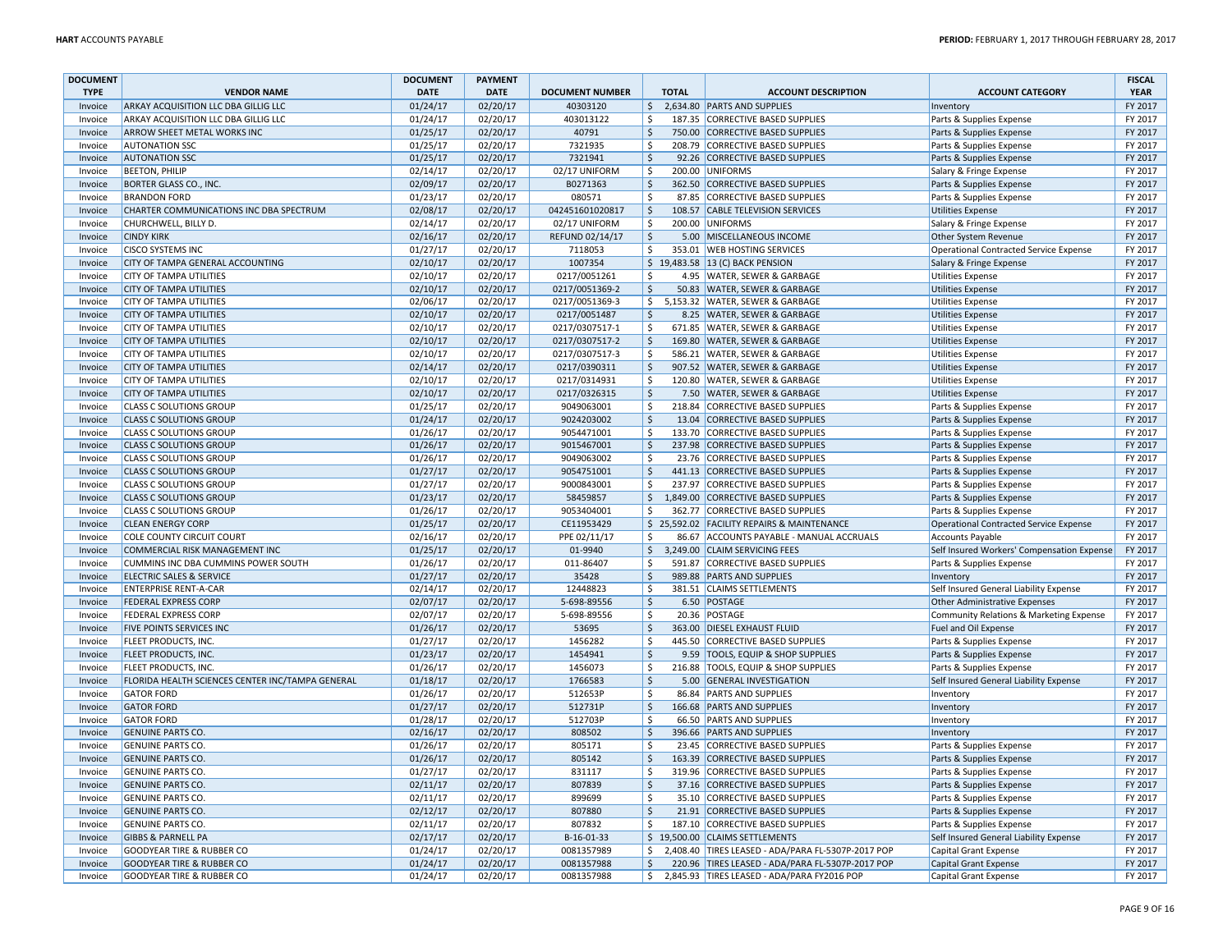| <b>DOCUMENT</b>    |                                                                            | <b>DOCUMENT</b>      | <b>PAYMENT</b>       |                            |                           |              |                                                               |                                                  | <b>FISCAL</b>      |
|--------------------|----------------------------------------------------------------------------|----------------------|----------------------|----------------------------|---------------------------|--------------|---------------------------------------------------------------|--------------------------------------------------|--------------------|
| <b>TYPE</b>        | <b>VENDOR NAME</b>                                                         | <b>DATE</b>          | <b>DATE</b>          | <b>DOCUMENT NUMBER</b>     |                           | <b>TOTAL</b> | <b>ACCOUNT DESCRIPTION</b>                                    | <b>ACCOUNT CATEGORY</b>                          | <b>YEAR</b>        |
| Invoice            | ARKAY ACQUISITION LLC DBA GILLIG LLC                                       | 01/24/17             | 02/20/17             | 40303120                   | $\frac{1}{2}$             |              | 2.634.80 PARTS AND SUPPLIES                                   | Inventory                                        | FY 2017            |
| Invoice            | ARKAY ACQUISITION LLC DBA GILLIG LLC                                       | 01/24/17             | 02/20/17             | 403013122                  | \$                        |              | 187.35 CORRECTIVE BASED SUPPLIES                              | Parts & Supplies Expense                         | FY 2017            |
| Invoice            | ARROW SHEET METAL WORKS INC                                                | 01/25/17             | 02/20/17             | 40791                      | $\zeta$                   |              | 750.00 CORRECTIVE BASED SUPPLIES                              | Parts & Supplies Expense                         | FY 2017            |
| Invoice            | <b>AUTONATION SSC</b>                                                      | 01/25/17             | 02/20/17             | 7321935                    | \$                        |              | 208.79 CORRECTIVE BASED SUPPLIES                              | Parts & Supplies Expense                         | FY 2017            |
| Invoice            | <b>AUTONATION SSC</b>                                                      | 01/25/17             | 02/20/17             | 7321941                    | \$                        |              | 92.26 CORRECTIVE BASED SUPPLIES                               | Parts & Supplies Expense                         | FY 2017            |
| Invoice            | <b>BEETON, PHILIP</b>                                                      | 02/14/17             | 02/20/17             | 02/17 UNIFORM              | $\dot{\mathsf{s}}$        |              | 200.00 UNIFORMS                                               | Salary & Fringe Expense                          | FY 2017            |
| Invoice            | <b>BORTER GLASS CO., INC.</b>                                              | 02/09/17             | 02/20/17             | B0271363                   | $\mathsf{\hat{S}}$        |              | 362.50 CORRECTIVE BASED SUPPLIES                              | Parts & Supplies Expense                         | FY 2017            |
| Invoice            | <b>BRANDON FORD</b>                                                        | 01/23/17             | 02/20/17             | 080571                     | Ś                         |              | 87.85 CORRECTIVE BASED SUPPLIES                               | Parts & Supplies Expense                         | FY 2017            |
| Invoice            | CHARTER COMMUNICATIONS INC DBA SPECTRUM                                    | 02/08/17             | 02/20/17             | 042451601020817            | \$                        |              | 108.57 CABLE TELEVISION SERVICES                              | Utilities Expense                                | FY 2017            |
| Invoice            | CHURCHWELL, BILLY D.                                                       | 02/14/17             | 02/20/17             | 02/17 UNIFORM              | \$                        |              | 200.00 UNIFORMS                                               | Salary & Fringe Expense                          | FY 2017            |
| Invoice            | <b>CINDY KIRK</b>                                                          | 02/16/17             | 02/20/17             | REFUND 02/14/17            | $\zeta$                   |              | 5.00 MISCELLANEOUS INCOME                                     | Other System Revenue                             | FY 2017            |
| Invoice            | <b>CISCO SYSTEMS INC</b>                                                   | 01/27/17             | 02/20/17             | 7118053                    | $\zeta$                   |              | 353.01 WEB HOSTING SERVICES                                   | <b>Operational Contracted Service Expense</b>    | FY 2017            |
| Invoice            | CITY OF TAMPA GENERAL ACCOUNTING                                           | 02/10/17             | 02/20/17             | 1007354                    |                           |              | \$19,483.58 13 (C) BACK PENSION                               | Salary & Fringe Expense                          | FY 2017            |
| Invoice            | <b>CITY OF TAMPA UTILITIES</b>                                             | 02/10/17             | 02/20/17             | 0217/0051261               | $\zeta$                   |              | 4.95 WATER, SEWER & GARBAGE                                   | Utilities Expense                                | FY 2017            |
| Invoice            | <b>CITY OF TAMPA UTILITIES</b>                                             | 02/10/17             | 02/20/17             | 0217/0051369-2             | $\frac{1}{2}$             |              | 50.83 WATER, SEWER & GARBAGE                                  | <b>Utilities Expense</b>                         | FY 2017            |
| Invoice            | <b>CITY OF TAMPA UTILITIES</b>                                             | 02/06/17             | 02/20/17             | 0217/0051369-3             | \$                        |              | 5.153.32 WATER, SEWER & GARBAGE                               | <b>Utilities Expense</b>                         | FY 2017            |
| Invoice            | <b>CITY OF TAMPA UTILITIES</b>                                             | 02/10/17             | 02/20/17             | 0217/0051487               | \$                        |              | 8.25 WATER, SEWER & GARBAGE                                   | Utilities Expense                                | FY 2017            |
| Invoice            | CITY OF TAMPA UTILITIES                                                    | 02/10/17             | 02/20/17             | 0217/0307517-1             | \$                        |              | 671.85 WATER, SEWER & GARBAGE                                 | <b>Utilities Expense</b>                         | FY 2017            |
| Invoice            | <b>CITY OF TAMPA UTILITIES</b>                                             | 02/10/17             | 02/20/17             | 0217/0307517-2             | $\zeta$                   |              | 169.80 WATER, SEWER & GARBAGE                                 | Utilities Expense                                | FY 2017            |
| Invoice            | CITY OF TAMPA UTILITIES                                                    | 02/10/17             | 02/20/17             | 0217/0307517-3             | \$                        |              | 586.21 WATER, SEWER & GARBAGE                                 | <b>Utilities Expense</b>                         | FY 2017            |
| Invoice            | <b>CITY OF TAMPA UTILITIES</b>                                             | 02/14/17             | 02/20/17             | 0217/0390311               | $\frac{1}{2}$             |              | 907.52 WATER, SEWER & GARBAGE                                 | <b>Utilities Expense</b>                         | FY 2017            |
| Invoice            | <b>CITY OF TAMPA UTILITIES</b>                                             | 02/10/17             | 02/20/17             | 0217/0314931               | Ŝ.                        |              | 120.80 WATER, SEWER & GARBAGE                                 | Utilities Expense                                | FY 2017            |
| Invoice            | <b>CITY OF TAMPA UTILITIES</b>                                             | 02/10/17             | 02/20/17             | 0217/0326315               | $\mathsf{\hat{S}}$        |              | 7.50 WATER, SEWER & GARBAGE                                   | <b>Utilities Expense</b>                         | FY 2017            |
| Invoice            | <b>CLASS C SOLUTIONS GROUP</b>                                             | 01/25/17             | 02/20/17             | 9049063001                 | $\zeta$                   |              | 218.84 CORRECTIVE BASED SUPPLIES                              | Parts & Supplies Expense                         | FY 2017            |
| Invoice            | <b>CLASS C SOLUTIONS GROUP</b>                                             | 01/24/17             | 02/20/17             | 9024203002                 | \$                        |              | 13.04 CORRECTIVE BASED SUPPLIES                               | Parts & Supplies Expense                         | FY 2017            |
| Invoice            | <b>CLASS C SOLUTIONS GROUP</b>                                             | 01/26/17             | 02/20/17             | 9054471001                 | $\zeta$                   |              | 133.70 CORRECTIVE BASED SUPPLIES                              | Parts & Supplies Expense                         | FY 2017            |
| Invoice            | <b>CLASS C SOLUTIONS GROUP</b>                                             | 01/26/17             | 02/20/17             | 9015467001                 | \$                        |              | 237.98 CORRECTIVE BASED SUPPLIES                              | Parts & Supplies Expense                         | FY 2017            |
| Invoice            | <b>CLASS C SOLUTIONS GROUP</b>                                             | 01/26/17             | 02/20/17             | 9049063002                 | \$                        |              | 23.76 CORRECTIVE BASED SUPPLIES                               | Parts & Supplies Expense                         | FY 2017            |
| Invoice            | <b>CLASS C SOLUTIONS GROUP</b>                                             | 01/27/17             | 02/20/17             | 9054751001                 | $\zeta$                   |              | 441.13 CORRECTIVE BASED SUPPLIES                              | Parts & Supplies Expense                         | FY 2017            |
| Invoice            | <b>CLASS C SOLUTIONS GROUP</b>                                             | 01/27/17             | 02/20/17             | 9000843001                 | $\zeta$                   |              | 237.97 CORRECTIVE BASED SUPPLIES                              | Parts & Supplies Expense                         | FY 2017            |
| Invoice            | <b>CLASS C SOLUTIONS GROUP</b>                                             | 01/23/17             | 02/20/17             | 58459857                   | \$                        |              | 1,849.00 CORRECTIVE BASED SUPPLIES                            | Parts & Supplies Expense                         | FY 2017            |
| Invoice            | <b>CLASS C SOLUTIONS GROUP</b>                                             | 01/26/17             | 02/20/17             | 9053404001                 | $\zeta$                   |              | 362.77 CORRECTIVE BASED SUPPLIES                              | Parts & Supplies Expense                         | FY 2017            |
| Invoice            | <b>CLEAN ENERGY CORP</b>                                                   | 01/25/17             | 02/20/17             | CE11953429                 |                           |              | \$25,592.02 FACILITY REPAIRS & MAINTENANCE                    | Operational Contracted Service Expense           | FY 2017            |
| Invoice            | <b>COLE COUNTY CIRCUIT COURT</b>                                           | 02/16/17             | 02/20/17             | PPE 02/11/17               | Ŝ.                        |              | 86.67 ACCOUNTS PAYABLE - MANUAL ACCRUALS                      | <b>Accounts Payable</b>                          | FY 2017            |
| Invoice            | COMMERCIAL RISK MANAGEMENT INC                                             | 01/25/17             | 02/20/17             | 01-9940                    | $\zeta$                   |              | 3,249.00 CLAIM SERVICING FEES                                 | Self Insured Workers' Compensation Expense       | FY 2017            |
| Invoice<br>Invoice | CUMMINS INC DBA CUMMINS POWER SOUTH<br><b>ELECTRIC SALES &amp; SERVICE</b> | 01/26/17             | 02/20/17<br>02/20/17 | 011-86407<br>35428         | $\zeta$                   |              | 591.87 CORRECTIVE BASED SUPPLIES<br>989.88 PARTS AND SUPPLIES | Parts & Supplies Expense                         | FY 2017<br>FY 2017 |
| Invoice            | <b>ENTERPRISE RENT-A-CAR</b>                                               | 01/27/17<br>02/14/17 | 02/20/17             | 12448823                   | $\ddot{\mathsf{S}}$<br>\$ |              | 381.51 CLAIMS SETTLEMENTS                                     | Inventory                                        | FY 2017            |
|                    |                                                                            |                      | 02/20/17             |                            | $\zeta$                   |              |                                                               | Self Insured General Liability Expense           | FY 2017            |
| Invoice            | <b>FEDERAL EXPRESS CORP</b><br><b>FEDERAL EXPRESS CORP</b>                 | 02/07/17<br>02/07/17 | 02/20/17             | 5-698-89556<br>5-698-89556 | $\overline{\varsigma}$    |              | 6.50 POSTAGE<br>20.36 POSTAGE                                 | Other Administrative Expenses                    | FY 2017            |
| Invoice            | FIVE POINTS SERVICES INC                                                   | 01/26/17             | 02/20/17             | 53695                      | $\zeta$                   |              | 363.00 DIESEL EXHAUST FLUID                                   | Community Relations & Marketing Expense          | FY 2017            |
| Invoice<br>Invoice | FLEET PRODUCTS, INC.                                                       | 01/27/17             | 02/20/17             | 1456282                    | \$                        |              | 445.50 CORRECTIVE BASED SUPPLIES                              | Fuel and Oil Expense<br>Parts & Supplies Expense | FY 2017            |
| Invoice            | <b>FLEET PRODUCTS, INC.</b>                                                | 01/23/17             | 02/20/17             | 1454941                    | $\ddot{\mathsf{S}}$       |              | 9.59 TOOLS, EQUIP & SHOP SUPPLIES                             | Parts & Supplies Expense                         | FY 2017            |
| Invoice            | FLEET PRODUCTS, INC                                                        | 01/26/17             | 02/20/17             | 1456073                    | Ŝ.                        |              | 216.88 TOOLS, EQUIP & SHOP SUPPLIES                           | Parts & Supplies Expense                         | FY 2017            |
| Invoice            | FLORIDA HEALTH SCIENCES CENTER INC/TAMPA GENERAL                           | 01/18/17             | 02/20/17             | 1766583                    | $\zeta$                   |              | 5.00 GENERAL INVESTIGATION                                    | Self Insured General Liability Expense           | FY 2017            |
| Invoice            | <b>GATOR FORD</b>                                                          | 01/26/17             | 02/20/17             | 512653P                    | $\dot{\mathsf{s}}$        |              | 86.84 PARTS AND SUPPLIES                                      | Inventory                                        | FY 2017            |
| Invoice            | <b>GATOR FORD</b>                                                          | 01/27/17             | 02/20/17             | 512731P                    | \$                        |              | 166.68 PARTS AND SUPPLIES                                     | Inventory                                        | FY 2017            |
| Invoice            | <b>GATOR FORD</b>                                                          | 01/28/17             | 02/20/17             | 512703P                    | \$                        |              | 66.50 PARTS AND SUPPLIES                                      | Inventory                                        | FY 2017            |
| Invoice            | <b>GENUINE PARTS CO</b>                                                    | 02/16/17             | 02/20/17             | 808502                     | $\ddot{\mathsf{S}}$       |              | 396.66 PARTS AND SUPPLIES                                     | Inventory                                        | FY 2017            |
| Invoice            | <b>GENUINE PARTS CO.</b>                                                   | 01/26/17             | 02/20/17             | 805171                     | $\zeta$                   |              | 23.45 CORRECTIVE BASED SUPPLIES                               | Parts & Supplies Expense                         | FY 2017            |
| Invoice            | <b>GENUINE PARTS CO.</b>                                                   | 01/26/17             | 02/20/17             | 805142                     | $\mathsf{\hat{S}}$        |              | 163.39 CORRECTIVE BASED SUPPLIES                              | Parts & Supplies Expense                         | FY 2017            |
| Invoice            | <b>GENUINE PARTS CO</b>                                                    | 01/27/17             | 02/20/17             | 831117                     | \$                        |              | 319.96 CORRECTIVE BASED SUPPLIES                              | Parts & Supplies Expense                         | FY 2017            |
| Invoice            | <b>GENUINE PARTS CO.</b>                                                   | 02/11/17             | 02/20/17             | 807839                     | \$                        |              | 37.16 CORRECTIVE BASED SUPPLIES                               | Parts & Supplies Expense                         | FY 2017            |
| Invoice            | <b>GENUINE PARTS CO</b>                                                    | 02/11/17             | 02/20/17             | 899699                     | -Ś                        |              | 35.10 CORRECTIVE BASED SUPPLIES                               | Parts & Supplies Expense                         | FY 2017            |
| Invoice            | <b>GENUINE PARTS CO.</b>                                                   | 02/12/17             | 02/20/17             | 807880                     | $\zeta$                   |              | 21.91 CORRECTIVE BASED SUPPLIES                               | Parts & Supplies Expense                         | FY 2017            |
| Invoice            | <b>GENUINE PARTS CO</b>                                                    | 02/11/17             | 02/20/17             | 807832                     | \$                        |              | 187.10 CORRECTIVE BASED SUPPLIES                              | Parts & Supplies Expense                         | FY 2017            |
| Invoice            | <b>GIBBS &amp; PARNELL PA</b>                                              | 02/17/17             | 02/20/17             | B-16-01-33                 |                           |              | \$19,500.00 CLAIMS SETTLEMENTS                                | Self Insured General Liability Expense           | FY 2017            |
| Invoice            | <b>GOODYEAR TIRE &amp; RUBBER CO</b>                                       | 01/24/17             | 02/20/17             | 0081357989                 | \$                        |              | 2,408.40 TIRES LEASED - ADA/PARA FL-5307P-2017 POP            | <b>Capital Grant Expense</b>                     | FY 2017            |
| Invoice            | <b>GOODYEAR TIRE &amp; RUBBER CO</b>                                       | 01/24/17             | 02/20/17             | 0081357988                 | \$                        |              | 220.96 TIRES LEASED - ADA/PARA FL-5307P-2017 POP              | Capital Grant Expense                            | FY 2017            |
| Invoice            | <b>GOODYEAR TIRE &amp; RUBBER CO</b>                                       | 01/24/17             | 02/20/17             | 0081357988                 | \$                        |              | 2,845.93 TIRES LEASED - ADA/PARA FY2016 POP                   | Capital Grant Expense                            | FY 2017            |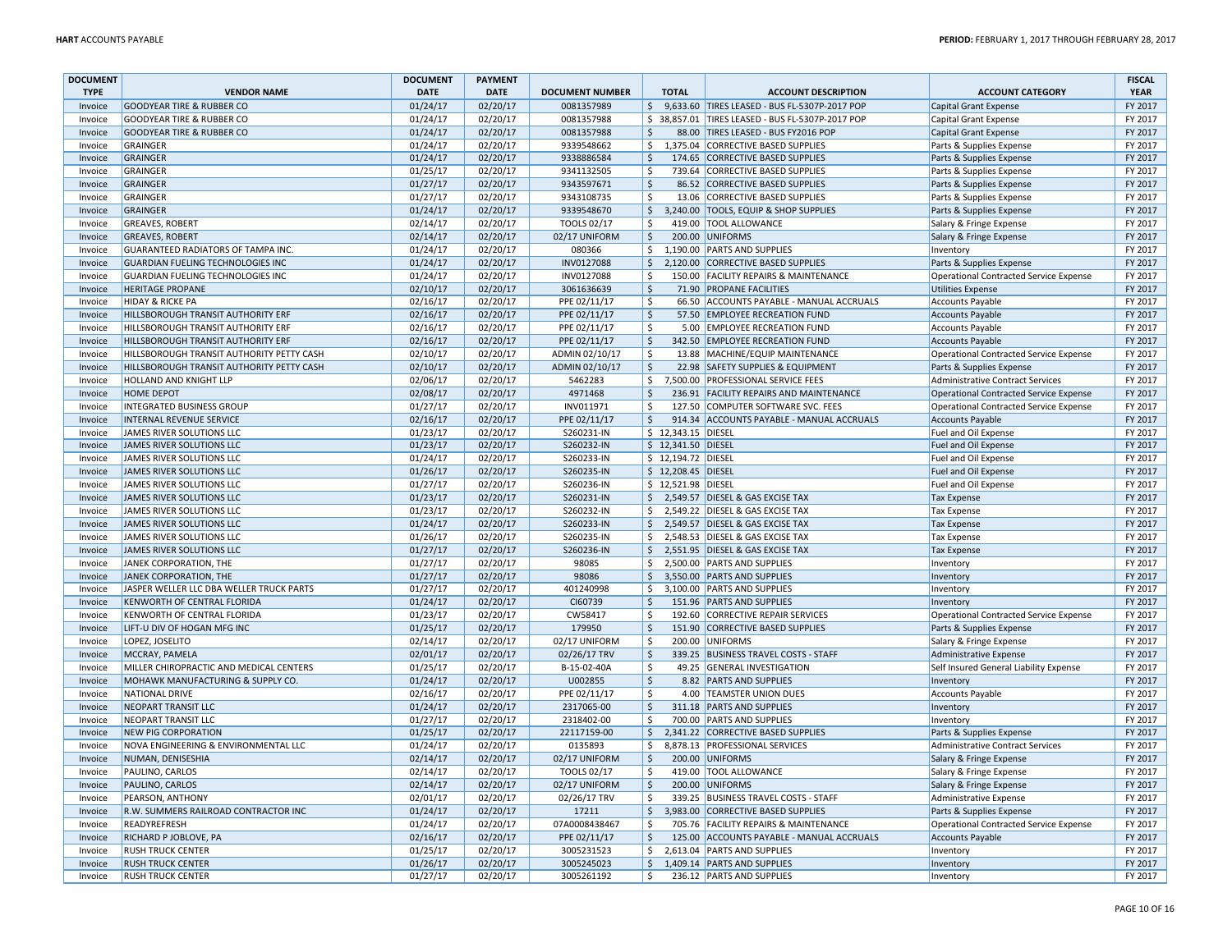| <b>DOCUMENT</b>    |                                           | <b>DOCUMENT</b>      | <b>PAYMENT</b> |                        |                        |                     |                                                                   |                                                    | <b>FISCAL</b> |
|--------------------|-------------------------------------------|----------------------|----------------|------------------------|------------------------|---------------------|-------------------------------------------------------------------|----------------------------------------------------|---------------|
| <b>TYPE</b>        | <b>VENDOR NAME</b>                        | <b>DATE</b>          | <b>DATE</b>    | <b>DOCUMENT NUMBER</b> |                        | <b>TOTAL</b>        | <b>ACCOUNT DESCRIPTION</b>                                        | <b>ACCOUNT CATEGORY</b>                            | <b>YEAR</b>   |
| Invoice            | <b>GOODYEAR TIRE &amp; RUBBER CO</b>      | 01/24/17             | 02/20/17       | 0081357989             | $\zeta$                |                     | 9,633.60 TIRES LEASED - BUS FL-5307P-2017 POP                     | Capital Grant Expense                              | FY 2017       |
| Invoice            | <b>GOODYEAR TIRE &amp; RUBBER CO</b>      | 01/24/17             | 02/20/17       | 0081357988             |                        |                     | \$ 38,857.01 TIRES LEASED - BUS FL-5307P-2017 POP                 | Capital Grant Expense                              | FY 2017       |
| Invoice            | <b>GOODYEAR TIRE &amp; RUBBER CO</b>      | 01/24/17             | 02/20/17       | 0081357988             | $\dot{\mathsf{S}}$     |                     | 88.00 TIRES LEASED - BUS FY2016 POP                               | Capital Grant Expense                              | FY 2017       |
| Invoice            | <b>GRAINGER</b>                           | 01/24/17             | 02/20/17       | 9339548662             | Ŝ.                     |                     | 1,375.04 CORRECTIVE BASED SUPPLIES                                | Parts & Supplies Expense                           | FY 2017       |
| Invoice            | GRAINGER                                  | 01/24/17             | 02/20/17       | 9338886584             | \$                     |                     | 174.65 CORRECTIVE BASED SUPPLIES                                  | Parts & Supplies Expense                           | FY 2017       |
| Invoice            | GRAINGER                                  | 01/25/17             | 02/20/17       | 9341132505             | $\zeta$                |                     | 739.64 CORRECTIVE BASED SUPPLIES                                  | Parts & Supplies Expense                           | FY 2017       |
| Invoice            | GRAINGER                                  | 01/27/17             | 02/20/17       | 9343597671             | \$                     |                     | 86.52 CORRECTIVE BASED SUPPLIES                                   | Parts & Supplies Expense                           | FY 2017       |
| Invoice            | GRAINGER                                  | 01/27/17             | 02/20/17       | 9343108735             | Ŝ.                     |                     | 13.06 CORRECTIVE BASED SUPPLIES                                   | Parts & Supplies Expense                           | FY 2017       |
| Invoice            | <b>GRAINGER</b>                           | 01/24/17             | 02/20/17       | 9339548670             | $\ddot{\mathsf{S}}$    |                     | 3,240.00 TOOLS, EQUIP & SHOP SUPPLIES                             | Parts & Supplies Expense                           | FY 2017       |
| Invoice            | <b>GREAVES, ROBERT</b>                    | 02/14/17             | 02/20/17       | TOOLS 02/17            | \$                     |                     | 419.00 TOOL ALLOWANCE                                             | Salary & Fringe Expense                            | FY 2017       |
| Invoice            | <b>GREAVES, ROBERT</b>                    | 02/14/17             | 02/20/17       | 02/17 UNIFORM          | $\zeta$                | 200.00              | UNIFORMS                                                          | Salary & Fringe Expense                            | FY 2017       |
| Invoice            | GUARANTEED RADIATORS OF TAMPA INC         | 01/24/17             | 02/20/17       | 080366                 | \$                     |                     | 1,190.00 PARTS AND SUPPLIES                                       | Inventory                                          | FY 2017       |
| Invoice            | <b>GUARDIAN FUELING TECHNOLOGIES INC</b>  | 01/24/17             | 02/20/17       | INV0127088             | $\mathsf{\hat{S}}$     |                     | 2,120.00 CORRECTIVE BASED SUPPLIES                                |                                                    | FY 2017       |
| Invoice            |                                           |                      | 02/20/17       | INV0127088             | -Ś                     |                     |                                                                   | Parts & Supplies Expense                           | FY 2017       |
|                    | GUARDIAN FUELING TECHNOLOGIES INC         | 01/24/17<br>02/10/17 | 02/20/17       | 3061636639             | $\zeta$                |                     | 150.00 FACILITY REPAIRS & MAINTENANCE<br>71.90 PROPANE FACILITIES | Operational Contracted Service Expense             | FY 2017       |
| Invoice            | <b>HERITAGE PROPANE</b>                   |                      |                |                        |                        |                     |                                                                   | Utilities Expense                                  |               |
| Invoice            | <b>HIDAY &amp; RICKE PA</b>               | 02/16/17             | 02/20/17       | PPE 02/11/17           | $\zeta$                |                     | 66.50 ACCOUNTS PAYABLE - MANUAL ACCRUALS                          | <b>Accounts Payable</b>                            | FY 2017       |
| Invoice            | HILLSBOROUGH TRANSIT AUTHORITY ERF        | 02/16/17             | 02/20/17       | PPE 02/11/17           | $\zeta$                |                     | 57.50 EMPLOYEE RECREATION FUND                                    | Accounts Payable                                   | FY 2017       |
| Invoice            | HILLSBOROUGH TRANSIT AUTHORITY ERF        | 02/16/17             | 02/20/17       | PPE 02/11/17           | $\zeta$                |                     | 5.00 EMPLOYEE RECREATION FUND                                     | Accounts Payable                                   | FY 2017       |
| Invoice            | HILLSBOROUGH TRANSIT AUTHORITY ERF        | 02/16/17             | 02/20/17       | PPE 02/11/17           | \$                     |                     | 342.50 EMPLOYEE RECREATION FUND                                   | Accounts Payable                                   | FY 2017       |
| Invoice            | HILLSBOROUGH TRANSIT AUTHORITY PETTY CASH | 02/10/17             | 02/20/17       | ADMIN 02/10/17         | Ŝ.                     |                     | 13.88 MACHINE/EQUIP MAINTENANCE                                   | Operational Contracted Service Expense             | FY 2017       |
| Invoice            | HILLSBOROUGH TRANSIT AUTHORITY PETTY CASH | 02/10/17             | 02/20/17       | ADMIN 02/10/17         | $\mathsf{\hat{S}}$     |                     | 22.98 SAFETY SUPPLIES & EQUIPMENT                                 | Parts & Supplies Expense                           | FY 2017       |
| Invoice            | HOLLAND AND KNIGHT LLP                    | 02/06/17             | 02/20/17       | 5462283                | \$                     |                     | 7,500.00 PROFESSIONAL SERVICE FEES                                | Administrative Contract Services                   | FY 2017       |
| Invoice            | HOME DEPOT                                | 02/08/17             | 02/20/17       | 4971468                | <sup>\$</sup>          |                     | 236.91 FACILITY REPAIRS AND MAINTENANCE                           | Operational Contracted Service Expense             | FY 2017       |
| Invoice            | INTEGRATED BUSINESS GROUP                 | 01/27/17             | 02/20/17       | INV011971              | $\zeta$                |                     | 127.50 COMPUTER SOFTWARE SVC. FEES                                | Operational Contracted Service Expense             | FY 2017       |
| Invoice            | <b>INTERNAL REVENUE SERVICE</b>           | 02/16/17             | 02/20/17       | PPE 02/11/17           | $\ddot{\mathsf{S}}$    |                     | 914.34 ACCOUNTS PAYABLE - MANUAL ACCRUALS                         | Accounts Payable                                   | FY 2017       |
| Invoice            | JAMES RIVER SOLUTIONS LLC                 | 01/23/17             | 02/20/17       | S260231-IN             |                        | \$ 12,343.15 DIESEL |                                                                   | Fuel and Oil Expense                               | FY 2017       |
| Invoice            | JAMES RIVER SOLUTIONS LLC                 | 01/23/17             | 02/20/17       | S260232-IN             |                        | \$ 12,341.50 DIESEL |                                                                   | Fuel and Oil Expense                               | FY 2017       |
| Invoice            | JAMES RIVER SOLUTIONS LLC                 | 01/24/17             | 02/20/17       | S260233-IN             |                        | \$ 12,194.72 DIESEI |                                                                   | Fuel and Oil Expense                               | FY 2017       |
| Invoice            | JAMES RIVER SOLUTIONS LLC                 | 01/26/17             | 02/20/17       | S260235-IN             |                        | \$12,208.45 DIESEL  |                                                                   | Fuel and Oil Expense                               | FY 2017       |
| Invoice            | JAMES RIVER SOLUTIONS LLC                 | 01/27/17             | 02/20/17       | S260236-IN             |                        | \$ 12,521.98 DIESEL |                                                                   | Fuel and Oil Expense                               | FY 2017       |
| Invoice            | JAMES RIVER SOLUTIONS LLC                 | 01/23/17             | 02/20/17       | S260231-IN             | \$                     |                     | 2,549.57 DIESEL & GAS EXCISE TAX                                  | <b>Tax Expense</b>                                 | FY 2017       |
| Invoice            | JAMES RIVER SOLUTIONS LLC                 | 01/23/17             | 02/20/17       | S260232-IN             | \$                     |                     | 2,549.22 DIESEL & GAS EXCISE TAX                                  | <b>Tax Expense</b>                                 | FY 2017       |
| Invoice            | JAMES RIVER SOLUTIONS LLC                 | 01/24/17             | 02/20/17       | S260233-IN             | Ŝ.                     |                     | 2,549.57 DIESEL & GAS EXCISE TAX                                  | <b>Tax Expense</b>                                 | FY 2017       |
| Invoice            | JAMES RIVER SOLUTIONS LLC                 | 01/26/17             | 02/20/17       | S260235-IN             | \$                     |                     | 2,548.53 DIESEL & GAS EXCISE TAX                                  | <b>Tax Expense</b>                                 | FY 2017       |
| Invoice            | JAMES RIVER SOLUTIONS LLC                 | 01/27/17             | 02/20/17       | S260236-IN             | $\ddot{\mathsf{S}}$    |                     | 2,551.95 DIESEL & GAS EXCISE TAX                                  | <b>Tax Expense</b>                                 | FY 2017       |
| Invoice            | JANEK CORPORATION, THE                    | 01/27/17             | 02/20/17       | 98085                  | Ŝ.                     |                     | 2,500.00 PARTS AND SUPPLIES                                       | Inventory                                          | FY 2017       |
| Invoice            | JANEK CORPORATION, THE                    | 01/27/17             | 02/20/17       | 98086                  | \$                     |                     | 3,550.00 PARTS AND SUPPLIES                                       | Inventory                                          | FY 2017       |
| Invoice            | JASPER WELLER LLC DBA WELLER TRUCK PARTS  | 01/27/17             | 02/20/17       | 401240998              | Ŝ.                     |                     | 3,100.00 PARTS AND SUPPLIES                                       | Inventory                                          | FY 2017       |
| Invoice            | KENWORTH OF CENTRAL FLORIDA               | 01/24/17             | 02/20/17       | CI60739                | Ś.                     |                     | 151.96 PARTS AND SUPPLIES                                         | Inventory                                          | FY 2017       |
| Invoice            | KENWORTH OF CENTRAL FLORIDA               | 01/23/17             | 02/20/17       | CW58417                | $\mathsf{\hat{S}}$     |                     | 192.60 CORRECTIVE REPAIR SERVICES                                 | <b>Operational Contracted Service Expense</b>      | FY 2017       |
| Invoice            | LIFT-U DIV OF HOGAN MFG INC               | 01/25/17             | 02/20/17       | 179950                 | $\zeta$                |                     | 151.90 CORRECTIVE BASED SUPPLIES                                  | Parts & Supplies Expense                           | FY 2017       |
| Invoice            | LOPEZ, JOSELITO                           | 02/14/17             | 02/20/17       | 02/17 UNIFORM          | Ŝ.                     |                     | 200.00 UNIFORMS                                                   | Salary & Fringe Expense                            | FY 2017       |
| Invoice            | MCCRAY, PAMELA                            | 02/01/17             | 02/20/17       | 02/26/17 TRV           | <sup>\$</sup>          |                     | 339.25 BUSINESS TRAVEL COSTS - STAFF                              | Administrative Expense                             | FY 2017       |
| Invoice            | MILLER CHIROPRACTIC AND MEDICAL CENTERS   | 01/25/17             | 02/20/17       | B-15-02-40A            | \$                     |                     | 49.25 GENERAL INVESTIGATION                                       | Self Insured General Liability Expense             | FY 2017       |
| Invoice            | MOHAWK MANUFACTURING & SUPPLY CO.         | 01/24/17             | 02/20/17       | U002855                | $\overline{\varsigma}$ |                     | 8.82 PARTS AND SUPPLIES                                           | Inventory                                          | FY 2017       |
| Invoice            | <b>NATIONAL DRIVE</b>                     | 02/16/17             | 02/20/17       | PPE 02/11/17           | $\zeta$                |                     | 4.00 TEAMSTER UNION DUES                                          | Accounts Payable                                   | FY 2017       |
| Invoice            | <b>NEOPART TRANSIT LLC</b>                | 01/24/17             | 02/20/17       | 2317065-00             | $\ddot{\mathsf{S}}$    |                     | 311.18 PARTS AND SUPPLIES                                         | Inventory                                          | FY 2017       |
| Invoice            | <b>NEOPART TRANSIT LLC</b>                | 01/27/17             | 02/20/17       | 2318402-00             | Ś.                     |                     | 700.00 PARTS AND SUPPLIES                                         | Inventory                                          | FY 2017       |
| Invoice            | <b>NEW PIG CORPORATION</b>                | 01/25/17             | 02/20/17       | 22117159-00            | $\zeta$                |                     | 2,341.22 CORRECTIVE BASED SUPPLIES                                | Parts & Supplies Expense                           | FY 2017       |
| Invoice            | NOVA ENGINEERING & ENVIRONMENTAL LLC      | 01/24/17             | 02/20/17       | 0135893                | \$                     |                     | 8,878.13 PROFESSIONAL SERVICES                                    | Administrative Contract Services                   | FY 2017       |
|                    | NUMAN, DENISESHIA                         |                      | 02/20/17       | 02/17 UNIFORM          |                        |                     | 200.00 UNIFORMS                                                   |                                                    | FY 2017       |
| Invoice<br>Invoice | PAULINO, CARLOS                           | 02/14/17<br>02/14/17 | 02/20/17       | TOOLS 02/17            | \$<br>\$               |                     | 419.00 TOOL ALLOWANCE                                             | Salary & Fringe Expense<br>Salary & Fringe Expense | FY 2017       |
|                    |                                           |                      |                |                        |                        |                     | 200.00 UNIFORMS                                                   |                                                    |               |
| Invoice            | PAULINO, CARLOS                           | 02/14/17             | 02/20/17       | 02/17 UNIFORM          | \$                     |                     |                                                                   | Salary & Fringe Expense                            | FY 2017       |
| Invoice            | PEARSON, ANTHONY                          | 02/01/17             | 02/20/17       | 02/26/17 TRV           | Ŝ.                     |                     | 339.25 BUSINESS TRAVEL COSTS - STAFF                              | Administrative Expense                             | FY 2017       |
| Invoice            | R.W. SUMMERS RAILROAD CONTRACTOR INC      | 01/24/17             | 02/20/17       | 17211                  | \$                     |                     | 3,983.00 CORRECTIVE BASED SUPPLIES                                | Parts & Supplies Expense                           | FY 2017       |
| Invoice            | <b>READYREFRESH</b>                       | 01/24/17             | 02/20/17       | 07A0008438467          | \$                     |                     | 705.76 FACILITY REPAIRS & MAINTENANCE                             | <b>Operational Contracted Service Expense</b>      | FY 2017       |
| Invoice            | RICHARD P JOBLOVE, PA                     | 02/16/17             | 02/20/17       | PPE 02/11/17           | \$                     |                     | 125.00 ACCOUNTS PAYABLE - MANUAL ACCRUALS                         | <b>Accounts Payable</b>                            | FY 2017       |
| Invoice            | <b>RUSH TRUCK CENTER</b>                  | 01/25/17             | 02/20/17       | 3005231523             | \$                     |                     | 2,613.04 PARTS AND SUPPLIES                                       | Inventory                                          | FY 2017       |
| Invoice            | <b>RUSH TRUCK CENTER</b>                  | 01/26/17             | 02/20/17       | 3005245023             | \$                     |                     | 1,409.14 PARTS AND SUPPLIES                                       | Inventory                                          | FY 2017       |
| Invoice            | <b>RUSH TRUCK CENTER</b>                  | 01/27/17             | 02/20/17       | 3005261192             | Ŝ.                     |                     | 236.12 PARTS AND SUPPLIES                                         | Inventory                                          | FY 2017       |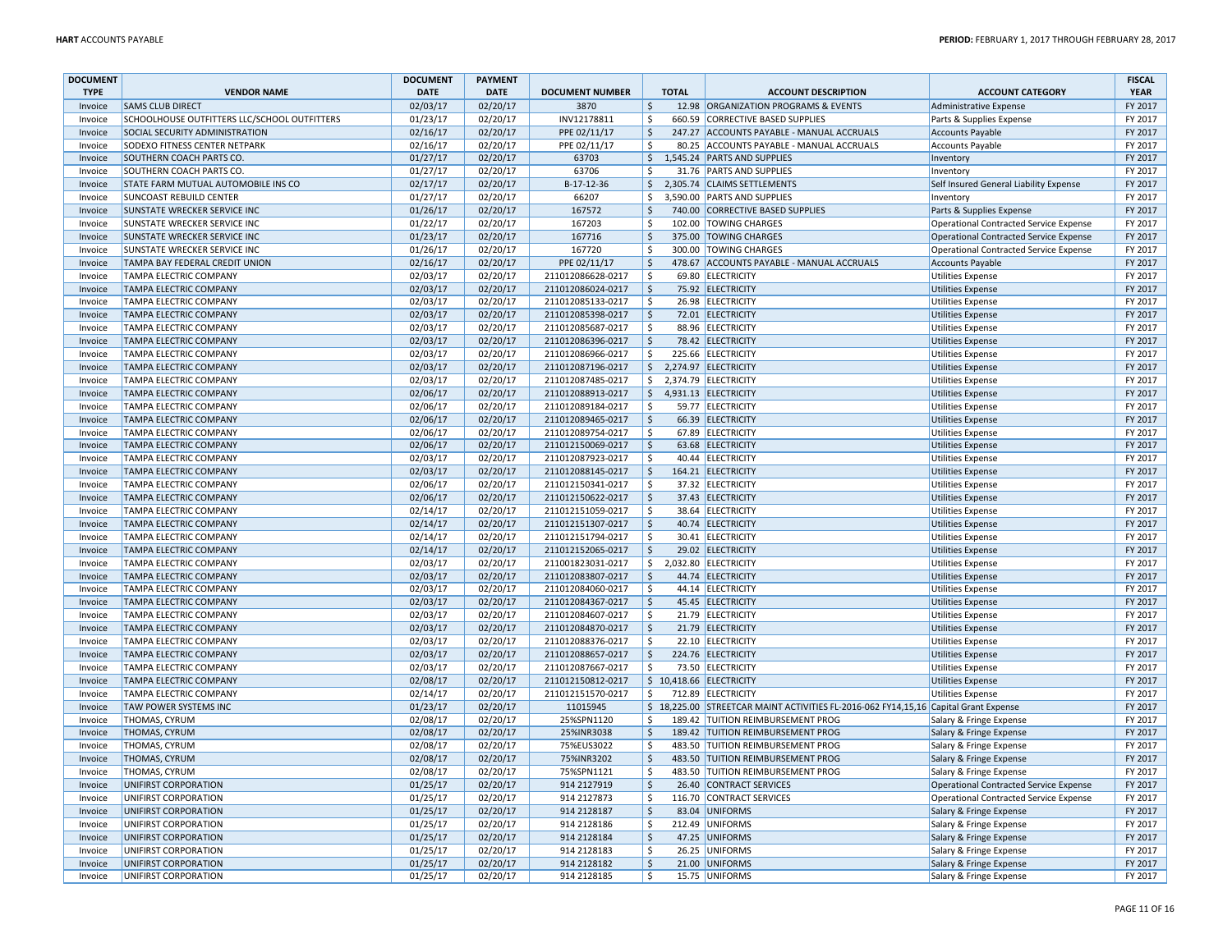| <b>DOCUMENT</b> |                                              | <b>DOCUMENT</b> | <b>PAYMENT</b> |                        |                        |              |                                                                                      |                                               | <b>FISCAL</b> |
|-----------------|----------------------------------------------|-----------------|----------------|------------------------|------------------------|--------------|--------------------------------------------------------------------------------------|-----------------------------------------------|---------------|
| <b>TYPE</b>     | <b>VENDOR NAME</b>                           | <b>DATE</b>     | <b>DATE</b>    | <b>DOCUMENT NUMBER</b> |                        | <b>TOTAL</b> | <b>ACCOUNT DESCRIPTION</b>                                                           | <b>ACCOUNT CATEGORY</b>                       | <b>YEAR</b>   |
| Invoice         | <b>SAMS CLUB DIRECT</b>                      | 02/03/17        | 02/20/17       | 3870                   | $\ddot{\mathsf{S}}$    |              | 12.98 ORGANIZATION PROGRAMS & EVENTS                                                 | Administrative Expense                        | FY 2017       |
| Invoice         | SCHOOLHOUSE OUTFITTERS LLC/SCHOOL OUTFITTERS | 01/23/17        | 02/20/17       | INV12178811            | \$                     |              | 660.59 CORRECTIVE BASED SUPPLIES                                                     | Parts & Supplies Expense                      | FY 2017       |
| Invoice         | SOCIAL SECURITY ADMINISTRATION               | 02/16/17        | 02/20/17       | PPE 02/11/17           | $\zeta$                |              | 247.27 ACCOUNTS PAYABLE - MANUAL ACCRUALS                                            | <b>Accounts Payable</b>                       | FY 2017       |
| Invoice         | SODEXO FITNESS CENTER NETPARK                | 02/16/17        | 02/20/17       | PPE 02/11/17           | \$                     |              | 80.25 ACCOUNTS PAYABLE - MANUAL ACCRUALS                                             | <b>Accounts Payable</b>                       | FY 2017       |
| Invoice         | SOUTHERN COACH PARTS CO.                     | 01/27/17        | 02/20/17       | 63703                  | $\zeta$                |              | 1,545.24 PARTS AND SUPPLIES                                                          | Inventory                                     | FY 2017       |
| Invoice         | SOUTHERN COACH PARTS CO.                     | 01/27/17        | 02/20/17       | 63706                  | $\zeta$                |              | 31.76 PARTS AND SUPPLIES                                                             | Inventory                                     | FY 2017       |
| Invoice         | STATE FARM MUTUAL AUTOMOBILE INS CO          | 02/17/17        | 02/20/17       | B-17-12-36             | \$                     |              | 2,305.74 CLAIMS SETTLEMENTS                                                          | Self Insured General Liability Expense        | FY 2017       |
| Invoice         | <b>SUNCOAST REBUILD CENTER</b>               | 01/27/17        | 02/20/17       | 66207                  | Ŝ.                     |              | 3,590.00 PARTS AND SUPPLIES                                                          | Inventory                                     | FY 2017       |
| Invoice         | SUNSTATE WRECKER SERVICE INC                 | 01/26/17        | 02/20/17       | 167572                 | Ś.                     |              | 740.00 CORRECTIVE BASED SUPPLIES                                                     | Parts & Supplies Expense                      | FY 2017       |
| Invoice         | SUNSTATE WRECKER SERVICE INC                 | 01/22/17        | 02/20/17       | 167203                 | \$                     |              | 102.00 TOWING CHARGES                                                                | Operational Contracted Service Expense        | FY 2017       |
| Invoice         | SUNSTATE WRECKER SERVICE INC                 | 01/23/17        | 02/20/17       | 167716                 | $\mathsf{\hat{S}}$     |              | 375.00 TOWING CHARGES                                                                | Operational Contracted Service Expense        | FY 2017       |
| Invoice         | SUNSTATE WRECKER SERVICE INC                 | 01/26/17        | 02/20/17       | 167720                 | $\zeta$                |              | 300.00 TOWING CHARGES                                                                | Operational Contracted Service Expense        | FY 2017       |
| Invoice         | TAMPA BAY FEDERAL CREDIT UNION               | 02/16/17        | 02/20/17       | PPE 02/11/17           | \$                     |              | 478.67 ACCOUNTS PAYABLE - MANUAL ACCRUALS                                            | <b>Accounts Payable</b>                       | FY 2017       |
| Invoice         | TAMPA ELECTRIC COMPANY                       | 02/03/17        | 02/20/17       | 211012086628-0217      | $\zeta$                |              | 69.80 ELECTRICITY                                                                    | <b>Utilities Expense</b>                      | FY 2017       |
| Invoice         | TAMPA ELECTRIC COMPANY                       | 02/03/17        | 02/20/17       | 211012086024-0217      | $\zeta$                |              | 75.92 ELECTRICITY                                                                    | Utilities Expense                             | FY 2017       |
| Invoice         | TAMPA ELECTRIC COMPANY                       | 02/03/17        | 02/20/17       | 211012085133-0217      | \$                     |              | 26.98 ELECTRICITY                                                                    | <b>Utilities Expense</b>                      | FY 2017       |
| Invoice         | TAMPA ELECTRIC COMPANY                       | 02/03/17        | 02/20/17       | 211012085398-0217      | $\zeta$                |              | 72.01 ELECTRICITY                                                                    | <b>Utilities Expense</b>                      | FY 2017       |
| Invoice         | TAMPA ELECTRIC COMPANY                       | 02/03/17        | 02/20/17       | 211012085687-0217      | $\zeta$                |              | 88.96 ELECTRICITY                                                                    | <b>Utilities Expense</b>                      | FY 2017       |
| Invoice         | TAMPA ELECTRIC COMPANY                       | 02/03/17        | 02/20/17       | 211012086396-0217      | $\ddot{\mathsf{S}}$    |              | 78.42 ELECTRICITY                                                                    | <b>Utilities Expense</b>                      | FY 2017       |
| Invoice         | TAMPA ELECTRIC COMPANY                       | 02/03/17        | 02/20/17       | 211012086966-0217      | \$                     |              | 225.66 ELECTRICITY                                                                   | <b>Utilities Expense</b>                      | FY 2017       |
| Invoice         | TAMPA ELECTRIC COMPANY                       | 02/03/17        | 02/20/17       | 211012087196-0217      | $\zeta$                |              | 2,274.97 ELECTRICITY                                                                 | <b>Utilities Expense</b>                      | FY 2017       |
| Invoice         | TAMPA ELECTRIC COMPANY                       | 02/03/17        | 02/20/17       | 211012087485-0217      | \$                     |              | 2,374.79 ELECTRICITY                                                                 | <b>Utilities Expense</b>                      | FY 2017       |
| Invoice         | TAMPA ELECTRIC COMPANY                       | 02/06/17        | 02/20/17       | 211012088913-0217      | $\ddot{\mathsf{S}}$    |              | 4,931.13 ELECTRICITY                                                                 | <b>Utilities Expense</b>                      | FY 2017       |
| Invoice         | TAMPA ELECTRIC COMPANY                       | 02/06/17        | 02/20/17       | 211012089184-0217      | $\zeta$                |              | 59.77 ELECTRICITY                                                                    | <b>Utilities Expense</b>                      | FY 2017       |
| Invoice         | <b>TAMPA ELECTRIC COMPANY</b>                | 02/06/17        | 02/20/17       | 211012089465-0217      | Ŝ.                     |              | 66.39 ELECTRICITY                                                                    | <b>Utilities Expense</b>                      | FY 2017       |
| Invoice         | TAMPA ELECTRIC COMPANY                       | 02/06/17        | 02/20/17       | 211012089754-0217      | Ŝ.                     |              | 67.89 ELECTRICITY                                                                    | <b>Utilities Expense</b>                      | FY 2017       |
| Invoice         | TAMPA ELECTRIC COMPANY                       | 02/06/17        | 02/20/17       | 211012150069-0217      | $\ddot{\mathsf{S}}$    |              | 63.68 ELECTRICITY                                                                    | <b>Utilities Expense</b>                      | FY 2017       |
| Invoice         | TAMPA ELECTRIC COMPANY                       | 02/03/17        | 02/20/17       | 211012087923-0217      | Ś.                     |              | 40.44 ELECTRICITY                                                                    | <b>Utilities Expense</b>                      | FY 2017       |
| Invoice         | TAMPA ELECTRIC COMPANY                       | 02/03/17        | 02/20/17       | 211012088145-0217      | $\ddot{\mathsf{S}}$    |              | 164.21 ELECTRICITY                                                                   | <b>Utilities Expense</b>                      | FY 2017       |
| Invoice         | TAMPA ELECTRIC COMPANY                       | 02/06/17        | 02/20/17       | 211012150341-0217      | Ŝ.                     |              | 37.32 ELECTRICITY                                                                    | <b>Utilities Expense</b>                      | FY 2017       |
| Invoice         | TAMPA ELECTRIC COMPANY                       | 02/06/17        | 02/20/17       | 211012150622-0217      | $\mathsf{\hat{S}}$     |              | 37.43 ELECTRICITY                                                                    | <b>Utilities Expense</b>                      | FY 2017       |
| Invoice         | TAMPA ELECTRIC COMPANY                       | 02/14/17        | 02/20/17       | 211012151059-0217      | Ŝ.                     |              | 38.64 ELECTRICITY                                                                    | <b>Utilities Expense</b>                      | FY 2017       |
| Invoice         | TAMPA ELECTRIC COMPANY                       | 02/14/17        | 02/20/17       | 211012151307-0217      | $\zeta$                |              | 40.74 ELECTRICITY                                                                    | <b>Utilities Expense</b>                      | FY 2017       |
| Invoice         | TAMPA ELECTRIC COMPANY                       | 02/14/17        | 02/20/17       | 211012151794-0217      | \$                     |              | 30.41 ELECTRICITY                                                                    | <b>Utilities Expense</b>                      | FY 2017       |
| Invoice         | TAMPA ELECTRIC COMPANY                       | 02/14/17        | 02/20/17       | 211012152065-0217      | \$                     |              | 29.02 ELECTRICITY                                                                    | <b>Utilities Expense</b>                      | FY 2017       |
| Invoice         | TAMPA ELECTRIC COMPANY                       | 02/03/17        | 02/20/17       | 211001823031-0217      | \$                     |              | 2,032.80 ELECTRICITY                                                                 | <b>Utilities Expense</b>                      | FY 2017       |
| Invoice         | <b>TAMPA ELECTRIC COMPANY</b>                | 02/03/17        | 02/20/17       | 211012083807-0217      | $\ddot{\mathsf{S}}$    |              | 44.74 ELECTRICITY                                                                    | <b>Utilities Expense</b>                      | FY 2017       |
| Invoice         | TAMPA ELECTRIC COMPANY                       | 02/03/17        | 02/20/17       | 211012084060-0217      | Ŝ.                     |              | 44.14 ELECTRICITY                                                                    | <b>Utilities Expense</b>                      | FY 2017       |
| Invoice         | TAMPA ELECTRIC COMPANY                       | 02/03/17        | 02/20/17       | 211012084367-0217      | \$                     |              | 45.45 ELECTRICITY                                                                    | <b>Utilities Expense</b>                      | FY 2017       |
| Invoice         | TAMPA ELECTRIC COMPANY                       | 02/03/17        | 02/20/17       | 211012084607-0217      | Ś.                     |              | 21.79 ELECTRICITY                                                                    | <b>Utilities Expense</b>                      | FY 2017       |
| Invoice         | TAMPA ELECTRIC COMPANY                       | 02/03/17        | 02/20/17       | 211012084870-0217      | $\zeta$                |              | 21.79 ELECTRICITY                                                                    | <b>Utilities Expense</b>                      | FY 2017       |
| Invoice         | TAMPA ELECTRIC COMPANY                       | 02/03/17        | 02/20/17       | 211012088376-0217      | Ŝ.                     |              | 22.10 ELECTRICITY                                                                    | <b>Utilities Expense</b>                      | FY 2017       |
| Invoice         | <b>TAMPA ELECTRIC COMPANY</b>                | 02/03/17        | 02/20/17       | 211012088657-0217      | $\zeta$                |              | 224.76 ELECTRICITY                                                                   | <b>Utilities Expense</b>                      | FY 2017       |
| Invoice         | TAMPA ELECTRIC COMPANY                       | 02/03/17        | 02/20/17       | 211012087667-0217      | Ŝ.                     |              | 73.50 ELECTRICITY                                                                    | <b>Utilities Expense</b>                      | FY 2017       |
| Invoice         | TAMPA ELECTRIC COMPANY                       | 02/08/17        | 02/20/17       | 211012150812-0217      |                        |              | $$10,418.66$ ELECTRICITY                                                             | Utilities Expense                             | FY 2017       |
| Invoice         | TAMPA ELECTRIC COMPANY                       | 02/14/17        | 02/20/17       | 211012151570-0217      | \$                     |              | 712.89 ELECTRICITY                                                                   | <b>Utilities Expense</b>                      | FY 2017       |
| Invoice         | TAW POWER SYSTEMS INC                        | 01/23/17        | 02/20/17       | 11015945               |                        |              | \$ 18,225.00 STREETCAR MAINT ACTIVITIES FL-2016-062 FY14,15,16 Capital Grant Expense |                                               | FY 2017       |
| Invoice         | THOMAS, CYRUM                                | 02/08/17        | 02/20/17       | 25%SPN1120             | Ŝ.                     |              | 189.42 TUITION REIMBURSEMENT PROG                                                    | Salary & Fringe Expense                       | FY 2017       |
| Invoice         | THOMAS, CYRUM                                | 02/08/17        | 02/20/17       | 25%INR3038             | $\ddot{\mathsf{S}}$    |              | 189.42 TUITION REIMBURSEMENT PROG                                                    | Salary & Fringe Expense                       | FY 2017       |
| Invoice         | THOMAS, CYRUM                                | 02/08/17        | 02/20/17       | 75%EUS3022             | $\zeta$                |              | 483.50 TUITION REIMBURSEMENT PROG                                                    | Salary & Fringe Expense                       | FY 2017       |
| Invoice         | <b>THOMAS, CYRUM</b>                         | 02/08/17        | 02/20/17       | 75%INR3202             | $\zeta$                |              | 483.50 TUITION REIMBURSEMENT PROG                                                    | Salary & Fringe Expense                       | FY 2017       |
| Invoice         | THOMAS, CYRUM                                | 02/08/17        | 02/20/17       | 75%SPN1121             | \$                     |              | 483.50 TUITION REIMBURSEMENT PROG                                                    | Salary & Fringe Expense                       | FY 2017       |
| Invoice         | UNIFIRST CORPORATION                         | 01/25/17        | 02/20/17       | 914 2127919            | \$                     |              | 26.40 CONTRACT SERVICES                                                              | Operational Contracted Service Expense        | FY 2017       |
| Invoice         | UNIFIRST CORPORATION                         | 01/25/17        | 02/20/17       | 914 2127873            | \$                     |              | 116.70 CONTRACT SERVICES                                                             | <b>Operational Contracted Service Expense</b> | FY 2017       |
| Invoice         | UNIFIRST CORPORATION                         | 01/25/17        | 02/20/17       | 914 2128187            | $\overline{\varsigma}$ |              | 83.04 UNIFORMS                                                                       | Salary & Fringe Expense                       | FY 2017       |
| Invoice         | UNIFIRST CORPORATION                         | 01/25/17        | 02/20/17       | 914 2128186            | $\zeta$                |              | 212.49 UNIFORMS                                                                      | Salary & Fringe Expense                       | FY 2017       |
| Invoice         | UNIFIRST CORPORATION                         | 01/25/17        | 02/20/17       | 914 2128184            | \$                     |              | 47.25 UNIFORMS                                                                       | Salary & Fringe Expense                       | FY 2017       |
| Invoice         | UNIFIRST CORPORATION                         | 01/25/17        | 02/20/17       | 914 2128183            | \$                     |              | 26.25 UNIFORMS                                                                       | Salary & Fringe Expense                       | FY 2017       |
| Invoice         | UNIFIRST CORPORATION                         | 01/25/17        | 02/20/17       | 914 2128182            | $\ddot{\mathsf{S}}$    |              | 21.00 UNIFORMS                                                                       | Salary & Fringe Expense                       | FY 2017       |
| Invoice         | UNIFIRST CORPORATION                         | 01/25/17        | 02/20/17       | 914 2128185            | Ŝ.                     |              | 15.75 UNIFORMS                                                                       | Salary & Fringe Expense                       | FY 2017       |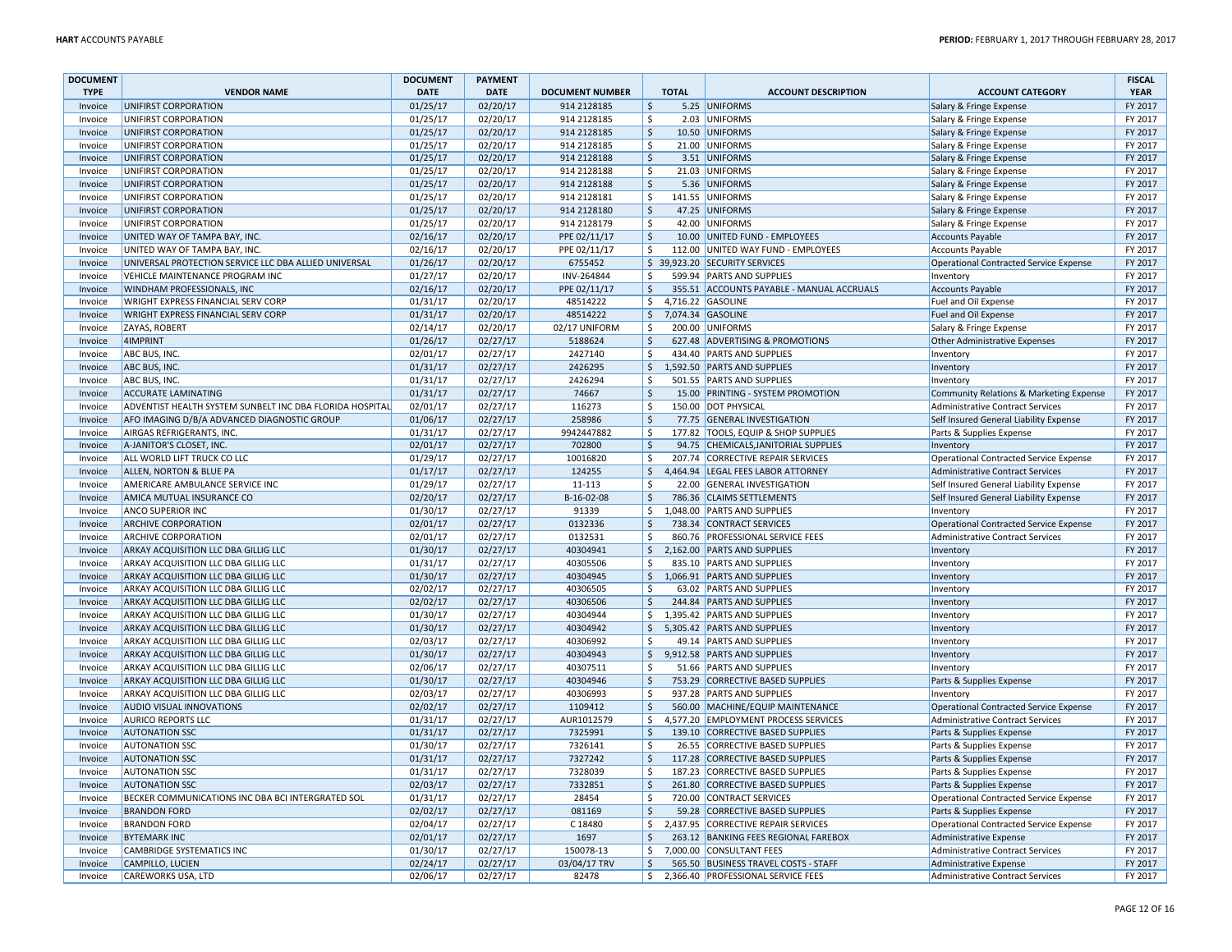| <b>DOCUMENT</b> |                                                          | <b>DOCUMENT</b> | <b>PAYMENT</b> |                        |                     |              |                                           |                                               | <b>FISCAL</b> |
|-----------------|----------------------------------------------------------|-----------------|----------------|------------------------|---------------------|--------------|-------------------------------------------|-----------------------------------------------|---------------|
| <b>TYPE</b>     | <b>VENDOR NAME</b>                                       | <b>DATE</b>     | <b>DATE</b>    | <b>DOCUMENT NUMBER</b> |                     | <b>TOTAL</b> | <b>ACCOUNT DESCRIPTION</b>                | <b>ACCOUNT CATEGORY</b>                       | <b>YEAR</b>   |
| Invoice         | UNIFIRST CORPORATION                                     | 01/25/17        | 02/20/17       | 914 2128185            | $\ddot{\mathsf{S}}$ |              | 5.25 UNIFORMS                             | Salary & Fringe Expense                       | FY 2017       |
| Invoice         | UNIFIRST CORPORATION                                     | 01/25/17        | 02/20/17       | 914 2128185            | \$                  |              | 2.03 UNIFORMS                             | Salary & Fringe Expense                       | FY 2017       |
| Invoice         | UNIFIRST CORPORATION                                     | 01/25/17        | 02/20/17       | 914 2128185            | $\mathsf{\hat{S}}$  |              | 10.50 UNIFORMS                            | Salary & Fringe Expense                       | FY 2017       |
| Invoice         | UNIFIRST CORPORATION                                     | 01/25/17        | 02/20/17       | 914 2128185            | Ś.                  |              | 21.00 UNIFORMS                            | Salary & Fringe Expense                       | FY 2017       |
| Invoice         | UNIFIRST CORPORATION                                     | 01/25/17        | 02/20/17       | 914 2128188            | $\zeta$             |              | 3.51 UNIFORMS                             | Salary & Fringe Expense                       | FY 2017       |
| Invoice         | UNIFIRST CORPORATION                                     | 01/25/17        | 02/20/17       | 914 2128188            | \$                  |              | 21.03 UNIFORMS                            | Salary & Fringe Expense                       | FY 2017       |
| Invoice         | UNIFIRST CORPORATION                                     | 01/25/17        | 02/20/17       | 914 2128188            | \$                  |              | 5.36 UNIFORMS                             | Salary & Fringe Expense                       | FY 2017       |
| Invoice         | UNIFIRST CORPORATION                                     | 01/25/17        | 02/20/17       | 914 2128181            | \$                  |              | 141.55 UNIFORMS                           | Salary & Fringe Expense                       | FY 2017       |
| Invoice         | UNIFIRST CORPORATION                                     | 01/25/17        | 02/20/17       | 914 2128180            | -\$                 |              | 47.25 UNIFORMS                            | Salary & Fringe Expense                       | FY 2017       |
| Invoice         | UNIFIRST CORPORATION                                     | 01/25/17        | 02/20/17       | 914 2128179            | \$                  |              | 42.00 UNIFORMS                            | Salary & Fringe Expense                       | FY 2017       |
| Invoice         | UNITED WAY OF TAMPA BAY, INC.                            | 02/16/17        | 02/20/17       | PPE 02/11/17           | $\zeta$             |              | 10.00 UNITED FUND - EMPLOYEES             | <b>Accounts Payable</b>                       | FY 2017       |
| Invoice         | UNITED WAY OF TAMPA BAY, INC.                            | 02/16/17        | 02/20/17       | PPE 02/11/17           | $\zeta$             |              | 112.00 UNITED WAY FUND - EMPLOYEES        | Accounts Payable                              | FY 2017       |
| Invoice         | UNIVERSAL PROTECTION SERVICE LLC DBA ALLIED UNIVERSAL    | 01/26/17        | 02/20/17       | 6755452                |                     |              | \$ 39,923.20 SECURITY SERVICES            | Operational Contracted Service Expense        | FY 2017       |
| Invoice         | VEHICLE MAINTENANCE PROGRAM INC                          | 01/27/17        | 02/20/17       | INV-264844             | Ŝ.                  |              | 599.94 PARTS AND SUPPLIES                 | Inventory                                     | FY 2017       |
| Invoice         | WINDHAM PROFESSIONALS, INC                               | 02/16/17        | 02/20/17       | PPE 02/11/17           | $\ddot{\mathsf{S}}$ |              | 355.51 ACCOUNTS PAYABLE - MANUAL ACCRUALS | Accounts Payable                              | FY 2017       |
| Invoice         | WRIGHT EXPRESS FINANCIAL SERV CORP                       | 01/31/17        | 02/20/17       | 48514222               | \$                  |              | 4,716.22 GASOLINE                         | Fuel and Oil Expense                          | FY 2017       |
| Invoice         | <b>WRIGHT EXPRESS FINANCIAL SERV CORP</b>                | 01/31/17        | 02/20/17       | 48514222               | \$                  |              | 7,074.34 GASOLINE                         | Fuel and Oil Expense                          | FY 2017       |
| Invoice         | ZAYAS, ROBERT                                            | 02/14/17        | 02/20/17       | 02/17 UNIFORM          | $\zeta$             |              | 200.00 UNIFORMS                           | Salary & Fringe Expense                       | FY 2017       |
| Invoice         | 4IMPRINT                                                 | 01/26/17        | 02/27/17       | 5188624                | \$                  |              | 627.48 ADVERTISING & PROMOTIONS           | Other Administrative Expenses                 | FY 2017       |
| Invoice         | ABC BUS, INC.                                            | 02/01/17        | 02/27/17       | 2427140                | \$                  |              | 434.40 PARTS AND SUPPLIES                 |                                               | FY 2017       |
| Invoice         | ABC BUS, INC.                                            | 01/31/17        | 02/27/17       | 2426295                | $\zeta$             |              | 1,592.50 PARTS AND SUPPLIES               | Inventory                                     | FY 2017       |
|                 |                                                          |                 |                | 2426294                | \$                  |              |                                           | Inventory                                     | FY 2017       |
| Invoice         | ABC BUS, INC.                                            | 01/31/17        | 02/27/17       |                        |                     |              | 501.55 PARTS AND SUPPLIES                 | Inventory                                     |               |
| Invoice         | <b>ACCURATE LAMINATING</b>                               | 01/31/17        | 02/27/17       | 74667                  | $\zeta$             |              | 15.00 PRINTING - SYSTEM PROMOTION         | Community Relations & Marketing Expense       | FY 2017       |
| Invoice         | ADVENTIST HEALTH SYSTEM SUNBELT INC DBA FLORIDA HOSPITAL | 02/01/17        | 02/27/17       | 116273                 | \$                  |              | 150.00 DOT PHYSICAL                       | <b>Administrative Contract Services</b>       | FY 2017       |
| Invoice         | AFO IMAGING D/B/A ADVANCED DIAGNOSTIC GROUP              | 01/06/17        | 02/27/17       | 258986                 | \$                  |              | 77.75 GENERAL INVESTIGATION               | Self Insured General Liability Expense        | FY 2017       |
| Invoice         | AIRGAS REFRIGERANTS, INC.                                | 01/31/17        | 02/27/17       | 9942447882             | $\dot{\mathsf{s}}$  |              | 177.82 TOOLS, EQUIP & SHOP SUPPLIES       | Parts & Supplies Expense                      | FY 2017       |
| Invoice         | A-JANITOR'S CLOSET, INC.                                 | 02/01/17        | 02/27/17       | 702800                 | $\zeta$             |              | 94.75 CHEMICALS, JANITORIAL SUPPLIES      | Inventory                                     | FY 2017       |
| Invoice         | ALL WORLD LIFT TRUCK CO LLC                              | 01/29/17        | 02/27/17       | 10016820               | Ŝ.                  |              | 207.74 CORRECTIVE REPAIR SERVICES         | Operational Contracted Service Expense        | FY 2017       |
| Invoice         | ALLEN, NORTON & BLUE PA                                  | 01/17/17        | 02/27/17       | 124255                 | \$                  |              | 4.464.94 LEGAL FEES LABOR ATTORNEY        | Administrative Contract Services              | FY 2017       |
| Invoice         | AMERICARE AMBULANCE SERVICE INC                          | 01/29/17        | 02/27/17       | 11-113                 | \$                  |              | 22.00 GENERAL INVESTIGATION               | Self Insured General Liability Expense        | FY 2017       |
| Invoice         | AMICA MUTUAL INSURANCE CO                                | 02/20/17        | 02/27/17       | B-16-02-08             | $\zeta$             |              | 786.36 CLAIMS SETTLEMENTS                 | Self Insured General Liability Expense        | FY 2017       |
| Invoice         | <b>ANCO SUPERIOR INC</b>                                 | 01/30/17        | 02/27/17       | 91339                  | \$                  |              | 1,048.00 PARTS AND SUPPLIES               | Inventory                                     | FY 2017       |
| Invoice         | <b>ARCHIVE CORPORATION</b>                               | 02/01/17        | 02/27/17       | 0132336                | -Ś                  |              | 738.34 CONTRACT SERVICES                  | <b>Operational Contracted Service Expense</b> | FY 2017       |
| Invoice         | <b>ARCHIVE CORPORATION</b>                               | 02/01/17        | 02/27/17       | 0132531                | \$                  |              | 860.76 PROFESSIONAL SERVICE FEES          | Administrative Contract Services              | FY 2017       |
| Invoice         | ARKAY ACQUISITION LLC DBA GILLIG LLC                     | 01/30/17        | 02/27/17       | 40304941               | \$                  |              | 2,162.00 PARTS AND SUPPLIES               | Inventory                                     | FY 2017       |
| Invoice         | ARKAY ACQUISITION LLC DBA GILLIG LLC                     | 01/31/17        | 02/27/17       | 40305506               | \$                  |              | 835.10 PARTS AND SUPPLIES                 | Inventory                                     | FY 2017       |
| Invoice         | ARKAY ACQUISITION LLC DBA GILLIG LLC                     | 01/30/17        | 02/27/17       | 40304945               | \$                  |              | 1,066.91 PARTS AND SUPPLIES               | Inventory                                     | FY 2017       |
| Invoice         | ARKAY ACQUISITION LLC DBA GILLIG LLC                     | 02/02/17        | 02/27/17       | 40306505               | Ś.                  |              | 63.02 PARTS AND SUPPLIES                  | <b>Inventory</b>                              | FY 2017       |
| Invoice         | ARKAY ACQUISITION LLC DBA GILLIG LLC                     | 02/02/17        | 02/27/17       | 40306506               | $\mathsf{\hat{S}}$  |              | 244.84 PARTS AND SUPPLIES                 | Inventory                                     | FY 2017       |
| Invoice         | ARKAY ACQUISITION LLC DBA GILLIG LLC                     | 01/30/17        | 02/27/17       | 40304944               | \$                  |              | 1,395.42 PARTS AND SUPPLIES               | Inventory                                     | FY 2017       |
| Invoice         | ARKAY ACQUISITION LLC DBA GILLIG LLC                     | 01/30/17        | 02/27/17       | 40304942               | \$                  |              | 5,305.42 PARTS AND SUPPLIES               | Inventory                                     | FY 2017       |
| Invoice         | ARKAY ACQUISITION LLC DBA GILLIG LLC                     | 02/03/17        | 02/27/17       | 40306992               | Ŝ.                  |              | 49.14 PARTS AND SUPPLIES                  | Inventory                                     | FY 2017       |
| Invoice         | ARKAY ACQUISITION LLC DBA GILLIG LLC                     | 01/30/17        | 02/27/17       | 40304943               | $\ddot{\mathsf{S}}$ |              | 9,912.58 PARTS AND SUPPLIES               | Inventory                                     | FY 2017       |
| Invoice         | ARKAY ACQUISITION LLC DBA GILLIG LLC                     | 02/06/17        | 02/27/17       | 40307511               | Ś.                  |              | 51.66 PARTS AND SUPPLIES                  | Inventory                                     | FY 2017       |
| Invoice         | ARKAY ACQUISITION LLC DBA GILLIG LLC                     | 01/30/17        | 02/27/17       | 40304946               | $\zeta$             |              | 753.29 CORRECTIVE BASED SUPPLIES          | Parts & Supplies Expense                      | FY 2017       |
| Invoice         | ARKAY ACQUISITION LLC DBA GILLIG LLC                     | 02/03/17        | 02/27/17       | 40306993               | $\zeta$             |              | 937.28 PARTS AND SUPPLIES                 | Inventory                                     | FY 2017       |
| Invoice         | <b>AUDIO VISUAL INNOVATIONS</b>                          | 02/02/17        | 02/27/17       | 1109412                | $\ddot{\mathsf{S}}$ |              | 560.00 MACHINE/EQUIP MAINTENANCE          | Operational Contracted Service Expense        | FY 2017       |
| Invoice         | <b>AURICO REPORTS LLC</b>                                | 01/31/17        | 02/27/17       | AUR1012579             | Ŝ.                  |              | 4.577.20 EMPLOYMENT PROCESS SERVICES      | <b>Administrative Contract Services</b>       | FY 2017       |
| Invoice         | <b>AUTONATION SSC</b>                                    | 01/31/17        | 02/27/17       | 7325991                | \$                  |              | 139.10 CORRECTIVE BASED SUPPLIES          | Parts & Supplies Expense                      | FY 2017       |
| Invoice         | <b>AUTONATION SSC</b>                                    | 01/30/17        | 02/27/17       | 7326141                | Ŝ.                  |              | 26.55 CORRECTIVE BASED SUPPLIES           | Parts & Supplies Expense                      | FY 2017       |
| Invoice         | <b>AUTONATION SSC</b>                                    | 01/31/17        | 02/27/17       | 7327242                | $\zeta$             |              | 117.28 CORRECTIVE BASED SUPPLIES          | Parts & Supplies Expense                      | FY 2017       |
| Invoice         | <b>AUTONATION SSC</b>                                    | 01/31/17        | 02/27/17       | 7328039                | Ŝ.                  |              | 187.23 CORRECTIVE BASED SUPPLIES          | Parts & Supplies Expense                      | FY 2017       |
| Invoice         | <b>AUTONATION SSC</b>                                    | 02/03/17        | 02/27/17       | 7332851                | \$                  |              | 261.80 CORRECTIVE BASED SUPPLIES          | Parts & Supplies Expense                      | FY 2017       |
| Invoice         | BECKER COMMUNICATIONS INC DBA BCI INTERGRATED SOL        | 01/31/17        | 02/27/17       | 28454                  | -Ś                  |              | 720.00 CONTRACT SERVICES                  | Operational Contracted Service Expense        | FY 2017       |
| Invoice         | <b>BRANDON FORD</b>                                      | 02/02/17        | 02/27/17       | 081169                 | $\ddot{\mathsf{S}}$ |              | 59.28 CORRECTIVE BASED SUPPLIES           | Parts & Supplies Expense                      | FY 2017       |
| Invoice         | <b>BRANDON FORD</b>                                      | 02/04/17        | 02/27/17       | C 18480                | \$                  |              | 2,437.95 CORRECTIVE REPAIR SERVICES       | <b>Operational Contracted Service Expense</b> | FY 2017       |
| Invoice         | <b>BYTEMARK INC</b>                                      | 02/01/17        | 02/27/17       | 1697                   | \$                  |              | 263.12 BANKING FEES REGIONAL FAREBOX      | Administrative Expense                        | FY 2017       |
| Invoice         | CAMBRIDGE SYSTEMATICS INC                                | 01/30/17        | 02/27/17       | 150078-13              | \$                  |              | 7,000.00 CONSULTANT FEES                  | Administrative Contract Services              | FY 2017       |
| Invoice         | CAMPILLO, LUCIEN                                         | 02/24/17        | 02/27/17       | 03/04/17 TRV           | $\ddot{\mathsf{S}}$ |              | 565.50 BUSINESS TRAVEL COSTS - STAFF      | Administrative Expense                        | FY 2017       |
| Invoice         | <b>CAREWORKS USA, LTD</b>                                | 02/06/17        | 02/27/17       | 82478                  | \$                  |              | 2,366.40 PROFESSIONAL SERVICE FEES        | Administrative Contract Services              | FY 2017       |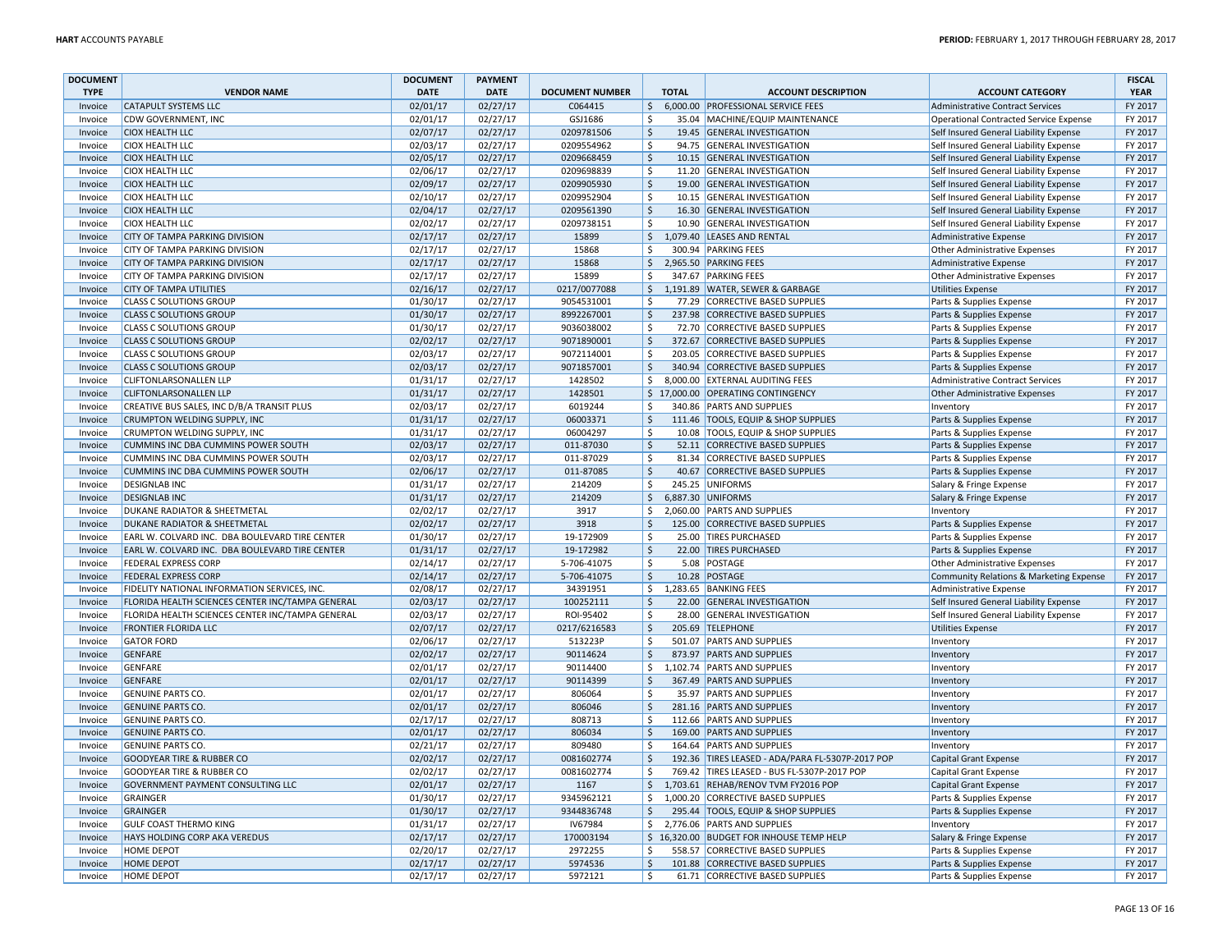| <b>DOCUMENT</b>    |                                                  | <b>DOCUMENT</b> | <b>PAYMENT</b>       |                        |                     |              |                                                  |                                         | <b>FISCAL</b> |
|--------------------|--------------------------------------------------|-----------------|----------------------|------------------------|---------------------|--------------|--------------------------------------------------|-----------------------------------------|---------------|
| <b>TYPE</b>        | <b>VENDOR NAME</b>                               | <b>DATE</b>     | <b>DATE</b>          | <b>DOCUMENT NUMBER</b> |                     | <b>TOTAL</b> | <b>ACCOUNT DESCRIPTION</b>                       | <b>ACCOUNT CATEGORY</b>                 | <b>YEAR</b>   |
| Invoice            | <b>CATAPULT SYSTEMS LLC</b>                      | 02/01/17        | 02/27/17             | C064415                | $\ddot{\varsigma}$  |              | 6,000.00 PROFESSIONAL SERVICE FEES               | Administrative Contract Services        | FY 2017       |
| Invoice            | CDW GOVERNMENT, INC                              | 02/01/17        | 02/27/17             | GSJ1686                | -\$                 |              | 35.04 MACHINE/EQUIP MAINTENANCE                  | Operational Contracted Service Expense  | FY 2017       |
| Invoice            | <b>CIOX HEALTH LLC</b>                           | 02/07/17        | 02/27/17             | 0209781506             | $\mathsf{\hat{S}}$  |              | 19.45 GENERAL INVESTIGATION                      | Self Insured General Liability Expense  | FY 2017       |
| Invoice            | <b>CIOX HEALTH LLC</b>                           | 02/03/17        | 02/27/17             | 0209554962             | -\$                 |              | 94.75 GENERAL INVESTIGATION                      | Self Insured General Liability Expense  | FY 2017       |
| Invoice            | <b>CIOX HEALTH LLC</b>                           | 02/05/17        | 02/27/17             | 0209668459             | $\ddot{\mathsf{S}}$ |              | 10.15 GENERAL INVESTIGATION                      | Self Insured General Liability Expense  | FY 2017       |
| Invoice            | <b>CIOX HEALTH LLC</b>                           | 02/06/17        | 02/27/17             | 0209698839             | \$                  |              | 11.20 GENERAL INVESTIGATION                      | Self Insured General Liability Expense  | FY 2017       |
| Invoice            | <b>CIOX HEALTH LLC</b>                           | 02/09/17        | 02/27/17             | 0209905930             | $\zeta$             |              | 19.00 GENERAL INVESTIGATION                      | Self Insured General Liability Expense  | FY 2017       |
| Invoice            | <b>CIOX HEALTH LLC</b>                           | 02/10/17        | 02/27/17             | 0209952904             | \$                  |              | 10.15 GENERAL INVESTIGATION                      | Self Insured General Liability Expense  | FY 2017       |
| Invoice            | <b>CIOX HEALTH LLC</b>                           | 02/04/17        | 02/27/17             | 0209561390             | $\ddot{\mathsf{S}}$ |              | 16.30 GENERAL INVESTIGATION                      | Self Insured General Liability Expense  | FY 2017       |
| Invoice            | <b>CIOX HEALTH LLC</b>                           | 02/02/17        | 02/27/17             | 0209738151             | \$                  |              | 10.90 GENERAL INVESTIGATION                      | Self Insured General Liability Expense  | FY 2017       |
| Invoice            | CITY OF TAMPA PARKING DIVISION                   | 02/17/17        | 02/27/17             | 15899                  | $\zeta$             |              | 1,079.40 LEASES AND RENTAL                       | Administrative Expense                  | FY 2017       |
| Invoice            | CITY OF TAMPA PARKING DIVISION                   | 02/17/17        | 02/27/17             | 15868                  | \$                  |              | 300.94 PARKING FEES                              | Other Administrative Expenses           | FY 2017       |
| Invoice            | CITY OF TAMPA PARKING DIVISION                   | 02/17/17        | 02/27/17             | 15868                  | $\zeta$             |              | 2,965.50 PARKING FEES                            | Administrative Expense                  | FY 2017       |
| Invoice            | CITY OF TAMPA PARKING DIVISION                   | 02/17/17        | 02/27/17             | 15899                  | Ŝ.                  |              | 347.67 PARKING FEES                              | Other Administrative Expenses           | FY 2017       |
| Invoice            | <b>CITY OF TAMPA UTILITIES</b>                   | 02/16/17        | 02/27/17             | 0217/0077088           | $\frac{1}{2}$       |              | 1,191.89 WATER, SEWER & GARBAGE                  | Utilities Expense                       | FY 2017       |
| Invoice            | <b>CLASS C SOLUTIONS GROUP</b>                   | 01/30/17        | 02/27/17             | 9054531001             | Ś.                  |              | 77.29 CORRECTIVE BASED SUPPLIES                  | Parts & Supplies Expense                | FY 2017       |
| Invoice            | <b>CLASS C SOLUTIONS GROUP</b>                   | 01/30/17        | 02/27/17             | 8992267001             | $\zeta$             |              | 237.98 CORRECTIVE BASED SUPPLIES                 | Parts & Supplies Expense                | FY 2017       |
| Invoice            | <b>CLASS C SOLUTIONS GROUP</b>                   | 01/30/17        | 02/27/17             | 9036038002             | $\ddot{\mathsf{S}}$ |              | 72.70 CORRECTIVE BASED SUPPLIES                  | Parts & Supplies Expense                | FY 2017       |
| Invoice            | <b>CLASS C SOLUTIONS GROUP</b>                   | 02/02/17        | 02/27/17             | 9071890001             | $\ddot{\mathsf{S}}$ |              | 372.67 CORRECTIVE BASED SUPPLIES                 | Parts & Supplies Expense                | FY 2017       |
| Invoice            | <b>CLASS C SOLUTIONS GROUP</b>                   | 02/03/17        | 02/27/17             | 9072114001             | \$                  |              | 203.05 CORRECTIVE BASED SUPPLIES                 | Parts & Supplies Expense                | FY 2017       |
| Invoice            | <b>CLASS C SOLUTIONS GROUP</b>                   | 02/03/17        | 02/27/17             | 9071857001             | $\overline{\xi}$    |              | 340.94 CORRECTIVE BASED SUPPLIES                 | Parts & Supplies Expense                | FY 2017       |
| Invoice            | <b>CLIFTONLARSONALLEN LLP</b>                    | 01/31/17        | 02/27/17             | 1428502                | \$                  |              | 8,000.00 EXTERNAL AUDITING FEES                  | Administrative Contract Services        | FY 2017       |
| Invoice            | <b>CLIFTONLARSONALLEN LLP</b>                    | 01/31/17        | 02/27/17             | 1428501                |                     |              | \$17,000.00 OPERATING CONTINGENCY                | Other Administrative Expenses           | FY 2017       |
| Invoice            | CREATIVE BUS SALES, INC D/B/A TRANSIT PLUS       | 02/03/17        | 02/27/17             | 6019244                | Ŝ.                  |              | 340.86 PARTS AND SUPPLIES                        | Inventory                               | FY 2017       |
| Invoice            | CRUMPTON WELDING SUPPLY, INC                     | 01/31/17        | 02/27/17             | 06003371               | $\ddot{\varsigma}$  |              | 111.46 TOOLS, EQUIP & SHOP SUPPLIES              | Parts & Supplies Expense                | FY 2017       |
| Invoice            | CRUMPTON WELDING SUPPLY, INC                     | 01/31/17        | 02/27/17             | 06004297               | $\mathsf{\hat{S}}$  |              | 10.08 TOOLS, EQUIP & SHOP SUPPLIES               | Parts & Supplies Expense                | FY 2017       |
| Invoice            | CUMMINS INC DBA CUMMINS POWER SOUTH              | 02/03/17        | 02/27/17             | 011-87030              | $\ddot{\mathsf{S}}$ |              | 52.11 CORRECTIVE BASED SUPPLIES                  | Parts & Supplies Expense                | FY 2017       |
| Invoice            | CUMMINS INC DBA CUMMINS POWER SOUTH              | 02/03/17        | 02/27/17             | 011-87029              | Ś.                  |              | 81.34 CORRECTIVE BASED SUPPLIES                  | Parts & Supplies Expense                | FY 2017       |
| Invoice            | CUMMINS INC DBA CUMMINS POWER SOUTH              | 02/06/17        | 02/27/17             | 011-87085              | $\zeta$             |              | 40.67 CORRECTIVE BASED SUPPLIES                  | Parts & Supplies Expense                | FY 2017       |
| Invoice            | <b>DESIGNLAB INC</b>                             | 01/31/17        | 02/27/17             | 214209                 | $\ddot{\mathsf{S}}$ |              | 245.25 UNIFORMS                                  | Salary & Fringe Expense                 | FY 2017       |
| Invoice            | <b>DESIGNLAB INC</b>                             | 01/31/17        | 02/27/17             | 214209                 | $\frac{1}{2}$       |              | 6,887.30 UNIFORMS                                |                                         | FY 2017       |
| Invoice            | DUKANE RADIATOR & SHEETMETAL                     | 02/02/17        | 02/27/17             | 3917                   | \$                  |              | 2,060.00 PARTS AND SUPPLIES                      | Salary & Fringe Expense<br>Inventory    | FY 2017       |
| Invoice            | <b>DUKANE RADIATOR &amp; SHEETMETAL</b>          | 02/02/17        | 02/27/17             | 3918                   | Ŝ                   |              | 125.00 CORRECTIVE BASED SUPPLIES                 | Parts & Supplies Expense                | FY 2017       |
|                    | EARL W. COLVARD INC. DBA BOULEVARD TIRE CENTER   |                 |                      | 19-172909              | $\ddot{\mathsf{S}}$ |              | 25.00 TIRES PURCHASED                            |                                         | FY 2017       |
| Invoice<br>Invoice | EARL W. COLVARD INC. DBA BOULEVARD TIRE CENTER   | 01/30/17        | 02/27/17<br>02/27/17 |                        |                     |              | 22.00 TIRES PURCHASED                            | Parts & Supplies Expense                | FY 2017       |
|                    |                                                  | 01/31/17        |                      | 19-172982              | \$                  |              |                                                  | Parts & Supplies Expense                |               |
| Invoice            | <b>FEDERAL EXPRESS CORP</b>                      | 02/14/17        | 02/27/17             | 5-706-41075            | $\ddot{\mathsf{S}}$ |              | 5.08 POSTAGE                                     | <b>Other Administrative Expenses</b>    | FY 2017       |
| Invoice            | <b>FEDERAL EXPRESS CORP</b>                      | 02/14/17        | 02/27/17             | 5-706-41075            | $\ddot{\mathsf{S}}$ |              | 10.28 POSTAGE                                    | Community Relations & Marketing Expense | FY 2017       |
| Invoice            | FIDELITY NATIONAL INFORMATION SERVICES, INC      | 02/08/17        | 02/27/17             | 34391951               | $\mathsf{\hat{S}}$  |              | 1,283.65 BANKING FEES                            | <b>Administrative Expense</b>           | FY 2017       |
| Invoice            | FLORIDA HEALTH SCIENCES CENTER INC/TAMPA GENERAL | 02/03/17        | 02/27/17             | 100252111              | $\mathsf{\hat{S}}$  |              | 22.00 GENERAL INVESTIGATION                      | Self Insured General Liability Expense  | FY 2017       |
| Invoice            | FLORIDA HEALTH SCIENCES CENTER INC/TAMPA GENERAL | 02/03/17        | 02/27/17             | ROI-95402              | \$                  |              | 28.00 GENERAL INVESTIGATION                      | Self Insured General Liability Expense  | FY 2017       |
| Invoice            | FRONTIER FLORIDA LLC                             | 02/07/17        | 02/27/17             | 0217/6216583           | \$                  |              | 205.69 TELEPHONE                                 | <b>Utilities Expense</b>                | FY 2017       |
| Invoice            | <b>GATOR FORD</b>                                | 02/06/17        | 02/27/17             | 513223P                | \$                  |              | 501.07 PARTS AND SUPPLIES                        | Inventory                               | FY 2017       |
| Invoice            | <b>GENFARE</b>                                   | 02/02/17        | 02/27/17             | 90114624               | $\ddot{\mathsf{S}}$ |              | 873.97 PARTS AND SUPPLIES                        | Inventory                               | FY 2017       |
| Invoice            | <b>GENFARE</b>                                   | 02/01/17        | 02/27/17             | 90114400               | \$                  |              | 1,102.74 PARTS AND SUPPLIES                      | Inventory                               | FY 2017       |
| Invoice            | <b>GENFARE</b>                                   | 02/01/17        | 02/27/17             | 90114399               | $\ddot{\mathsf{S}}$ |              | 367.49 PARTS AND SUPPLIES                        | Inventory                               | FY 2017       |
| Invoice            | <b>GENUINE PARTS CO.</b>                         | 02/01/17        | 02/27/17             | 806064                 | $\ddot{\mathsf{S}}$ |              | 35.97 PARTS AND SUPPLIES                         | Inventory                               | FY 2017       |
| Invoice            | <b>GENUINE PARTS CO.</b>                         | 02/01/17        | 02/27/17             | 806046                 | $\ddot{\mathsf{S}}$ |              | 281.16 PARTS AND SUPPLIES                        | Inventory                               | FY 2017       |
| Invoice            | <b>GENUINE PARTS CO</b>                          | 02/17/17        | 02/27/17             | 808713                 | -\$                 |              | 112.66 PARTS AND SUPPLIES                        | Inventory                               | FY 2017       |
| Invoice            | <b>GENUINE PARTS CO.</b>                         | 02/01/17        | 02/27/17             | 806034                 | S.                  |              | 169.00 PARTS AND SUPPLIES                        | Inventory                               | FY 2017       |
| Invoice            | <b>GENUINE PARTS CO.</b>                         | 02/21/17        | 02/27/17             | 809480                 | $\ddot{\mathsf{S}}$ |              | 164.64 PARTS AND SUPPLIES                        | Inventory                               | FY 2017       |
| Invoice            | GOODYEAR TIRE & RUBBER CO                        | 02/02/17        | 02/27/17             | 0081602774             | $\ddot{\mathsf{S}}$ |              | 192.36 TIRES LEASED - ADA/PARA FL-5307P-2017 POP | Capital Grant Expense                   | FY 2017       |
| Invoice            | <b>GOODYEAR TIRE &amp; RUBBER CO</b>             | 02/02/17        | 02/27/17             | 0081602774             | \$                  |              | 769.42 TIRES LEASED - BUS FL-5307P-2017 POP      | Capital Grant Expense                   | FY 2017       |
| Invoice            | GOVERNMENT PAYMENT CONSULTING LLC                | 02/01/17        | 02/27/17             | 1167                   | $\ddot{\varsigma}$  |              | 1,703.61 REHAB/RENOV TVM FY2016 POP              | Capital Grant Expense                   | FY 2017       |
| Invoice            | <b>GRAINGER</b>                                  | 01/30/17        | 02/27/17             | 9345962121             | \$                  |              | 1,000.20 CORRECTIVE BASED SUPPLIES               | Parts & Supplies Expense                | FY 2017       |
| Invoice            | <b>GRAINGER</b>                                  | 01/30/17        | 02/27/17             | 9344836748             | $\ddot{\mathsf{S}}$ |              | 295.44 TOOLS, EQUIP & SHOP SUPPLIES              | Parts & Supplies Expense                | FY 2017       |
| Invoice            | <b>GULF COAST THERMO KING</b>                    | 01/31/17        | 02/27/17             | IV67984                | \$                  |              | 2,776.06 PARTS AND SUPPLIES                      | Inventory                               | FY 2017       |
| Invoice            | HAYS HOLDING CORP AKA VEREDUS                    | 02/17/17        | 02/27/17             | 170003194              |                     |              | \$16,320.00 BUDGET FOR INHOUSE TEMP HELP         | Salary & Fringe Expense                 | FY 2017       |
| Invoice            | <b>HOME DEPOT</b>                                | 02/20/17        | 02/27/17             | 2972255                | Ŝ.                  |              | 558.57 CORRECTIVE BASED SUPPLIES                 | Parts & Supplies Expense                | FY 2017       |
| Invoice            | <b>HOME DEPOT</b>                                | 02/17/17        | 02/27/17             | 5974536                | $\ddot{\mathsf{S}}$ |              | 101.88 CORRECTIVE BASED SUPPLIES                 | Parts & Supplies Expense                | FY 2017       |
| Invoice            | <b>HOME DEPOT</b>                                | 02/17/17        | 02/27/17             | 5972121                | \$                  |              | 61.71 CORRECTIVE BASED SUPPLIES                  | Parts & Supplies Expense                | FY 2017       |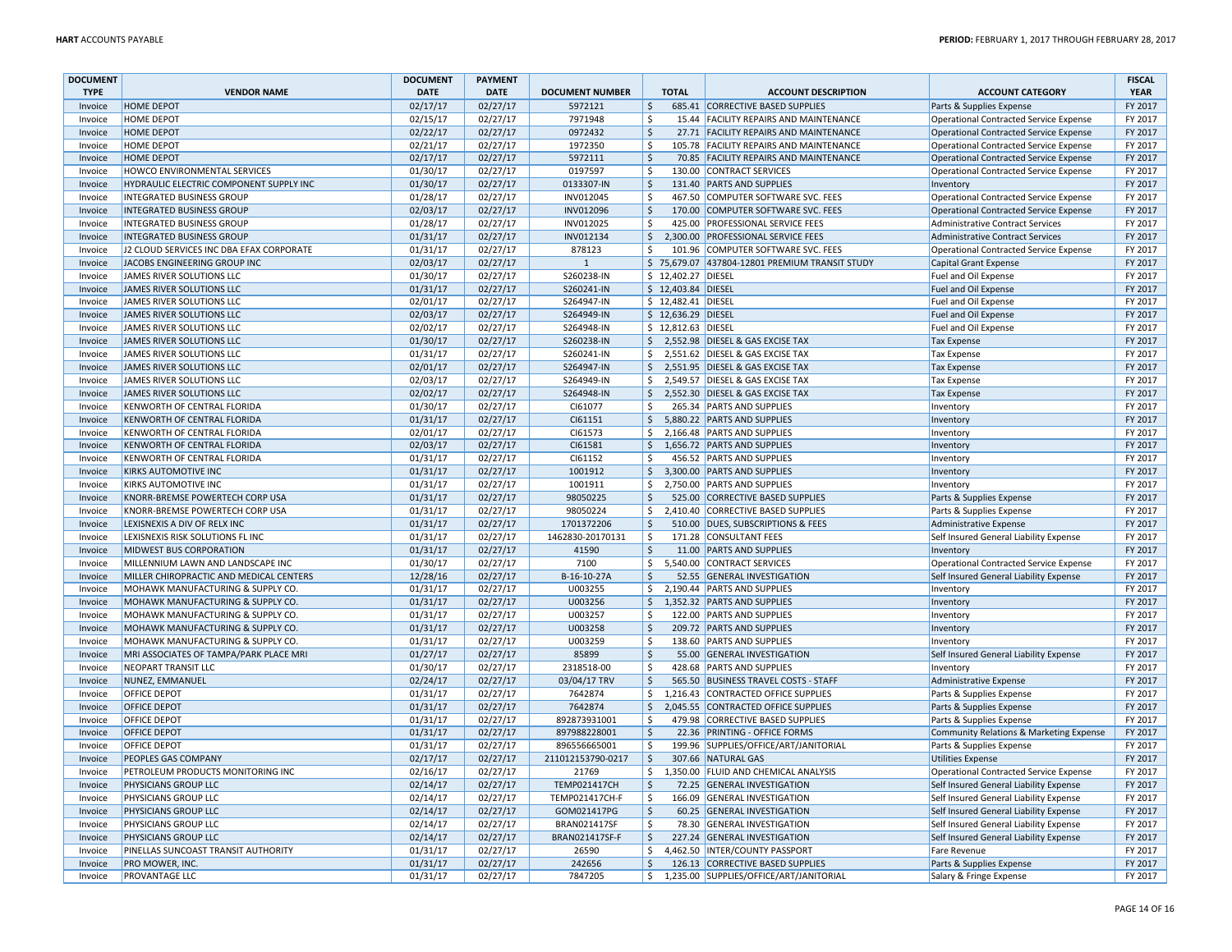| <b>DOCUMENT</b> |                                          | <b>DOCUMENT</b> | <b>PAYMENT</b> |                        |                        |                     |                                                |                                               | <b>FISCAL</b> |
|-----------------|------------------------------------------|-----------------|----------------|------------------------|------------------------|---------------------|------------------------------------------------|-----------------------------------------------|---------------|
| <b>TYPE</b>     | <b>VENDOR NAME</b>                       | <b>DATE</b>     | <b>DATE</b>    | <b>DOCUMENT NUMBER</b> |                        | <b>TOTAL</b>        | <b>ACCOUNT DESCRIPTION</b>                     | <b>ACCOUNT CATEGORY</b>                       | <b>YEAR</b>   |
| Invoice         | <b>HOME DEPOT</b>                        | 02/17/17        | 02/27/17       | 5972121                | $\ddot{\mathsf{S}}$    |                     | 685.41 CORRECTIVE BASED SUPPLIES               | Parts & Supplies Expense                      | FY 2017       |
| Invoice         | <b>HOME DEPOT</b>                        | 02/15/17        | 02/27/17       | 7971948                | Ŝ.                     |                     | 15.44 FACILITY REPAIRS AND MAINTENANCE         | Operational Contracted Service Expense        | FY 2017       |
| Invoice         | <b>HOME DEPOT</b>                        | 02/22/17        | 02/27/17       | 0972432                | <sup>\$</sup>          |                     | 27.71 FACILITY REPAIRS AND MAINTENANCE         | Operational Contracted Service Expense        | FY 2017       |
| Invoice         | <b>HOME DEPOT</b>                        | 02/21/17        | 02/27/17       | 1972350                | \$                     |                     | 105.78 FACILITY REPAIRS AND MAINTENANCE        | Operational Contracted Service Expense        | FY 2017       |
| Invoice         | <b>HOME DEPOT</b>                        | 02/17/17        | 02/27/17       | 5972111                | \$                     |                     | 70.85 FACILITY REPAIRS AND MAINTENANCE         | Operational Contracted Service Expense        | FY 2017       |
| Invoice         | HOWCO ENVIRONMENTAL SERVICES             | 01/30/17        | 02/27/17       | 0197597                | $\zeta$                |                     | 130.00 CONTRACT SERVICES                       | <b>Operational Contracted Service Expense</b> | FY 2017       |
| Invoice         | HYDRAULIC ELECTRIC COMPONENT SUPPLY INC  | 01/30/17        | 02/27/17       | 0133307-IN             | $\ddot{\mathsf{S}}$    |                     | 131.40 PARTS AND SUPPLIES                      | Inventory                                     | FY 2017       |
| Invoice         | <b>INTEGRATED BUSINESS GROUP</b>         | 01/28/17        | 02/27/17       | INV012045              | Ŝ                      |                     | 467.50 COMPUTER SOFTWARE SVC. FEES             | <b>Operational Contracted Service Expense</b> | FY 2017       |
| Invoice         | <b>INTEGRATED BUSINESS GROUP</b>         | 02/03/17        | 02/27/17       | INV012096              | $\zeta$                |                     | 170.00 COMPUTER SOFTWARE SVC. FEES             | Operational Contracted Service Expense        | FY 2017       |
| Invoice         | <b>INTEGRATED BUSINESS GROUP</b>         | 01/28/17        | 02/27/17       | INV012025              | \$                     |                     | 425.00 PROFESSIONAL SERVICE FEES               | Administrative Contract Services              | FY 2017       |
| Invoice         | <b>INTEGRATED BUSINESS GROUP</b>         | 01/31/17        | 02/27/17       | INV012134              | \$                     |                     | 2,300.00 PROFESSIONAL SERVICE FEES             | <b>Administrative Contract Services</b>       | FY 2017       |
| Invoice         | J2 CLOUD SERVICES INC DBA EFAX CORPORATE | 01/31/17        | 02/27/17       | 878123                 | Ŝ.                     |                     | 101.96 COMPUTER SOFTWARE SVC. FEES             | Operational Contracted Service Expense        | FY 2017       |
| Invoice         | JACOBS ENGINEERING GROUP INC             | 02/03/17        | 02/27/17       | $\mathbf{1}$           |                        |                     | \$75,679.07 437804-12801 PREMIUM TRANSIT STUDY | <b>Capital Grant Expense</b>                  | FY 2017       |
| Invoice         | JAMES RIVER SOLUTIONS LLC                | 01/30/17        | 02/27/17       | S260238-IN             |                        | \$12,402.27 DIESEL  |                                                | Fuel and Oil Expense                          | FY 2017       |
| Invoice         | JAMES RIVER SOLUTIONS LLC                | 01/31/17        | 02/27/17       | S260241-IN             |                        | \$12,403.84 DIESEL  |                                                | Fuel and Oil Expense                          | FY 2017       |
| Invoice         | JAMES RIVER SOLUTIONS LLC                | 02/01/17        | 02/27/17       | S264947-IN             |                        | \$ 12,482.41 DIESEL |                                                | Fuel and Oil Expense                          | FY 2017       |
| Invoice         | <b>JAMES RIVER SOLUTIONS LLC</b>         | 02/03/17        | 02/27/17       | S264949-IN             |                        | \$12,636.29 DIESEL  |                                                | Fuel and Oil Expense                          | FY 2017       |
| Invoice         | JAMES RIVER SOLUTIONS LLC                | 02/02/17        | 02/27/17       | S264948-IN             |                        | \$12,812.63 DIESEL  |                                                | Fuel and Oil Expense                          | FY 2017       |
| Invoice         | JAMES RIVER SOLUTIONS LLC                | 01/30/17        | 02/27/17       | S260238-IN             | \$                     |                     | 2,552.98 DIESEL & GAS EXCISE TAX               | <b>Tax Expense</b>                            | FY 2017       |
| Invoice         | JAMES RIVER SOLUTIONS LLC                | 01/31/17        | 02/27/17       | S260241-IN             | \$                     |                     | 2,551.62 DIESEL & GAS EXCISE TAX               | <b>Tax Expense</b>                            | FY 2017       |
| Invoice         | JAMES RIVER SOLUTIONS LLC                | 02/01/17        | 02/27/17       | S264947-IN             | \$                     |                     | 2,551.95 DIESEL & GAS EXCISE TAX               | <b>Tax Expense</b>                            | FY 2017       |
| Invoice         | JAMES RIVER SOLUTIONS LLC                | 02/03/17        | 02/27/17       | S264949-IN             | \$                     |                     | 2,549.57 DIESEL & GAS EXCISE TAX               | <b>Tax Expense</b>                            | FY 2017       |
| Invoice         | JAMES RIVER SOLUTIONS LLC                | 02/02/17        | 02/27/17       | S264948-IN             | \$                     |                     | 2,552.30 DIESEL & GAS EXCISE TAX               | <b>Tax Expense</b>                            | FY 2017       |
| Invoice         | KENWORTH OF CENTRAL FLORIDA              | 01/30/17        | 02/27/17       | CI61077                | Ŝ.                     |                     | 265.34 PARTS AND SUPPLIES                      | Inventory                                     | FY 2017       |
| Invoice         | KENWORTH OF CENTRAL FLORIDA              | 01/31/17        | 02/27/17       | CI61151                | $\ddot{\mathsf{S}}$    |                     | 5,880.22 PARTS AND SUPPLIES                    | Inventory                                     | FY 2017       |
| Invoice         | KENWORTH OF CENTRAL FLORIDA              | 02/01/17        | 02/27/17       | CI61573                | \$                     |                     | 2,166.48 PARTS AND SUPPLIES                    | Inventory                                     | FY 2017       |
| Invoice         | KENWORTH OF CENTRAL FLORIDA              | 02/03/17        | 02/27/17       | CI61581                | \$                     |                     | 1,656.72 PARTS AND SUPPLIES                    | Inventory                                     | FY 2017       |
| Invoice         | KENWORTH OF CENTRAL FLORIDA              | 01/31/17        | 02/27/17       | CI61152                | Ŝ.                     |                     | 456.52 PARTS AND SUPPLIES                      | Inventory                                     | FY 2017       |
| Invoice         | <b>KIRKS AUTOMOTIVE INC</b>              | 01/31/17        | 02/27/17       | 1001912                | \$                     |                     | 3,300.00 PARTS AND SUPPLIES                    | Inventory                                     | FY 2017       |
| Invoice         | KIRKS AUTOMOTIVE INC                     | 01/31/17        | 02/27/17       | 1001911                | \$                     |                     | 2,750.00 PARTS AND SUPPLIES                    | Inventory                                     | FY 2017       |
| Invoice         | KNORR-BREMSE POWERTECH CORP USA          | 01/31/17        | 02/27/17       | 98050225               | \$                     |                     | 525.00 CORRECTIVE BASED SUPPLIES               | Parts & Supplies Expense                      | FY 2017       |
| Invoice         | KNORR-BREMSE POWERTECH CORP USA          | 01/31/17        | 02/27/17       | 98050224               | \$                     |                     | 2,410.40 CORRECTIVE BASED SUPPLIES             | Parts & Supplies Expense                      | FY 2017       |
| Invoice         | LEXISNEXIS A DIV OF RELX INC             | 01/31/17        | 02/27/17       | 1701372206             | $\ddot{\mathsf{S}}$    |                     | 510.00 DUES, SUBSCRIPTIONS & FEES              | <b>Administrative Expense</b>                 | FY 2017       |
| Invoice         | LEXISNEXIS RISK SOLUTIONS FL INC         | 01/31/17        | 02/27/17       | 1462830-20170131       | \$                     |                     | 171.28 CONSULTANT FEES                         | Self Insured General Liability Expense        | FY 2017       |
| Invoice         | MIDWEST BUS CORPORATION                  | 01/31/17        | 02/27/17       | 41590                  | $\zeta$                |                     | 11.00 PARTS AND SUPPLIES                       | Inventory                                     | FY 2017       |
| Invoice         | MILLENNIUM LAWN AND LANDSCAPE INC        | 01/30/17        | 02/27/17       | 7100                   | \$                     |                     | 5,540.00 CONTRACT SERVICES                     | Operational Contracted Service Expense        | FY 2017       |
| Invoice         | MILLER CHIROPRACTIC AND MEDICAL CENTERS  | 12/28/16        | 02/27/17       | B-16-10-27A            | $\mathsf{\hat{S}}$     |                     | 52.55 GENERAL INVESTIGATION                    | Self Insured General Liability Expense        | FY 2017       |
| Invoice         | MOHAWK MANUFACTURING & SUPPLY CO.        | 01/31/17        | 02/27/17       | U003255                | Ŝ.                     |                     | 2,190.44 PARTS AND SUPPLIES                    | Inventory                                     | FY 2017       |
| Invoice         | MOHAWK MANUFACTURING & SUPPLY CO.        | 01/31/17        | 02/27/17       | U003256                | \$                     |                     | 1,352.32 PARTS AND SUPPLIES                    | Inventory                                     | FY 2017       |
| Invoice         | MOHAWK MANUFACTURING & SUPPLY CO.        | 01/31/17        | 02/27/17       | U003257                | \$                     |                     | 122.00 PARTS AND SUPPLIES                      | Inventory                                     | FY 2017       |
| Invoice         | MOHAWK MANUFACTURING & SUPPLY CO.        | 01/31/17        | 02/27/17       | U003258                | $\zeta$                |                     | 209.72 PARTS AND SUPPLIES                      | Inventory                                     | FY 2017       |
| Invoice         | MOHAWK MANUFACTURING & SUPPLY CO.        | 01/31/17        | 02/27/17       | U003259                | Ŝ.                     |                     | 138.60 PARTS AND SUPPLIES                      | Inventory                                     | FY 2017       |
| Invoice         | MRI ASSOCIATES OF TAMPA/PARK PLACE MRI   | 01/27/17        | 02/27/17       | 85899                  | Ŝ.                     |                     | 55.00 GENERAL INVESTIGATION                    | Self Insured General Liability Expense        | FY 2017       |
| Invoice         | <b>NEOPART TRANSIT LLC</b>               | 01/30/17        | 02/27/17       | 2318518-00             | $\zeta$                |                     | 428.68 PARTS AND SUPPLIES                      | Inventory                                     | FY 2017       |
| Invoice         | NUNEZ, EMMANUEL                          | 02/24/17        | 02/27/17       | 03/04/17 TRV           | $\overline{\varsigma}$ |                     | 565.50 BUSINESS TRAVEL COSTS - STAFF           | Administrative Expense                        | FY 2017       |
| Invoice         | <b>OFFICE DEPOT</b>                      | 01/31/17        | 02/27/17       | 7642874                | \$                     |                     | 1,216.43 CONTRACTED OFFICE SUPPLIES            | Parts & Supplies Expense                      | FY 2017       |
| Invoice         | <b>OFFICE DEPOT</b>                      | 01/31/17        | 02/27/17       | 7642874                | \$                     |                     | 2,045.55 CONTRACTED OFFICE SUPPLIES            | Parts & Supplies Expense                      | FY 2017       |
| Invoice         | <b>OFFICE DEPOT</b>                      | 01/31/17        | 02/27/17       | 892873931001           | Ŝ.                     |                     | 479.98 CORRECTIVE BASED SUPPLIES               | Parts & Supplies Expense                      | FY 2017       |
| Invoice         | <b>OFFICE DEPOT</b>                      | 01/31/17        | 02/27/17       | 897988228001           | \$                     |                     | 22.36 PRINTING - OFFICE FORMS                  | Community Relations & Marketing Expense       | FY 2017       |
| Invoice         | <b>OFFICE DEPOT</b>                      | 01/31/17        | 02/27/17       | 896556665001           | $\overline{\varsigma}$ |                     | 199.96 SUPPLIES/OFFICE/ART/JANITORIAL          | Parts & Supplies Expense                      | FY 2017       |
| Invoice         | PEOPLES GAS COMPANY                      | 02/17/17        | 02/27/17       | 211012153790-0217      | $\zeta$                |                     | 307.66 NATURAL GAS                             | Utilities Expense                             | FY 2017       |
| Invoice         | PETROLEUM PRODUCTS MONITORING INC        | 02/16/17        | 02/27/17       | 21769                  | \$                     |                     | 1,350.00 FLUID AND CHEMICAL ANALYSIS           | Operational Contracted Service Expense        | FY 2017       |
| Invoice         | PHYSICIANS GROUP LLC                     | 02/14/17        | 02/27/17       | <b>TEMP021417CH</b>    | $\ddot{\mathsf{S}}$    |                     | 72.25 GENERAL INVESTIGATION                    | Self Insured General Liability Expense        | FY 2017       |
| Invoice         | PHYSICIANS GROUP LLC                     | 02/14/17        | 02/27/17       | <b>TEMP021417CH-F</b>  | Ŝ.                     |                     | 166.09 GENERAL INVESTIGATION                   | Self Insured General Liability Expense        | FY 2017       |
| Invoice         | PHYSICIANS GROUP LLC                     | 02/14/17        | 02/27/17       | GOM021417PG            | $\zeta$                |                     | 60.25 GENERAL INVESTIGATION                    | Self Insured General Liability Expense        | FY 2017       |
| Invoice         | PHYSICIANS GROUP LLC                     | 02/14/17        | 02/27/17       | <b>BRAN021417SF</b>    | $\zeta$                |                     | 78.30 GENERAL INVESTIGATION                    | Self Insured General Liability Expense        | FY 2017       |
| Invoice         | PHYSICIANS GROUP LLC                     | 02/14/17        | 02/27/17       | BRAN021417SF-F         | \$                     |                     | 227.24 GENERAL INVESTIGATION                   | Self Insured General Liability Expense        | FY 2017       |
| Invoice         | PINELLAS SUNCOAST TRANSIT AUTHORITY      | 01/31/17        | 02/27/17       | 26590                  | \$                     |                     | 4,462.50 INTER/COUNTY PASSPORT                 | <b>Fare Revenue</b>                           | FY 2017       |
| Invoice         | <b>PRO MOWER, INC.</b>                   | 01/31/17        | 02/27/17       | 242656                 | \$                     |                     | 126.13 CORRECTIVE BASED SUPPLIES               | Parts & Supplies Expense                      | FY 2017       |
| Invoice         | <b>PROVANTAGE LLC</b>                    | 01/31/17        | 02/27/17       | 7847205                | \$                     |                     | 1,235.00 SUPPLIES/OFFICE/ART/JANITORIAL        | Salary & Fringe Expense                       | FY 2017       |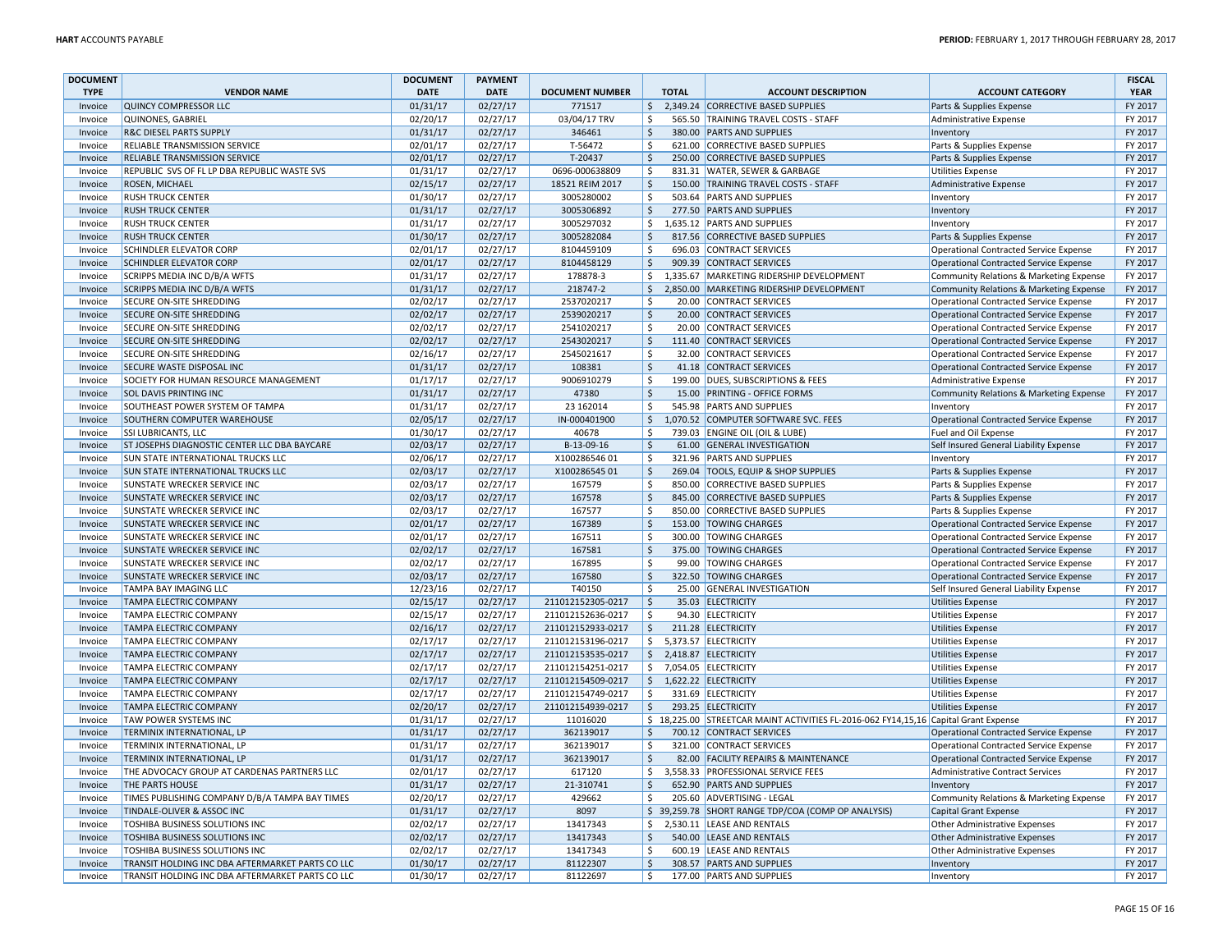| <b>DOCUMENT</b>    |                                                  | <b>DOCUMENT</b>      | <b>PAYMENT</b> |                        |                     |              |                                                                                     |                                                                    | <b>FISCAL</b> |
|--------------------|--------------------------------------------------|----------------------|----------------|------------------------|---------------------|--------------|-------------------------------------------------------------------------------------|--------------------------------------------------------------------|---------------|
| <b>TYPE</b>        | <b>VENDOR NAME</b>                               | <b>DATE</b>          | <b>DATE</b>    | <b>DOCUMENT NUMBER</b> |                     | <b>TOTAL</b> | <b>ACCOUNT DESCRIPTION</b>                                                          | <b>ACCOUNT CATEGORY</b>                                            | <b>YEAR</b>   |
| Invoice            | <b>QUINCY COMPRESSOR LLC</b>                     | 01/31/17             | 02/27/17       | 771517                 | $\zeta$             |              | 2,349.24 CORRECTIVE BASED SUPPLIES                                                  | Parts & Supplies Expense                                           | FY 2017       |
| Invoice            | QUINONES, GABRIEL                                | 02/20/17             | 02/27/17       | 03/04/17 TRV           | \$                  |              | 565.50 TRAINING TRAVEL COSTS - STAFF                                                | Administrative Expense                                             | FY 2017       |
| Invoice            | <b>R&amp;C DIESEL PARTS SUPPLY</b>               | 01/31/17             | 02/27/17       | 346461                 | $\ddot{\mathsf{S}}$ |              | 380.00 PARTS AND SUPPLIES                                                           | Inventory                                                          | FY 2017       |
| Invoice            | RELIABLE TRANSMISSION SERVICE                    | 02/01/17             | 02/27/17       | T-56472                | Ŝ.                  |              | 621.00 CORRECTIVE BASED SUPPLIES                                                    | Parts & Supplies Expense                                           | FY 2017       |
| Invoice            | RELIABLE TRANSMISSION SERVICE                    | 02/01/17             | 02/27/17       | T-20437                | $\ddot{\mathsf{S}}$ |              | 250.00 CORRECTIVE BASED SUPPLIES                                                    | Parts & Supplies Expense                                           | FY 2017       |
| Invoice            | REPUBLIC SVS OF FL LP DBA REPUBLIC WASTE SVS     | 01/31/17             | 02/27/17       | 0696-000638809         | $\zeta$             |              | 831.31 WATER, SEWER & GARBAGE                                                       | <b>Utilities Expense</b>                                           | FY 2017       |
| Invoice            | <b>ROSEN, MICHAEL</b>                            | 02/15/17             | 02/27/17       | 18521 REIM 2017        | $\zeta$             |              | 150.00 TRAINING TRAVEL COSTS - STAFF                                                | Administrative Expense                                             | FY 2017       |
| Invoice            | <b>RUSH TRUCK CENTER</b>                         | 01/30/17             | 02/27/17       | 3005280002             | \$                  |              | 503.64 PARTS AND SUPPLIES                                                           | Inventory                                                          | FY 2017       |
| Invoice            | <b>RUSH TRUCK CENTER</b>                         | 01/31/17             | 02/27/17       | 3005306892             | $\ddot{\mathsf{S}}$ |              | 277.50 PARTS AND SUPPLIES                                                           | Inventory                                                          | FY 2017       |
| Invoice            | <b>RUSH TRUCK CENTER</b>                         | 01/31/17             | 02/27/17       | 3005297032             | \$                  |              | 1,635.12 PARTS AND SUPPLIES                                                         | Inventory                                                          | FY 2017       |
| Invoice            | <b>RUSH TRUCK CENTER</b>                         | 01/30/17             | 02/27/17       | 3005282084             | $\zeta$             |              | 817.56 CORRECTIVE BASED SUPPLIES                                                    | Parts & Supplies Expense                                           | FY 2017       |
| Invoice            | <b>SCHINDLER ELEVATOR CORP</b>                   | 02/01/17             | 02/27/17       | 8104459109             | $\zeta$             |              | 696.03 CONTRACT SERVICES                                                            | Operational Contracted Service Expense                             | FY 2017       |
| Invoice            | <b>SCHINDLER ELEVATOR CORP</b>                   | 02/01/17             | 02/27/17       | 8104458129             | $\zeta$             |              | 909.39 CONTRACT SERVICES                                                            | Operational Contracted Service Expense                             | FY 2017       |
| Invoice            | <b>SCRIPPS MEDIA INC D/B/A WFTS</b>              | 01/31/17             | 02/27/17       | 178878-3               | \$                  |              | 1,335.67 MARKETING RIDERSHIP DEVELOPMENT                                            | Community Relations & Marketing Expense                            | FY 2017       |
| Invoice            | SCRIPPS MEDIA INC D/B/A WFTS                     | 01/31/17             | 02/27/17       | 218747-2               | \$                  |              | 2,850.00 MARKETING RIDERSHIP DEVELOPMENT                                            | Community Relations & Marketing Expense                            | FY 2017       |
| Invoice            | SECURE ON-SITE SHREDDING                         | 02/02/17             | 02/27/17       | 2537020217             | \$                  |              | 20.00 CONTRACT SERVICES                                                             | Operational Contracted Service Expense                             | FY 2017       |
| Invoice            | <b>SECURE ON-SITE SHREDDING</b>                  | 02/02/17             | 02/27/17       | 2539020217             | $\mathsf{\hat{S}}$  |              | 20.00 CONTRACT SERVICES                                                             | Operational Contracted Service Expense                             | FY 2017       |
| Invoice            | SECURE ON-SITE SHREDDING                         | 02/02/17             | 02/27/17       | 2541020217             | Ŝ.                  |              | 20.00 CONTRACT SERVICES                                                             | Operational Contracted Service Expense                             | FY 2017       |
| Invoice            | <b>SECURE ON-SITE SHREDDING</b>                  | 02/02/17             | 02/27/17       | 2543020217             | \$                  |              | 111.40 CONTRACT SERVICES                                                            | Operational Contracted Service Expense                             | FY 2017       |
| Invoice            | SECURE ON-SITE SHREDDING                         | 02/16/17             | 02/27/17       | 2545021617             | $\zeta$             |              | 32.00 CONTRACT SERVICES                                                             | Operational Contracted Service Expense                             | FY 2017       |
| Invoice            | <b>SECURE WASTE DISPOSAL INC</b>                 | 01/31/17             | 02/27/17       | 108381                 | $\zeta$             |              | 41.18 CONTRACT SERVICES                                                             | <b>Operational Contracted Service Expense</b>                      | FY 2017       |
| Invoice            | SOCIETY FOR HUMAN RESOURCE MANAGEMENT            | 01/17/17             | 02/27/17       | 9006910279             | \$                  |              | 199.00 DUES, SUBSCRIPTIONS & FEES                                                   | Administrative Expense                                             | FY 2017       |
| Invoice            | <b>SOL DAVIS PRINTING INC</b>                    | 01/31/17             | 02/27/17       | 47380                  | Ś.                  |              | 15.00 PRINTING - OFFICE FORMS                                                       | Community Relations & Marketing Expense                            | FY 2017       |
| Invoice            | SOUTHEAST POWER SYSTEM OF TAMPA                  | 01/31/17             | 02/27/17       | 23 16 2014             | $\zeta$             |              | 545.98 PARTS AND SUPPLIES                                                           | Inventory                                                          | FY 2017       |
| Invoice            | SOUTHERN COMPUTER WAREHOUSE                      | 02/05/17             | 02/27/17       | IN-000401900           | $\ddot{\mathsf{S}}$ |              | 1,070.52 COMPUTER SOFTWARE SVC. FEES                                                | Operational Contracted Service Expense                             | FY 2017       |
| Invoice            | SSI LUBRICANTS, LLC                              | 01/30/17             | 02/27/17       | 40678                  | \$                  |              | 739.03 ENGINE OIL (OIL & LUBE)                                                      | Fuel and Oil Expense                                               | FY 2017       |
| Invoice            | ST JOSEPHS DIAGNOSTIC CENTER LLC DBA BAYCARE     | 02/03/17             | 02/27/17       | B-13-09-16             | \$                  |              | 61.00 GENERAL INVESTIGATION                                                         | Self Insured General Liability Expense                             | FY 2017       |
| Invoice            | <b>SUN STATE INTERNATIONAL TRUCKS LLC</b>        | 02/06/17             | 02/27/17       | X10028654601           | $\zeta$             |              | 321.96 PARTS AND SUPPLIES                                                           |                                                                    | FY 2017       |
| Invoice            | <b>SUN STATE INTERNATIONAL TRUCKS LLC</b>        | 02/03/17             | 02/27/17       | X10028654501           | $\ddot{\mathsf{S}}$ |              | 269.04 TOOLS, EQUIP & SHOP SUPPLIES                                                 | Inventory<br>Parts & Supplies Expense                              | FY 2017       |
| Invoice            | SUNSTATE WRECKER SERVICE INC                     | 02/03/17             | 02/27/17       | 167579                 | \$                  |              | 850.00 CORRECTIVE BASED SUPPLIES                                                    | Parts & Supplies Expense                                           | FY 2017       |
|                    | <b>SUNSTATE WRECKER SERVICE INC</b>              |                      | 02/27/17       | 167578                 | $\zeta$             |              | 845.00 CORRECTIVE BASED SUPPLIES                                                    |                                                                    | FY 2017       |
| Invoice<br>Invoice | SUNSTATE WRECKER SERVICE INC                     | 02/03/17<br>02/03/17 | 02/27/17       | 167577                 | Ś.                  |              | 850.00 CORRECTIVE BASED SUPPLIES                                                    | Parts & Supplies Expense                                           | FY 2017       |
| Invoice            | SUNSTATE WRECKER SERVICE INC                     | 02/01/17             | 02/27/17       | 167389                 | \$                  |              | 153.00 TOWING CHARGES                                                               | Parts & Supplies Expense<br>Operational Contracted Service Expense | FY 2017       |
| Invoice            | SUNSTATE WRECKER SERVICE INC                     | 02/01/17             | 02/27/17       | 167511                 | Ś.                  |              | 300.00 TOWING CHARGES                                                               | <b>Operational Contracted Service Expense</b>                      | FY 2017       |
| Invoice            | SUNSTATE WRECKER SERVICE INC                     | 02/02/17             | 02/27/17       | 167581                 | $\zeta$             |              | 375.00 TOWING CHARGES                                                               |                                                                    | FY 2017       |
|                    | SUNSTATE WRECKER SERVICE INC                     |                      |                | 167895                 | \$                  |              | 99.00 TOWING CHARGES                                                                | Operational Contracted Service Expense                             | FY 2017       |
| Invoice<br>Invoice |                                                  | 02/02/17<br>02/03/17 | 02/27/17       | 167580                 | $\dot{\mathsf{s}}$  |              |                                                                                     | Operational Contracted Service Expense                             | FY 2017       |
|                    | <b>SUNSTATE WRECKER SERVICE INC</b>              |                      | 02/27/17       |                        |                     |              | 322.50 TOWING CHARGES                                                               | Operational Contracted Service Expense                             |               |
| Invoice            | TAMPA BAY IMAGING LLC                            | 12/23/16             | 02/27/17       | T40150                 | Ŝ.                  |              | 25.00 GENERAL INVESTIGATION                                                         | Self Insured General Liability Expense                             | FY 2017       |
| Invoice            | <b>TAMPA ELECTRIC COMPANY</b>                    | 02/15/17             | 02/27/17       | 211012152305-0217      | Ś.                  |              | 35.03 ELECTRICITY                                                                   | Utilities Expense                                                  | FY 2017       |
| Invoice            | TAMPA ELECTRIC COMPANY                           | 02/15/17             | 02/27/17       | 211012152636-0217      | \$                  |              | 94.30 ELECTRICITY                                                                   | <b>Utilities Expense</b>                                           | FY 2017       |
| Invoice            | <b>TAMPA ELECTRIC COMPANY</b>                    | 02/16/17             | 02/27/17       | 211012152933-0217      | $\zeta$             |              | 211.28 ELECTRICITY                                                                  | Utilities Expense                                                  | FY 2017       |
| Invoice            | TAMPA ELECTRIC COMPANY                           | 02/17/17             | 02/27/17       | 211012153196-0217      | \$                  |              | 5,373.57 ELECTRICITY                                                                | <b>Utilities Expense</b>                                           | FY 2017       |
| Invoice            | <b>TAMPA ELECTRIC COMPANY</b>                    | 02/17/17             | 02/27/17       | 211012153535-0217      | \$                  |              | 2,418.87 ELECTRICITY                                                                | <b>Utilities Expense</b>                                           | FY 2017       |
| Invoice            | TAMPA ELECTRIC COMPANY                           | 02/17/17             | 02/27/17       | 211012154251-0217      | \$                  |              | 7,054.05 ELECTRICITY                                                                | <b>Utilities Expense</b>                                           | FY 2017       |
| Invoice            | <b>TAMPA ELECTRIC COMPANY</b>                    | 02/17/17             | 02/27/17       | 211012154509-0217      | $\zeta$             |              | 1,622.22 ELECTRICITY                                                                | <b>Utilities Expense</b>                                           | FY 2017       |
| Invoice            | <b>TAMPA ELECTRIC COMPANY</b>                    | 02/17/17             | 02/27/17       | 211012154749-0217      | \$                  |              | 331.69 ELECTRICITY                                                                  | <b>Utilities Expense</b>                                           | FY 2017       |
| Invoice            | <b>TAMPA ELECTRIC COMPANY</b>                    | 02/20/17             | 02/27/17       | 211012154939-0217      | $\ddot{\mathsf{S}}$ |              | 293.25 ELECTRICITY                                                                  | <b>Utilities Expense</b>                                           | FY 2017       |
| Invoice            | TAW POWER SYSTEMS INC                            | 01/31/17             | 02/27/17       | 11016020               |                     |              | \$18,225.00 STREETCAR MAINT ACTIVITIES FL-2016-062 FY14,15,16 Capital Grant Expense |                                                                    | FY 2017       |
| Invoice            | TERMINIX INTERNATIONAL, LP                       | 01/31/17             | 02/27/17       | 362139017              | \$                  |              | 700.12 CONTRACT SERVICES                                                            | Operational Contracted Service Expense                             | FY 2017       |
| Invoice            | TERMINIX INTERNATIONAL, LP                       | 01/31/17             | 02/27/17       | 362139017              | $\zeta$             |              | 321.00 CONTRACT SERVICES                                                            | <b>Operational Contracted Service Expense</b>                      | FY 2017       |
| Invoice            | <b>TERMINIX INTERNATIONAL, LP</b>                | 01/31/17             | 02/27/17       | 362139017              | $\mathsf{\hat{S}}$  |              | 82.00 FACILITY REPAIRS & MAINTENANCE                                                | Operational Contracted Service Expense                             | FY 2017       |
| Invoice            | THE ADVOCACY GROUP AT CARDENAS PARTNERS LLC      | 02/01/17             | 02/27/17       | 617120                 | \$                  |              | 3,558.33 PROFESSIONAL SERVICE FEES                                                  | Administrative Contract Services                                   | FY 2017       |
| Invoice            | THE PARTS HOUSE                                  | 01/31/17             | 02/27/17       | 21-310741              | \$                  |              | 652.90 PARTS AND SUPPLIES                                                           | Inventory                                                          | FY 2017       |
| Invoice            | TIMES PUBLISHING COMPANY D/B/A TAMPA BAY TIMES   | 02/20/17             | 02/27/17       | 429662                 | Ŝ.                  |              | 205.60 ADVERTISING - LEGAL                                                          | Community Relations & Marketing Expense                            | FY 2017       |
| Invoice            | TINDALE-OLIVER & ASSOC INC                       | 01/31/17             | 02/27/17       | 8097                   |                     |              | \$39,259.78 SHORT RANGE TDP/COA (COMP OP ANALYSIS)                                  | <b>Capital Grant Expense</b>                                       | FY 2017       |
| Invoice            | TOSHIBA BUSINESS SOLUTIONS INC                   | 02/02/17             | 02/27/17       | 13417343               | \$                  |              | 2,530.11 LEASE AND RENTALS                                                          | Other Administrative Expenses                                      | FY 2017       |
| Invoice            | <b>TOSHIBA BUSINESS SOLUTIONS INC</b>            | 02/02/17             | 02/27/17       | 13417343               | \$                  |              | 540.00 LEASE AND RENTALS                                                            | Other Administrative Expenses                                      | FY 2017       |
| Invoice            | TOSHIBA BUSINESS SOLUTIONS INC                   | 02/02/17             | 02/27/17       | 13417343               | Ŝ.                  |              | 600.19 LEASE AND RENTALS                                                            | Other Administrative Expenses                                      | FY 2017       |
| Invoice            | TRANSIT HOLDING INC DBA AFTERMARKET PARTS CO LLC | 01/30/17             | 02/27/17       | 81122307               | $\ddot{\mathsf{S}}$ |              | 308.57 PARTS AND SUPPLIES                                                           | Inventory                                                          | FY 2017       |
| Invoice            | TRANSIT HOLDING INC DBA AFTERMARKET PARTS CO LLC | 01/30/17             | 02/27/17       | 81122697               | Ŝ.                  |              | 177.00 PARTS AND SUPPLIES                                                           | Inventory                                                          | FY 2017       |